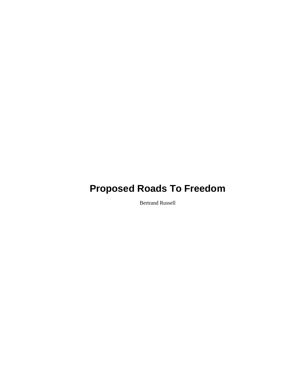Bertrand Russell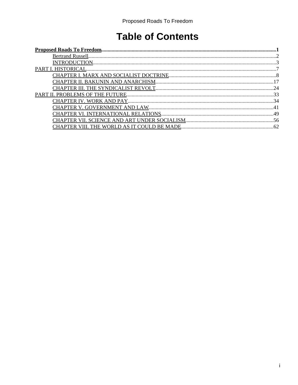## **Table of Contents**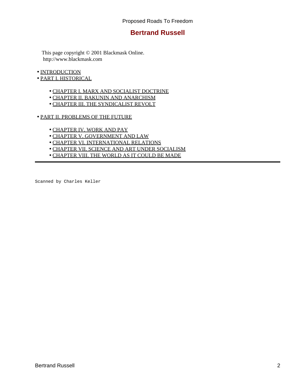## **Bertrand Russell**

<span id="page-4-0"></span> This page copyright © 2001 Blackmask Online. http://www.blackmask.com

- [INTRODUCTION](#page-5-0)
- [PART I. HISTORICAL](#page-9-0)
	- [CHAPTER I. MARX AND SOCIALIST DOCTRINE](#page-10-0)
	- [CHAPTER II. BAKUNIN AND ANARCHISM](#page-19-0)
	- [CHAPTER III. THE SYNDICALIST REVOLT](#page-26-0)
- [PART II. PROBLEMS OF THE FUTURE](#page-35-0)
	- [CHAPTER IV. WORK AND PAY](#page-36-0)
	- [CHAPTER V. GOVERNMENT AND LAW](#page-43-0)
	- [CHAPTER VI. INTERNATIONAL RELATIONS](#page-51-0)
	- [CHAPTER VII. SCIENCE AND ART UNDER SOCIALISM](#page-58-0)
	- [CHAPTER VIII. THE WORLD AS IT COULD BE MADE](#page-64-0)

Scanned by Charles Keller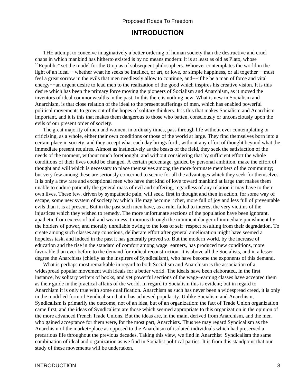## **INTRODUCTION**

<span id="page-5-0"></span> THE attempt to conceive imaginatively a better ordering of human society than the destructive and cruel chaos in which mankind has hitherto existed is by no means modern: it is at least as old as Plato, whose ``Republic'' set the model for the Utopias of subsequent philosophers. Whoever contemplates the world in the light of an ideal−−whether what he seeks be intellect, or art, or love, or simple happiness, or all together−−must feel a great sorrow in the evils that men needlessly allow to continue, and−−if he be a man of force and vital energy−−an urgent desire to lead men to the realization of the good which inspires his creative vision. It is this desire which has been the primary force moving the pioneers of Socialism and Anarchism, as it moved the inventors of ideal commonwealths in the past. In this there is nothing new. What is new in Socialism and Anarchism, is that close relation of the ideal to the present sufferings of men, which has enabled powerful political movements to grow out of the hopes of solitary thinkers. It is this that makes Socialism and Anarchism important, and it is this that makes them dangerous to those who batten, consciously or unconsciously upon the evils of our present order of society.

 The great majority of men and women, in ordinary times, pass through life without ever contemplating or criticising, as a whole, either their own conditions or those of the world at large. They find themselves born into a certain place in society, and they accept what each day brings forth, without any effort of thought beyond what the immediate present requires. Almost as instinctively as the beasts of the field, they seek the satisfaction of the needs of the moment, without much forethought, and without considering that by sufficient effort the whole conditions of their lives could be changed. A certain percentage, guided by personal ambition, make the effort of thought and will which is necessary to place themselves among the more fortunate members of the community; but very few among these are seriously concerned to secure for all the advantages which they seek for themselves. It is only a few rare and exceptional men who have that kind of love toward mankind at large that makes them unable to endure patiently the general mass of evil and suffering, regardless of any relation it may have to their own lives. These few, driven by sympathetic pain, will seek, first in thought and then in action, for some way of escape, some new system of society by which life may become richer, more full of joy and less full of preventable evils than it is at present. But in the past such men have, as a rule, failed to interest the very victims of the injustices which they wished to remedy. The more unfortunate sections of the population have been ignorant, apathetic from excess of toil and weariness, timorous through the imminent danger of immediate punishment by the holders of power, and morally unreliable owing to the loss of self−respect resulting from their degradation. To create among such classes any conscious, deliberate effort after general amelioration might have seemed a hopeless task, and indeed in the past it has generally proved so. But the modern world, by the increase of education and the rise in the standard of comfort among wage−earners, has produced new conditions, more favorable than ever before to the demand for radical reconstruction. It is above all the Socialists, and in a lesser degree the Anarchists (chiefly as the inspirers of Syndicalism), who have become the exponents of this demand.

 What is perhaps most remarkable in regard to both Socialism and Anarchism is the association of a widespread popular movement with ideals for a better world. The ideals have been elaborated, in the first instance, by solitary writers of books, and yet powerful sections of the wage−earning classes have accepted them as their guide in the practical affairs of the world. In regard to Socialism this is evident; but in regard to Anarchism it is only true with some qualification. Anarchism as such has never been a widespread creed, it is only in the modified form of Syndicalism that it has achieved popularity. Unlike Socialism and Anarchism, Syndicalism is primarily the outcome, not of an idea, but of an organization: the fact of Trade Union organization came first, and the ideas of Syndicalism are those which seemed appropriate to this organization in the opinion of the more advanced French Trade Unions. But the ideas are, in the main, derived from Anarchism, and the men who gained acceptance for them were, for the most part, Anarchists. Thus we may regard Syndicalism as the Anarchism of the market−place as opposed to the Anarchism of isolated individuals which had preserved a precarious life throughout the previous decades. Taking this view, we find in Anarchist−Syndicalism the same combination of ideal and organization as we find in Socialist political parties. It is from this standpoint that our study of these movements will be undertaken.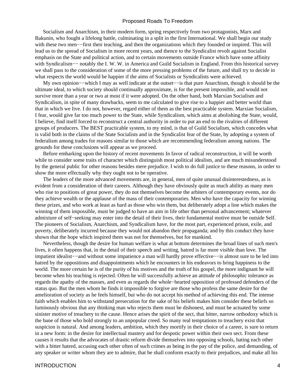Socialism and Anarchism, in their modern form, spring respectively from two protagonists, Marx and Bakunin, who fought a lifelong battle, culminating in a split in the first International. We shall begin our study with these two men—−first their teaching, and then the organizations which they founded or inspired. This will lead us to the spread of Socialism in more recent years, and thence to the Syndicalist revolt against Socialist emphasis on the State and political action, and to certain movements outside France which have some affinity with Syndicalism−− notably the I. W. W. in America and Guild Socialism in England. From this historical survey we shall pass to the consideration of some of the more pressing problems of the future, and shall try to decide in what respects the world would be happier if the aims of Socialists or Syndicalists were achieved.

My own opinion−−which I may as well indicate at the outset–−is that pure Anarchism, though it should be the ultimate ideal, to which society should continually approximate, is for the present impossible, and would not survive more than a year or two at most if it were adopted. On the other hand, both Marxian Socialism and Syndicalism, in spite of many drawbacks, seem to me calculated to give rise to a happier and better world than that in which we live. I do not, however, regard either of them as the best practicable system. Marxian Socialism, I fear, would give far too much power to the State, while Syndicalism, which aims at abolishing the State, would, I believe, find itself forced to reconstruct a central authority in order to put an end to the rivalries of different groups of producers. The BEST practicable system, to my mind, is that of Guild Socialism, which concedes what is valid both in the claims of the State Socialists and in the Syndicalist fear of the State, by adopting a system of federalism among trades for reasons similar to those which are recommending federalism among nations. The grounds for these conclusions will appear as we proceed.

 Before embarking upon the history of recent movements In favor of radical reconstruction, it will be worth while to consider some traits of character which distinguish most political idealists, and are much misunderstood by the general public for other reasons besides mere prejudice. I wish to do full justice to these reasons, in order to show the more effectually why they ought not to be operative.

 The leaders of the more advanced movements are, in general, men of quite unusual disinterestedness, as is evident from a consideration of their careers. Although they have obviously quite as much ability as many men who rise to positions of great power, they do not themselves become the arbiters of contemporary events, nor do they achieve wealth or the applause of the mass of their contemporaries. Men who have the capacity for winning these prizes, and who work at least as hard as those who win them, but deliberately adopt a line which makes the winning of them impossible, must be judged to have an aim in life other than personal advancement; whatever admixture of self−seeking may enter into the detail of their lives, their fundamental motive must be outside Self. The pioneers of Socialism, Anarchism, and Syndicalism have, for the most part, experienced prison, exile, and poverty, deliberately incurred because they would not abandon their propaganda; and by this conduct they have shown that the hope which inspired them was not for themselves, but for mankind.

 Nevertheless, though the desire for human welfare is what at bottom determines the broad lines of such men's lives, it often happens that, in the detail of their speech and writing, hatred is far more visible than love. The impatient idealist−−and without some impatience a man will hardly prove effective−−is almost sure to be led into hatred by the oppositions and disappointments which he encounters in his endeavors to bring happiness to the world. The more certain he is of the purity of his motives and the truth of his gospel, the more indignant he will become when his teaching is rejected. Often he will successfully achieve an attitude of philosophic tolerance as regards the apathy of the masses, and even as regards the whole−hearted opposition of professed defenders of the status quo. But the men whom he finds it impossible to forgive are those who profess the same desire for the amelioration of society as he feels himself, but who do not accept his method of achieving this end. The intense faith which enables him to withstand persecution for the sake of his beliefs makes him consider these beliefs so luminously obvious that any thinking man who rejects them must be dishonest, and must be actuated by some sinister motive of treachery to the cause. Hence arises the spirit of the sect, that bitter, narrow orthodoxy which is the bane of those who hold strongly to an unpopular creed. So many real temptations to treachery exist that suspicion is natural. And among leaders, ambition, which they mortify in their choice of a career, is sure to return in a new form: in the desire for intellectual mastery and for despotic power within their own sect. From these causes it results that the advocates of drastic reform divide themselves into opposing schools, hating each other with a bitter hatred, accusing each other often of such crimes as being in the pay of the police, and demanding, of any speaker or writer whom they are to admire, that he shall conform exactly to their prejudices, and make all his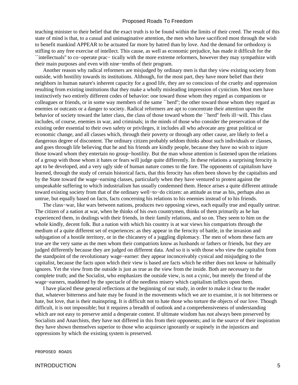teaching minister to their belief that the exact truth is to be found within the limits of their creed. The result of this state of mind is that, to a casual and unimaginative attention, the men who have sacrificed most through the wish to benefit mankind APPEAR to be actuated far more by hatred than by love. And the demand for orthodoxy is stifling to any free exercise of intellect. This cause, as well as economic prejudice, has made it difficult for the ``intellectuals'' to co−operate prac− tically with the more extreme reformers, however they may sympathize with their main purposes and even with nine−tenths of their program.

 Another reason why radical reformers are misjudged by ordinary men is that they view existing society from outside, with hostility towards its institutions. Although, for the most part, they have more belief than their neighbors in human nature's inherent capacity for a good life, they are so conscious of the cruelty and oppression resulting from existing institutions that they make a wholly misleading impression of cynicism. Most men have instinctively two entirely different codes of behavior: one toward those whom they regard as companions or colleagues or friends, or in some way members of the same ``herd''; the other toward those whom they regard as enemies or outcasts or a danger to society. Radical reformers are apt to concentrate their attention upon the behavior of society toward the latter class, the class of those toward whom the ``herd'' feels ill−will. This class includes, of course, enemies in war, and criminals; in the minds of those who consider the preservation of the existing order essential to their own safety or privileges, it includes all who advocate any great political or economic change, and all classes which, through their poverty or through any other cause, are likely to feel a dangerous degree of discontent. The ordinary citizen probably seldom thinks about such individuals or classes, and goes through life believing that he and his friends are kindly people, because they have no wish to injure those toward whom they entertain no group−hostility. But the man whose attention is fastened upon the relations of a group with those whom it hates or fears will judge quite differently. In these relations a surprising ferocity is apt to be developed, and a very ugly side of human nature comes to the fore. The opponents of capitalism have learned, through the study of certain historical facts, that this ferocity has often been shown by the capitalists and by the State toward the wage−earning classes, particularly when they have ventured to protest against the unspeakable suffering to which industrialism has usually condemned them. Hence arises a quite different attitude toward existing society from that of the ordinary well−to−do citizen: an attitude as true as his, perhaps also as untrue, but equally based on facts, facts concerning his relations to his enemies instead of to his friends.

 The class−war, like wars between nations, produces two opposing views, each equally true and equally untrue. The citizen of a nation at war, when he thinks of his own countrymen, thinks of them primarily as he has experienced them, in dealings with their friends, in their family relations, and so on. They seem to him on the whole kindly, decent folk. But a nation with which his country is at war views his compatriots through the medium of a quite different set of experiences: as they appear in the ferocity of battle, in the invasion and subjugation of a hostile territory, or in the chicanery of a juggling diplomacy. The men of whom these facts are true are the very same as the men whom their compatriots know as husbands or fathers or friends, but they are judged differently because they are judged on different data. And so it is with those who view the capitalist from the standpoint of the revolutionary wage−earner: they appear inconceivably cynical and misjudging to the capitalist, because the facts upon which their view is based are facts which he either does not know or habitually ignores. Yet the view from the outside is just as true as the view from the inside. Both are necessary to the complete truth; and the Socialist, who emphasizes the outside view, is not a cynic, but merely the friend of the wage−earners, maddened by the spectacle of the needless misery which capitalism inflicts upon them.

 I have placed these general reflections at the beginning of our study, in order to make it clear to the reader that, whatever bitterness and hate may be found in the movements which we are to examine, it is not bitterness or hate, but love, that is their mainspring. It is difficult not to hate those who torture the objects of our love. Though difficult, it is not impossible; but it requires a breadth of outlook and a comprehensiveness of understanding which are not easy to preserve amid a desperate contest. If ultimate wisdom has not always been preserved by Socialists and Anarchists, they have not differed in this from their opponents; and in the source of their inspiration they have shown themselves superior to those who acquiesce ignorantly or supinely in the injustices and oppressions by which the existing system is preserved.

PROPOSED ROADS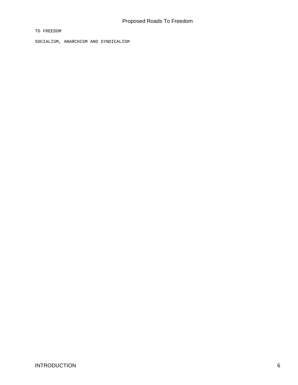TO FREEDOM

SOCIALISM, ANARCHISM AND SYNDICALISM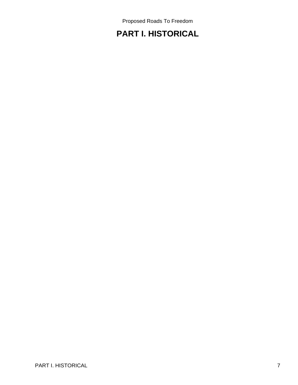## <span id="page-9-0"></span>**PART I. HISTORICAL**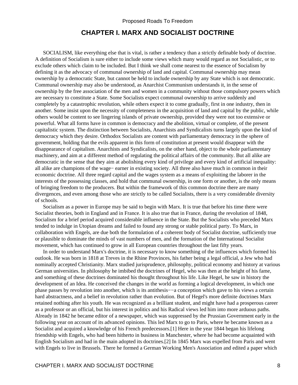## **CHAPTER I. MARX AND SOCIALIST DOCTRINE**

<span id="page-10-0"></span> SOCIALISM, like everything else that is vital, is rather a tendency than a strictly definable body of doctrine. A definition of Socialism is sure either to include some views which many would regard as not Socialistic, or to exclude others which claim to be included. But I think we shall come nearest to the essence of Socialism by defining it as the advocacy of communal ownership of land and capital. Communal ownership may mean ownership by a democratic State, but cannot be held to include ownership by any State which is not democratic. Communal ownership may also be understood, as Anarchist Communism understands it, in the sense of ownership by the free association of the men and women in a community without those compulsory powers which are necessary to constitute a State. Some Socialists expect communal ownership to arrive suddenly and completely by a catastrophic revolution, while others expect it to come gradually, first in one industry, then in another. Some insist upon the necessity of completeness in the acquisition of land and capital by the public, while others would be content to see lingering islands of private ownership, provided they were not too extensive or powerful. What all forms have in common is democracy and the abolition, virtual or complete, of the present capitalistic system. The distinction between Socialists, Anarchists and Syndicalists turns largely upon the kind of democracy which they desire. Orthodox Socialists are content with parliamentary democracy in the sphere of government, holding that the evils apparent in this form of constitution at present would disappear with the disappearance of capitalism. Anarchists and Syndicalists, on the other hand, object to the whole parliamentary machinery, and aim at a different method of regulating the political affairs of the community. But all alike are democratic in the sense that they aim at abolishing every kind of privilege and every kind of artificial inequality: all alike are champions of the wage− earner in existing society. All three also have much in common in their economic doctrine. All three regard capital and the wages system as a means of exploiting the laborer in the interests of the possessing classes, and hold that communal ownership, in one form or another, is the only means of bringing freedom to the producers. But within the framework of this common doctrine there are many divergences, and even among those who are strictly to be called Socialists, there is a very considerable diversity of schools.

 Socialism as a power in Europe may be said to begin with Marx. It is true that before his time there were Socialist theories, both in England and in France. It is also true that in France, during the revolution of 1848, Socialism for a brief period acquired considerable influence in the State. But the Socialists who preceded Marx tended to indulge in Utopian dreams and failed to found any strong or stable political party. To Marx, in collaboration with Engels, are due both the formulation of a coherent body of Socialist doctrine, sufficiently true or plausible to dominate the minds of vast numbers of men, and the formation of the International Socialist movement, which has continued to grow in all European countries throughout the last fifty years.

 In order to understand Marx's doctrine, it is necessary to know something of the influences which formed his outlook. He was born in 1818 at Treves in the Rhine Provinces, his father being a legal official, a Jew who had nominally accepted Christianity. Marx studied jurisprudence, philosophy, political economy and history at various German universities. In philosophy he imbibed the doctrines of Hegel, who was then at the height of his fame, and something of these doctrines dominated his thought throughout his life. Like Hegel, he saw in history the development of an Idea. He conceived the changes in the world as forming a logical development, in which one phase passes by revolution into another, which is its antithesis−−a conception which gave to his views a certain hard abstractness, and a belief in revolution rather than evolution. But of Hegel's more definite doctrines Marx retained nothing after his youth. He was recognized as a brilliant student, and might have had a prosperous career as a professor or an official, but his interest in politics and his Radical views led him into more arduous paths. Already in 1842 he became editor of a newspaper, which was suppressed by the Prussian Government early in the following year on account of its advanced opinions. This led Marx to go to Paris, where he became known as a Socialist and acquired a knowledge of his French predecessors.[1] Here in the year 1844 began his lifelong friendship with Engels, who had been hitherto in business in Manchester, where he had become acquainted with English Socialism and had in the main adopted its doctrines.[2] In 1845 Marx was expelled from Paris and went with Engels to live in Brussels. There he formed a German Working Men's Association and edited a paper which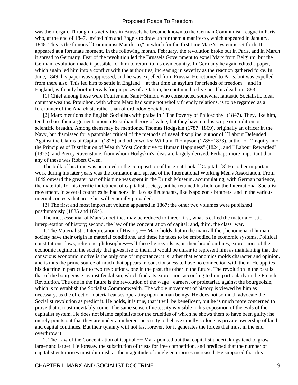was their organ. Through his activities in Brussels he became known to the German Communist League in Paris, who, at the end of 1847, invited him and Engels to draw up for them a manifesto, which appeared in January, 1848. This is the famous ``Communist Manifesto,'' in which for the first time Marx's system is set forth. It appeared at a fortunate moment. In the following month, February, the revolution broke out in Paris, and in March it spread to Germany. Fear of the revolution led the Brussels Government to expel Marx from Belgium, but the German revolution made it possible for him to return to his own country. In Germany he again edited a paper, which again led him into a conflict with the authorities, increasing in severity as the reaction gathered force. In June, 1849, his paper was suppressed, and he was expelled from Prussia. He returned to Paris, but was expelled from there also. This led him to settle in England−−at that time an asylum for friends of freedom−−and in England, with only brief intervals for purposes of agitation, he continued to live until his death in 1883.

 [1] Chief among these were Fourier and Saint−Simon, who constructed somewhat fantastic Socialistic ideal commonwealths. Proudhon, with whom Marx had some not wholly friendly relations, is to be regarded as a forerunner of the Anarchists rather than of orthodox Socialism.

 [2] Marx mentions the English Socialists with praise in ``The Poverty of Philosophy'' (1847). They, like him, tend to base their arguments upon a Ricardian theory of value, but they have not his scope or erudition or scientific breadth. Among them may be mentioned Thomas Hodgskin (1787–1869), originally an officer in the Navy, but dismissed for a pamphlet critical of the methods of naval discipline, author of ``Labour Defended Against the Claims of Capital'' (1825) and other works; William Thompson (1785−1833), author of ``Inquiry into the Principles of Distribution of Wealth Most Conducive to Human Happiness'' (1824), and ``Labour Rewarded'' (1825); and Piercy Ravenstone, from whom Hodgskin's ideas are largely derived. Perhaps more important than any of these was Robert Owen.

 The bulk of his time was occupied in the composition of his great book, ``Capital.''[3] His other important work during his later years was the formation and spread of the International Working Men's Association. From 1849 onward the greater part of his time was spent in the British Museum, accumulating, with German patience, the materials for his terrific indictment of capitalist society, but he retained his hold on the International Socialist movement. In several countries he had sons−in−law as lieutenants, like Napoleon's brothers, and in the various internal contests that arose his will generally prevailed.

 [3] The first and most important volume appeared in 1867; the other two volumes were published posthumously (1885 and 1894).

 The most essential of Marx's doctrines may be reduced to three: first, what is called the material− istic interpretation of history; second, the law of the concentration of capital; and, third, the class−war.

 1. The Materialistic Interpretation of History.−− Marx holds that in the main all the phenomena of human society have their origin in material conditions, and these he takes to be embodied in economic systems. Political constitutions, laws, religions, philosophies−−all these he regards as, in their broad outlines, expressions of the economic regime in the society that gives rise to them. It would be unfair to represent him as maintaining that the conscious economic motive is the only one of importance; it is rather that economics molds character and opinion, and is thus the prime source of much that appears in consciousness to have no connection with them. He applies his doctrine in particular to two revolutions, one in the past, the other in the future. The revolution in the past is that of the bourgeoisie against feudalism, which finds its expression, according to him, particularly in the French Revolution. The one in the future is the revolution of the wage− earners, or proletariat, against the bourgeoisie, which is to establish the Socialist Commonwealth. The whole movement of history is viewed by him as necessary, as the effect of material causes operating upon human beings. He does not so much advocate the Socialist revolution as predict it. He holds, it is true, that it will be beneficent, but he is much more concerned to prove that it must inevitably come. The same sense of necessity is visible in his exposition of the evils of the capitalist system. He does not blame capitalists for the cruelties of which he shows them to have been guilty; he merely points out that they are under an inherent necessity to behave cruelly so long as private ownership of land and capital continues. But their tyranny will not last forever, for it generates the forces that must in the end overthrow it.

2. The Law of the Concentration of Capital.— Marx pointed out that capitalist undertakings tend to grow larger and larger. He foresaw the substitution of trusts for free competition, and predicted that the number of capitalist enterprises must diminish as the magnitude of single enterprises increased. He supposed that this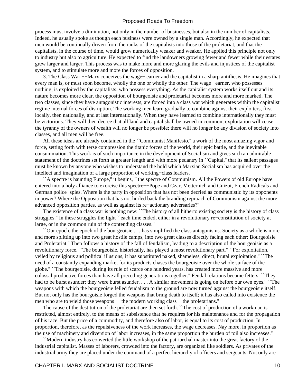process must involve a diminution, not only in the number of businesses, but also in the number of capitalists. Indeed, he usually spoke as though each business were owned by a single man. Accordingly, he expected that men would be continually driven from the ranks of the capitalists into those of the proletariat, and that the capitalists, in the course of time, would grow numerically weaker and weaker. He applied this principle not only to industry but also to agriculture. He expected to find the landowners growing fewer and fewer while their estates grew larger and larger. This process was to make more and more glaring the evils and injustices of the capitalist system, and to stimulate more and more the forces of opposition.

 3. The Class War.−−Marx conceives the wage− earner and the capitalist in a sharp antithesis. He imagines that every man is, or must soon become, wholly the one or wholly the other. The wage− earner, who possesses nothing, is exploited by the capitalists, who possess everything. As the capitalist system works itself out and its nature becomes more clear, the opposition of bourgeoisie and proletariat becomes more and more marked. The two classes, since they have antagonistic interests, are forced into a class war which generates within the capitalist regime internal forces of disruption. The working men learn gradually to combine against their exploiters, first locally, then nationally, and at last internationally. When they have learned to combine internationally they must be victorious. They will then decree that all land and capital shall be owned in common; exploitation will cease; the tyranny of the owners of wealth will no longer be possible; there will no longer be any division of society into classes, and all men will be free.

 All these ideas are already contained in the ``Communist Manifesto,'' a work of the most amazing vigor and force, setting forth with terse compression the titanic forces of the world, their epic battle, and the inevitable consummation. This work is of such importance in the development of Socialism and gives such an admirable statement of the doctrines set forth at greater length and with more pedantry in ``Capital," that its salient passages must be known by anyone who wishes to understand the hold which Marxian Socialism has acquired over the intellect and imagination of a large proportion of working−class leaders.

 ``A spectre is haunting Europe,'' it begins, ``the spectre of Communism. All the Powers of old Europe have entered into a holy alliance to exorcise this spectre−−Pope and Czar, Metternich and Guizot, French Radicals and German police−spies. Where is the party in opposition that has not been decried as communistic by its opponents in power? Where the Opposition that has not hurled back the branding reproach of Communism against the more advanced opposition parties, as well as against its re−actionary adversaries?''

 The existence of a class war is nothing new: ``The history of all hitherto existing society is the history of class struggles.'' In these struggles the fight ``each time ended, either in a revolutionary re−constitution of society at large, or in the common ruin of the contending classes.''

 ``Our epoch, the epoch of the bourgeoisie . . . has simplified the class antagonisms. Society as a whole is more and more splitting up into two great hostile camps, into two great classes directly facing each other: Bourgeoisie and Proletariat.'' Then follows a history of the fall of feudalism, leading to a description of the bourgeoisie as a revolutionary force. ``The bourgeoisie, historically, has played a most revolutionary part.'' ``For exploitation, veiled by religious and political illusions, it has substituted naked, shameless, direct, brutal exploitation.'' ``The need of a constantly expanding market for its products chases the bourgeoisie over the whole surface of the globe.'' ``The bourgeoisie, during its rule of scarce one hundred years, has created more massive and more colossal productive forces than have all preceding generations together.'' Feudal relations became fetters: ``They had to be burst asunder; they were burst asunder. . . . A similar movement is going on before our own eyes." ``The weapons with which the bourgeoisie felled feudalism to the ground are now turned against the bourgeoisie itself. But not only has the bourgoisie forged the weapons that bring death to itself; it has also called into existence the men who are to wield those weapons−− the modern working class-−the proletarians."

 The cause of the destitution of the proletariat are then set forth. ``The cost of production of a workman is restricted, almost entirely, to the means of subsistence that he requires for his maintenance and for the propagation of his race. But the price of a commodity, and therefore also of labor, is equal to its cost of production. In proportion, therefore, as the repulsiveness of the work increases, the wage decreases. Nay more, in proportion as the use of machinery and diversion of labor increases, in the same proportion the burden of toil also increases.''

 ``Modern industry has converted the little workshop of the patriarchal master into the great factory of the industrial capitalist. Masses of laborers, crowded into the factory, are organized like soldiers. As privates of the industrial army they are placed under the command of a perfect hierarchy of officers and sergeants. Not only are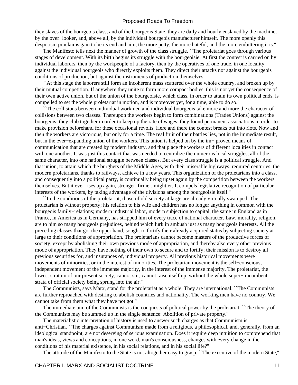they slaves of the bourgeois class, and of the bourgeois State, they are daily and hourly enslaved by the machine, by the over−looker, and, above all, by the individual bourgeois manufacturer himself. The more openly this despotism proclaims gain to be its end and aim, the more petty, the more hateful, and the more embittering it is.''

 The Manifesto tells next the manner of growth of the class struggle. ``The proletariat goes through various stages of development. With its birth begins its struggle with the bourgeoisie. At first the contest is carried on by individual laborers, then by the workpeople of a factory, then by the operatives of one trade, in one locality, against the individual bourgeois who directly exploits them. They direct their attacks not against the bourgeois conditions of production, but against the instruments of production themselves.''

 ``At this stage the laborers still form an incoherent mass scattered over the whole country, and broken up by their mutual competition. If anywhere they unite to form more compact bodies, this is not yet the consequence of their own active union, but of the union of the bourgeoisie, which class, in order to attain its own political ends, is compelled to set the whole proletariat in motion, and is moreover yet, for a time, able to do so.''

 ``The collisions between individual workmen and individual bourgeois take more and more the character of collisions between two classes. Thereupon the workers begin to form combinations (Trades Unions) against the bourgeois; they club together in order to keep up the rate of wages; they found permanent associations in order to make provision beforehand for these occasional revolts. Here and there the contest breaks out into riots. Now and then the workers are victorious, but only for a time. The real fruit of their battles lies, not in the immediate result, but in the ever−expanding union of the workers. This union is helped on by the im− proved means of communication that are created by modern industry, and that place the workers of different localities in contact with one another. It was just this contact that was needed to centralize the numerous local struggles, all of the same character, into one national struggle between classes. But every class struggle is a political struggle. And that union, to attain which the burghers of the Middle Ages, with their miserable highways, required centuries, the modern proletarians, thanks to railways, achieve in a few years. This organization of the proletarians into a class, and consequently into a political party, is continually being upset again by the competition between the workers themselves. But it ever rises up again, stronger, firmer, mightier. It compels legislative recognition of particular interests of the workers, by taking advantage of the divisions among the bourgeoisie itself.''

 ``In the conditions of the proletariat, those of old society at large are already virtually swamped. The proletarian is without property; his relation to his wife and children has no longer anything in common with the bourgeois family−relations; modern industrial labor, modern subjection to capital, the same in England as in France, in America as in Germany, has stripped him of every trace of national character. Law, morality, religion, are to him so many bourgeois prejudices, behind which lurk in ambush just as many bourgeois interests. All the preceding classes that got the upper hand, sought to fortify their already acquired status by subjecting society at large to their conditions of appropriation. The proletarians cannot become masters of the productive forces of society, except by abolishing their own previous mode of appropriation, and thereby also every other previous mode of appropriation. They have nothing of their own to secure and to fortify; their mission is to destroy all previous securities for, and insurances of, individual property. All previous historical movements were movements of minorities, or in the interest of minorities. The proletarian movement is the self−conscious, independent movement of the immense majority, in the interest of the immense majority. The proletariat, the lowest stratum of our present society, cannot stir, cannot raise itself up, without the whole super− incumbent strata of official society being sprung into the air.''

 The Communists, says Marx, stand for the proletariat as a whole. They are international. ``The Communists are further reproached with desiring to abolish countries and nationality. The working men have no country. We cannot take from them what they have not got.''

 The immediate aim of the Communists is the conquests of political power by the proletariat. ``The theory of the Communists may be summed up in the single sentence: Abolition of private property.''

 The materialistic interpretation of history is used to answer such charges as that Communism is anti−Christian. ``The charges against Communism made from a religious, a philosophical, and, generally, from an ideological standpoint, are not deserving of serious examination. Does it require deep intuition to comprehend that man's ideas, views and conceptions, in one word, man's consciousness, changes with every change in the conditions of his material existence, in his social relations, and in his social life?''

The attitude of the Manifesto to the State is not altogether easy to grasp. ``The executive of the modern State,''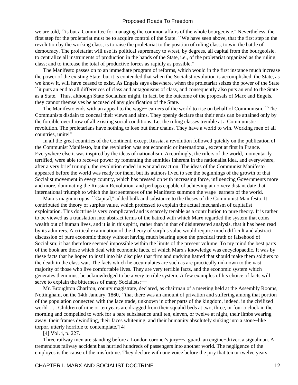we are told, ``is but a Committee for managing the common affairs of the whole bourgeoisie.'' Nevertheless, the first step for the proletariat must be to acquire control of the State. ``We have seen above, that the first step in the revolution by the working class, is to raise the proletariat to the position of ruling class, to win the battle of democracy. The proletariat will use its political supremacy to wrest, by degrees, all capital from the bourgeoisie, to centralize all instruments of production in the hands of the State, i.e., of the proletariat organized as the ruling class; and to increase the total of productive forces as rapidly as possible.''

 The Manifesto passes on to an immediate program of reforms, which would in the first instance much increase the power of the existing State, but it is contended that when the Socialist revolution is accomplished, the State, as we know it, will have ceased to exist. As Engels says elsewhere, when the proletariat seizes the power of the State ``it puts an end to all differences of class and antagonisms of class, and consequently also puts an end to the State as a State.'' Thus, although State Socialism might, in fact, be the outcome of the proposals of Marx and Engels, they cannot themselves be accused of any glorification of the State.

 The Manifesto ends with an appeal to the wage− earners of the world to rise on behalf of Communism. ``The Communists disdain to conceal their views and aims. They openly declare that their ends can be attained only by the forcible overthrow of all existing social conditions. Let the ruling classes tremble at a Communistic revolution. The proletarians have nothing to lose but their chains. They have a world to win. Working men of all countries, unite!''

 In all the great countries of the Continent, except Russia, a revolution followed quickly on the publication of the Communist Manifesto, but the revolution was not economic or international, except at first in France. Everywhere else it was inspired by the ideas of nationalism. Accordingly, the rulers of the world, momentarily terrified, were able to recover power by fomenting the enmities inherent in the nationalist idea, and everywhere, after a very brief triumph, the revolution ended in war and reaction. The ideas of the Communist Manifesto appeared before the world was ready for them, but its authors lived to see the beginnings of the growth of that Socialist movement in every country, which has pressed on with increasing force, influencing Governments more and more, dominating the Russian Revolution, and perhaps capable of achieving at no very distant date that international triumph to which the last sentences of the Manifesto summon the wage−earners of the world.

 Marx's magnum opus, ``Capital,'' added bulk and substance to the theses of the Communist Manifesto. It contributed the theory of surplus value, which professed to explain the actual mechanism of capitalist exploitation. This doctrine is very complicated and is scarcely tenable as a contribution to pure theory. It is rather to be viewed as a translation into abstract terms of the hatred with which Marx regarded the system that coins wealth out of human lives, and it is in this spirit, rather than in that of disinterested analysis, that it has been read by its admirers. A critical examination of the theory of surplus value would require much difficult and abstract discussion of pure economic theory without having much bearing upon the practical truth or falsehood of Socialism; it has therefore seemed impossible within the limits of the present volume. To my mind the best parts of the book are those which deal with economic facts, of which Marx's knowledge was encyclopaedic. It was by these facts that he hoped to instil into his disciples that firm and undying hatred that should make them soldiers to the death in the class war. The facts which he accumulates are such as are practically unknown to the vast majority of those who live comfortable lives. They are very terrible facts, and the economic system which generates them must be acknowledged to be a very terrible system. A few examples of his choice of facts will serve to explain the bitterness of many Socialists:−−

 Mr. Broughton Charlton, county magistrate, declared, as chairman of a meeting held at the Assembly Rooms, Nottingham, on the 14th January, 1860, ``that there was an amount of privation and suffering among that portion of the population connected with the lace trade, unknown in other parts of the kingdom, indeed, in the civilized world. . . . Children of nine or ten years are dragged from their squalid beds at two, three, or four o clock in the morning and compelled to work for a bare subsistence until ten, eleven, or twelve at night, their limbs wearing away, their frames dwindling, their faces whitening, and their humanity absolutely sinking into a stone−like torpor, utterly horrible to contemplate.''[4]

[4] Vol. i, p. 227.

 Three railway men are standing before a London coroner's jury−−a guard, an engine−driver, a signalman. A tremendous railway accident has hurried hundreds of passengers into another world. The negligence of the employes is the cause of the misfortune. They declare with one voice before the jury that ten or twelve years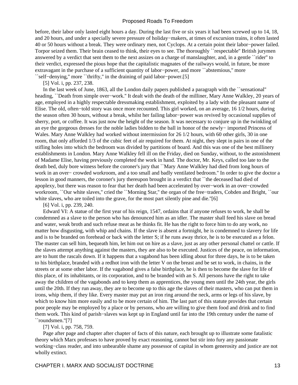before, their labor only lasted eight hours a day. During the last five or six years it had been screwed up to 14, 18, and 20 hours, and under a specially severe pressure of holiday−makers, at times of excursion trains, it often lasted 40 or 50 hours without a break. They were ordinary men, not Cyclops. At a certain point their labor−power failed. Torpor seized them. Their brain ceased to think, their eyes to see. The thoroughly ``respectable'' British jurymen answered by a verdict that sent them to the next assizes on a charge of manslaughter, and, in a gentle ``rider'' to their verdict, expressed the pious hope that the capitalistic magnates of the railways would, in future, be more extravagant in the purchase of a sufficient quantity of labor−power, and more ``abstemious,'' more ``self−denying,'' more ``thrifty,'' in the draining of paid labor−power.[5]

[5] Vol. i, pp. 237, 238.

 In the last week of June, 1863, all the London daily papers published a paragraph with the ``sensational'' heading, ``Death from simple over−work.'' It dealt with the death of the milliner, Mary Anne Walkley, 20 years of age, employed in a highly respectable dressmaking establishment, exploited by a lady with the pleasant name of Elise. The old, often−told story was once more recounted. This girl worked, on an average, 16 1/2 hours, during the season often 30 hours, without a break, whilst her failing labor−power was revived by occasional supplies of sherry, port, or coffee. It was just now the height of the season. It was necessary to conjure up in the twinkling of an eye the gorgeous dresses for the noble ladies bidden to the ball in honor of the newly− imported Princess of Wales. Mary Anne Walkley had worked without intermission for 26 1/2 hours, with 60 other girls, 30 in one room, that only afforded 1/3 of the cubic feet of air required for them. At night, they slept in pairs in one of the stifling holes into which the bedroom was divided by partitions of board. And this was one of the best millinery establishments in London. Mary Anne Walkley fell ill on the Friday, died on Sunday, without, to the astonishment of Madame Elise, having previously completed the work in hand. The doctor, Mr. Keys, called too late to the death bed, duly bore witness before the coroner's jury that ``Mary Anne Walkley had died from long hours of work in an over− crowded workroom, and a too small and badly ventilated bedroom.'' In order to give the doctor a lesson in good manners, the coroner's jury thereupon brought in a verdict that ``the deceased had died of apoplexy, but there was reason to fear that her death had been accelerated by over−work in an over−crowded workroom, ``Our white slaves,'' cried the ``Morning Star,'' the organ of the free−traders, Cobden and Bright, ``our white slaves, who are toiled into the grave, for the most part silently pine and die."[6]

[6] Vol. i, pp. 239, 240.

 Edward VI: A statue of the first year of his reign, 1547, ordains that if anyone refuses to work, he shall be condemned as a slave to the person who has denounced him as an idler. The master shall feed his slave on bread and water, weak broth and such refuse meat as he thinks fit. He has the right to force him to do any work, no matter how disgusting, with whip and chains. If the slave is absent a fortnight, he is condemned to slavery for life and is to be branded on forehead or back with the letter S; if he runs away thrice, he is to be executed as a felon. The master can sell him, bequeath him, let him out on hire as a slave, just as any other personal chattel or cattle. If the slaves attempt anything against the masters, they are also to be executed. Justices of the peace, on information, are to hunt the rascals down. If it happens that a vagabond has been idling about for three days, he is to be taken to his birthplace, branded with a redhot iron with the letter V on the breast and be set to work, in chains, in the streets or at some other labor. If the vagabond gives a false birthplace, he is then to become the slave for life of this place, of its inhabitants, or its corporation, and to be branded with an S. All persons have the right to take away the children of the vagabonds and to keep them as apprentices, the young men until the 24th year, the girls until the 20th. If they run away, they are to become up to this age the slaves of their masters, who can put them in irons, whip them, if they like. Every master may put an iron ring around the neck, arms or legs of his slave, by which to know him more easily and to be more certain of him. The last part of this statute provides that certain poor people may be employed by a place or by persons, who are willing to give them food and drink and to find them work. This kind of parish−slaves was kept up in England until far into the 19th century under the name of ``roundsmen.''[7]

[7] Vol. i, pp. 758, 759.

 Page after page and chapter after chapter of facts of this nature, each brought up to illustrate some fatalistic theory which Marx professes to have proved by exact reasoning, cannot but stir into fury any passionate working−class reader, and into unbearable shame any possessor of capital in whom generosity and justice are not wholly extinct.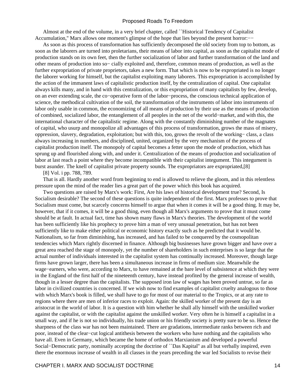Almost at the end of the volume, in a very brief chapter, called ``Historical Tendency of Capitalist Accumulation," Marx allows one moment's glimpse of the hope that lies beyond the present horror:—−

 As soon as this process of transformation has sufficiently decomposed the old society from top to bottom, as soon as the laborers are turned into proletarians, their means of labor into capital, as soon as the capitalist mode of production stands on its own feet, then the further socialization of labor and further transformation of the land and other means of production into so− cially exploited and, therefore, common means of production, as well as the further expropriation of private proprietors, takes a new form. That which is now to be expropriated is no longer the laborer working for himself, but the capitalist exploiting many laborers. This expropriation is accomplished by the action of the immanent laws of capitalistic production itself, by the centralization of capital. One capitalist always kills many, and in hand with this centralization, or this expropriation of many capitalists by few, develop, on an ever extending scale, the co−operative form of the labor−process, the conscious technical application of science, the methodical cultivation of the soil, the transformation of the instruments of labor into instruments of labor only usable in common, the economizing of all means of production by their use as the means of production of combined, socialized labor, the entanglement of all peoples in the net of the world−market, and with this, the international character of the capitalistic regime. Along with the constantly diminishing number of the magnates of capital, who usurp and monopolize all advantages of this process of transformation, grows the mass of misery, oppression, slavery, degradation, exploitation; but with this, too, grows the revolt of the working− class, a class always increasing in numbers, and disciplined, united, organized by the very mechanism of the process of capitalist production itself. The monopoly of capital becomes a fetter upon the mode of production, which has sprung up and flourished along with, and under it. Centralization of the means of production and socialization of labor at last reach a point where they become incompatible with their capitalist integument. This integument is burst asunder. The knell of capitalist private property sounds. The expropriators are expropriated,[8]

[8] Vol. i pp. 788, 789.

 That is all. Hardly another word from beginning to end is allowed to relieve the gloom, and in this relentless pressure upon the mind of the reader lies a great part of the power which this book has acquired.

 Two questions are raised by Marx's work: First, Are his laws of historical development true? Second, Is Socialism desirable? The second of these questions is quite independent of the first. Marx professes to prove that Socialism must come, but scarcely concerns himself to argue that when it comes it will be a good thing. It may be, however, that if it comes, it will be a good thing, even though all Marx's arguments to prove that it must come should be at fault. In actual fact, time has shown many flaws in Marx's theories. The development of the world has been sufficiently like his prophecy to prove him a man of very unusual penetration, but has not been sufficiently like to make either political or economic history exactly such as he predicted that it would be. Nationalism, so far from diminishing, has increased, and has failed to be conquered by the cosmopolitan tendencies which Marx rightly discerned in finance. Although big businesses have grown bigger and have over a great area reached the stage of monopoly, yet the number of shareholders in such enterprises is so large that the actual number of individuals interested in the capitalist system has continually increased. Moreover, though large firms have grown larger, there has been a simultaneous increase in firms of medium size. Meanwhile the wage−earners, who were, according to Marx, to have remained at the bare level of subsistence at which they were in the England of the first half of the nineteenth century, have instead profited by the general increase of wealth, though in a lesser degree than the capitalists. The supposed iron law of wages has been proved untrue, so far as labor in civilized countries is concerned. If we wish now to find examples of capitalist cruelty analogous to those with which Marx's book is filled, we shall have to go for most of our material to the Tropics, or at any rate to regions where there are men of inferior races to exploit. Again: the skilled worker of the present day is an aristocrat in the world of labor. It is a question with him whether he shall ally himself with the unskilled worker against the capitalist, or with the capitalist against the unskilled worker. Very often he is himself a capitalist in a small way, and if he is not so individually, his trade union or his friendly society is pretty sure to be so. Hence the sharpness of the class war has not been maintained. There are gradations, intermediate ranks between rich and poor, instead of the clear−cut logical antithesis between the workers who have nothing and the capitalists who have all. Even in Germany, which became the home of orthodox Marxianism and developed a powerful Social−Democratic party, nominally accepting the doctrine of ``Das Kapital'' as all but verbally inspired, even there the enormous increase of wealth in all classes in the years preceding the war led Socialists to revise their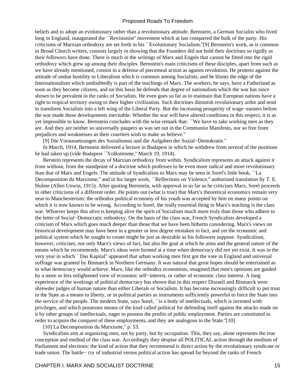beliefs and to adopt an evolutionary rather than a revolutionary attitude. Bernstein, a German Socialist who lived long in England, inaugurated the ``Revisionist" movement which at last conquered the bulk of the party. His criticisms of Marxian orthodoxy are set forth in his ``Evolutionary Socialism.''[9] Bernstein's work, as is common in Broad Church writers, consists largely in showing that the Founders did not hold their doctrines so rigidly as their followers have done. There is much in the writings of Marx and Engels that cannot be fitted into the rigid orthodoxy which grew up among their disciples. Bernstein's main criticisms of these disciples, apart from such as we have already mentioned, consist in a defense of piecemeal action as against revolution. He protests against the attitude of undue hostility to Liberalism which is common among Socialists, and he blunts the edge of the Internationalism which undoubtedly is part of the teachings of Marx. The workers, he says, have a Fatherland as soon as they become citizens, and on this basis he defends that degree of nationalism which the war has since shown to be prevalent in the ranks of Socialists. He even goes so far as to maintain that European nations have a right to tropical territory owing to their higher civilization. Such doctrines diminish revolutionary ardor and tend to transform Socialists into a left wing of the Liberal Party. But the increasing prosperity of wage−earners before the war made these developments inevitable. Whether the war will have altered conditions in this respect, it is as yet impossible to know. Bernstein concludes with the wise remark that: ``We have to take working men as they are. And they are neither so universally paupers as was set out in the Communist Manifesto, nor so free from prejudices and weaknesses as their courtiers wish to make us believe.''

[9] Die Voraussetzungen des Sozialismus und die Aufgaben der Sozial−Demokratie.''

 In March, 1914, Bernstein delivered a lecture in Budapest in which he withdrew from several of the positions he had taken up (vide Budapest ``Volkstimme,'' March 19, 1914).

 Berstein represents the decay of Marxian orthodoxy from within. Syndicalism represents an attack against it from without, from the standpoint of a doctrine which professes to be even more radical and more revolutionary than that of Marx and Engels. The attitude of Syndicalists to Marx may be seen in Sorel's little book, ``La Decomposition du Marxisme," and in his larger work, "Reflections on Violence," authorized translation by T. E. Hulme (Allen Unwin, 1915). After quoting Bernstein, with approval in so far as he criticises Marx, Sorel proceeds to other criticisms of a different order. He points out (what is true) that Marx's theoretical economics remain very near to Manchesterism: the orthodox political economy of his youth was accepted by him on many points on which it is now known to be wrong. According to Sorel, the really essential thing in Marx's teaching is the class war. Whoever keeps this alive is keeping alive the spirit of Socialism much more truly than those who adhere to the letter of Social−Democratic orthodoxy. On the basis of the class war, French Syndicalists developed a criticism of Marx which goes much deeper than those that we have been hitherto considering. Marx's views on historical development may have been in a greater or less degree mistaken in fact, and yet the economic and political system which he sought to create might be just as desirable as his followers suppose. Syndicalism, however, criticises, not only Marx's views of fact, but also the goal at which he aims and the general nature of the means which he recommends. Marx's ideas were formed at a time when democracy did not yet exist. It was in the very year in which ``Das Kapital'' appeared that urban working men first got the vote in England and universal suffrage was granted by Bismarck in Northern Germany. It was natural that great hopes should be entertained as to what democracy would achieve. Marx, like the orthodox economists, imagined that men's opinions are guided by a more or less enlightened view of economic self−interest, or rather of economic class interest. A long experience of the workings of political democracy has shown that in this respect Disraeli and Bismarck were shrewder judges of human nature than either Liberals or Socialists. It has become increasingly difficult to put trust in the State as a means to liberty, or in political parties as instruments sufficiently powerful to force the State into the service of the people. The modern State, says Sorel, ``is a body of intellectuals, which is invested with privileges, and which possesses means of the kind called political for defending itself against the attacks made on it by other groups of intellectuals, eager to possess the profits of public employment. Parties are constituted in order to acquire the conquest of these employments, and they are analogous to the State.''[10]

[10] La Decomposition du Marxisme,'' p. 53.

 Syndicalists aim at organizing men, not by party, but by occupation. This, they say, alone represents the true conception and method of the class war. Accordingly they despise all POLITICAL action through the medium of Parliament and elections: the kind of action that they recommend is direct action by the revolutionary syndicate or trade union. The battle− cry of industrial versus political action has spread far beyond the ranks of French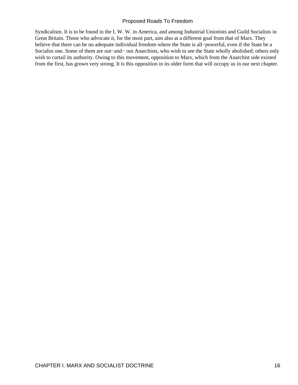Syndicalism. It is to be found in the I. W. W. in America, and among Industrial Unionists and Guild Socialists in Great Britain. Those who advocate it, for the most part, aim also at a different goal from that of Marx. They believe that there can be no adequate individual freedom where the State is all−powerful, even if the State be a Socialist one. Some of them are out−and− out Anarchists, who wish to see the State wholly abolished; others only wish to curtail its authority. Owing to this movement, opposition to Marx, which from the Anarchist side existed from the first, has grown very strong. It is this opposition in its older form that will occupy us in our next chapter.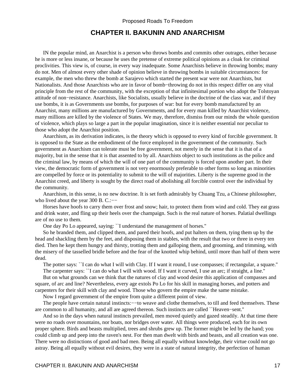## **CHAPTER II. BAKUNIN AND ANARCHISM**

<span id="page-19-0"></span> IN the popular mind, an Anarchist is a person who throws bombs and commits other outrages, either because he is more or less insane, or because he uses the pretense of extreme political opinions as a cloak for criminal proclivities. This view is, of course, in every way inadequate. Some Anarchists believe in throwing bombs; many do not. Men of almost every other shade of opinion believe in throwing bombs in suitable circumstances: for example, the men who threw the bomb at Sarajevo which started the present war were not Anarchists, but Nationalists. And those Anarchists who are in favor of bomb–throwing do not in this respect differ on any vital principle from the rest of the community, with the exception of that infinitesimal portion who adopt the Tolstoyan attitude of non−resistance. Anarchists, like Socialists, usually believe in the doctrine of the class war, and if they use bombs, it is as Governments use bombs, for purposes of war: but for every bomb manufactured by an Anarchist, many millions are manufactured by Governments, and for every man killed by Anarchist violence, many millions are killed by the violence of States. We may, therefore, dismiss from our minds the whole question of violence, which plays so large a part in the popular imagination, since it is neither essential nor peculiar to those who adopt the Anarchist position.

 Anarchism, as its derivation indicates, is the theory which is opposed to every kind of forcible government. It is opposed to the State as the embodiment of the force employed in the government of the community. Such government as Anarchism can tolerate must be free government, not merely in the sense that it is that of a majority, but in the sense that it is that assented to by all. Anarchists object to such institutions as the police and the criminal law, by means of which the will of one part of the community is forced upon another part. In their view, the democratic form of government is not very enormously preferable to other forms so long as minorities are compelled by force or its potentiality to submit to the will of majorities. Liberty is the supreme good in the Anarchist creed, and liberty is sought by the direct road of abolishing all forcible control over the individual by the community.

 Anarchism, in this sense, is no new doctrine. It is set forth admirably by Chuang Tzu, a Chinese philosopher, who lived about the year 300 B. C.:−−

 Horses have hoofs to carry them over frost and snow; hair, to protect them from wind and cold. They eat grass and drink water, and fling up their heels over the champaign. Such is the real nature of horses. Palatial dwellings are of no use to them.

One day Po Lo appeared, saying: ``I understand the management of horses.''

 So he branded them, and clipped them, and pared their hoofs, and put halters on them, tying them up by the head and shackling them by the feet, and disposing them in stables, with the result that two or three in every ten died. Then he kept them hungry and thirsty, trotting them and galloping them, and grooming, and trimming, with the misery of the tasselled bridle before and the fear of the knotted whip behind, until more than half of them were dead.

 The potter says: ``I can do what I will with Clay. If I want it round, I use compasses; if rectangular, a square.'' The carpenter says: ``I can do what I will with wood. If I want it curved, I use an arc; if straight, a line.''

 But on what grounds can we think that the natures of clay and wood desire this application of compasses and square, of arc and line? Nevertheless, every age extols Po Lo for his skill in managing horses, and potters and carpenters for their skill with clay and wood. Those who govern the empire make the same mistake.

Now I regard government of the empire from quite a different point of view.

The people have certain natural instincts:— $-$ to weave and clothe themselves, to till and feed themselves. These are common to all humanity, and all are agreed thereon. Such instincts are called ``Heaven−sent.''

 And so in the days when natural instincts prevailed, men moved quietly and gazed steadily. At that time there were no roads over mountains, nor boats, nor bridges over water. All things were produced, each for its own proper sphere. Birds and beasts multiplied, trees and shrubs grew up. The former might be led by the hand; you could climb up and peep into the raven's nest. For then man dwelt with birds and beasts, and all creation was one. There were no distinctions of good and bad men. Being all equally without knowledge, their virtue could not go astray. Being all equally without evil desires, they were in a state of natural integrity, the perfection of human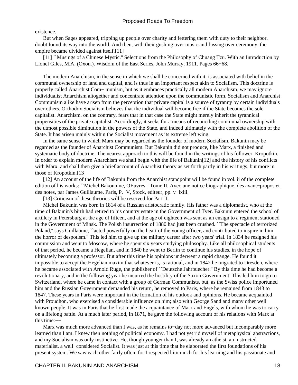#### existence.

 But when Sages appeared, tripping up people over charity and fettering them with duty to their neighbor, doubt found its way into the world. And then, with their gushing over music and fussing over ceremony, the empire became divided against itself.[11]

 [11] ``Musings of a Chinese Mystic.'' Selections from the Philosophy of Chuang Tzu. With an Introduction by Lionel Giles, M.A. (Oxon.). Wisdom of the East Series, John Murray, 1911. Pages 66−68.

 The modern Anarchism, in the sense in which we shall be concerned with it, is associated with belief in the communal ownership of land and capital, and is thus in an important respect akin to Socialism. This doctrine is properly called Anarchist Com− munism, but as it embraces practically all modern Anarchism, we may ignore individualist Anarchism altogether and concentrate attention upon the communistic form. Socialism and Anarchist Communism alike have arisen from the perception that private capital is a source of tyranny by certain individuals over others. Orthodox Socialism believes that the individual will become free if the State becomes the sole capitalist. Anarchism, on the contrary, fears that in that case the State might merely inherit the tyrannical propensities of the private capitalist. Accordingly, it seeks for a means of reconciling communal ownership with the utmost possible diminution in the powers of the State, and indeed ultimately with the complete abolition of the State. It has arisen mainly within the Socialist movement as its extreme left wing.

 In the same sense in which Marx may be regarded as the founder of modern Socialism, Bakunin may be regarded as the founder of Anarchist Communism. But Bakunin did not produce, like Marx, a finished and systematic body of doctrine. The nearest approach to this will be found in the writings of his follower, Kropotkin. In order to explain modern Anarchism we shall begin with the life of Bakunin[12] and the history of his conflicts with Marx, and shall then give a brief account of Anarchist theory as set forth partly in his writings, but more in those of Kropotkin.[13]

 [12] An account of the life of Bakunin from the Anarchist standpoint will be found in vol. ii of the complete edition of his works: ``Michel Bakounine, OEuvres,'' Tome II. Avec une notice biographique, des avant−propos et des notes, par James Guillaume. Paris, P.−V, Stock, editeur, pp. v−lxiii.

[13] Criticism of these theories will be reserved for Part II.

 Michel Bakunin was born in 1814 of a Russian aristocratic family. His father was a diplomatist, who at the time of Bakunin's birth had retired to his country estate in the Government of Tver. Bakunin entered the school of artillery in Petersburg at the age of fifteen, and at the age of eighteen was sent as an ensign to a regiment stationed in the Government of Minsk. The Polish insurrection of 1880 had just been crushed. ``The spectacle of terrorized Poland,'' says Guillaume, ``acted powerfully on the heart of the young officer, and contributed to inspire in him the horror of despotism.'' This led him to give up the military career after two years' trial. In 1834 he resigned his commission and went to Moscow, where he spent six years studying philosophy. Like all philosophical students of that period, he became a Hegelian, and in 1840 he went to Berlin to continue his studies, in the hope of ultimately becoming a professor. But after this time his opinions underwent a rapid change. He found it impossible to accept the Hegelian maxim that whatever is, is rational, and in 1842 he migrated to Dresden, where he became associated with Arnold Ruge, the publisher of ``Deutsche Jahrbuecher.'' By this time he had become a revolutionary, and in the following year he incurred the hostility of the Saxon Government. This led him to go to Switzerland, where he came in contact with a group of German Communists, but, as the Swiss police importuned him and the Russian Government demanded his return, he removed to Paris, where he remained from 1843 to 1847. These years in Paris were important in the formation of his outlook and opinions. He became acquainted with Proudhon, who exercised a considerable influence on him; also with George Sand and many other well− known people. It was in Paris that he first made the acquaintance of Marx and Engels, with whom he was to carry on a lifelong battle. At a much later period, in 1871, he gave the following account of his relations with Marx at this time:−−

 Marx was much more advanced than I was, as he remains to−day not more advanced but incomparably more learned than I am. I knew then nothing of political economy. I had not yet rid myself of metaphysical abstractions, and my Socialism was only instinctive. He, though younger than I, was already an atheist, an instructed materialist, a well−considered Socialist. It was just at this time that he elaborated the first foundations of his present system. We saw each other fairly often, for I respected him much for his learning and his passionate and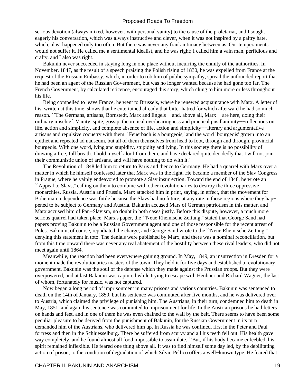serious devotion (always mixed, however, with personal vanity) to the cause of the proletariat, and I sought eagerly his conversation, which was always instructive and clever, when it was not inspired by a paltry hate, which, alas! happened only too often. But there was never any frank intimacy between as. Our temperaments would not suffer it. He called me a sentimental idealist, and he was right; I called him a vain man, perfidious and crafty, and I also was right.

 Bakunin never succeeded in staying long in one place without incurring the enmity of the authorities. In November, 1847, as the result of a speech praising the Polish rising of 1830, he was expelled from France at the request of the Russian Embassy, which, in order to rob him of public sympathy, spread the unfounded report that he had been an agent of the Russian Government, but was no longer wanted because he had gone too far. The French Government, by calculated reticence, encouraged this story, which clung to him more or less throughout his life.

 Being compelled to leave France, he went to Brussels, where he renewed acquaintance with Marx. A letter of his, written at this time, shows that he entertained already that bitter hatred for which afterward he had so much reason. ``The Germans, artisans, Bornstedt, Marx and Engels−−and, above all, Marx−−are here, doing their ordinary mischief. Vanity, spite, gossip, theoretical overbearingness and practical pusillanimity−−reflections on life, action and simplicity, and complete absence of life, action and simplicity−−literary and argumentative artisans and repulsive coquetry with them: `Feuerbach is a bourgeois,' and the word `bourgeois' grown into an epithet and repeated ad nauseum, but all of them themselves from head to foot, through and through, provincial bourgeois. With one word, lying and stupidity, stupidity and lying. In this society there is no possibility of drawing a free, full breath. I hold myself aloof from them, and have declared quite decidedly that I will not join their communistic union of artisans, and will have nothing to do with it.''

 The Revolution of 1848 led him to return to Paris and thence to Germany. He had a quarrel with Marx over a matter in which he himself confessed later that Marx was in the right. He became a member of the Slav Congress in Prague, where he vainly endeavored to promote a Slav insurrection. Toward the end of 1848, he wrote an ``Appeal to Slavs,'' calling on them to combine with other revolutionaries to destroy the three oppressive monarchies, Russia, Austria and Prussia. Marx attacked him in print, saying, in effect, that the movement for Bohemian independence was futile because the Slavs had no future, at any rate in those regions where they hap– pened to be subject to Germany and Austria. Bakunin accused Mars of German patriotism in this matter, and Marx accused him of Pan−Slavism, no doubt in both cases justly. Before this dispute, however, a much more serious quarrel had taken place. Marx's paper, the ``Neue Rheinische Zeitung,'' stated that George Sand had papers proving Bakunin to be a Russian Government agent and one of those responsible for the recent arrest of Poles. Bakunin, of course, repudiated the charge, and George Sand wrote to the ``Neue Rheinische Zeitung,'' denying this statement in toto. The denials were published by Marx, and there was a nominal reconciliation, but from this time onward there was never any real abatement of the hostility between these rival leaders, who did not meet again until 1864.

 Meanwhile, the reaction had been everywhere gaining ground. In May, 1849, an insurrection in Dresden for a moment made the revolutionaries masters of the town. They held it for five days and established a revolutionary government. Bakunin was the soul of the defense which they made against the Prussian troops. But they were overpowered, and at last Bakunin was captured while trying to escape with Heubner and Richard Wagner, the last of whom, fortunately for music, was not captured.

 Now began a long period of imprisonment in many prisons and various countries. Bakunin was sentenced to death on the 14th of January, 1850, but his sentence was commuted after five months, and he was delivered over to Austria, which claimed the privilege of punishing him. The Austrians, in their turn, condemned him to death in May, 1851, and again his sentence was commuted to imprisonment for life. In the Austrian prisons he had fetters on hands and feet, and in one of them he was even chained to the wall by the belt. There seems to have been some peculiar pleasure to be derived from the punishment of Bakunin, for the Russian Government in its turn demanded him of the Austrians, who delivered him up. In Russia he was confined, first in the Peter and Paul fortress and then in the Schluesselburg. There be suffered from scurvy and all his teeth fell out. His health gave way completely, and he found almost all food impossible to assimilate. ``But, if his body became enfeebled, his spirit remained inflexible. He feared one thing above all. It was to find himself some day led, by the debilitating action of prison, to the condition of degradation of which Silvio Pellico offers a well−known type. He feared that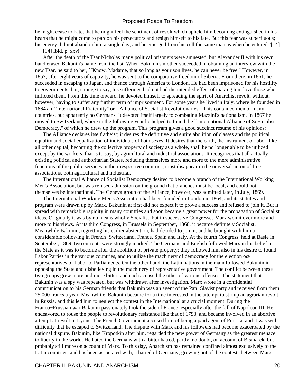he might cease to hate, that he might feel the sentiment of revolt which upheld him becoming extinguished in his hearts that he might come to pardon his persecutors and resign himself to his fate. But this fear was superfluous; his energy did not abandon him a single day, and he emerged from his cell the same man as when he entered."[14]

[14] Ibid. p. xxvi.

 After the death of the Tsar Nicholas many political prisoners were amnested, but Alexander II with his own hand erased Bakunin's name from the list. When Bakunin's mother succeeded in obtaining an interview with the new Tsar, he said to her, ``Know, Madame, that so long as your son lives, he can never be free.'' However, in 1857, after eight years of captivity, he was sent to the comparative freedom of Siberia. From there, in 1861, he succeeded in escaping to Japan, and thence through America to London. He had been imprisoned for his hostility to governments, but, strange to say, his sufferings had not had the intended effect of making him love those who inflicted them. From this time onward, he devoted himself to spreading the spirit of Anarchist revolt, without, however, having to suffer any further term of imprisonment. For some years he lived in Italy, where he founded in 1864 an ``International Fraternity'' or ``Alliance of Socialist Revolutionaries.'' This contained men of many countries, but apparently no Germans. It devoted itself largely to combating Mazzini's nationalism. In 1867 he moved to Switzerland, where in the following year he helped to found the ``International Alliance of So− cialist Democracy," of which he drew up the program. This program gives a good succinct resume of his opinions:—−

 The Alliance declares itself atheist; it desires the definitive and entire abolition of classes and the political equality and social equalization of individuals of both sexes. It desires that the earth, the instrument of labor, like all other capital, becoming the collective property of society as a whole, shall be no longer able to be utilized except by the workers, that is to say, by agricultural and industrial associations. It recognizes that all actually existing political and authoritarian States, reducing themselves more and more to the mere administrative functions of the public services in their respective countries, must disappear in the universal union of free associations, both agricultural and industrial.

 The International Alliance of Socialist Democracy desired to become a branch of the International Working Men's Association, but was refused admission on the ground that branches must be local, and could not themselves be international. The Geneva group of the Alliance, however, was admitted later, in July, 1869.

 The International Working Men's Association had been founded in London in 1864, and its statutes and program were drawn up by Marx. Bakunin at first did not expect it to prove a success and refused to join it. But it spread with remarkable rapidity in many countries and soon became a great power for the propagation of Socialist ideas. Originally it was by no means wholly Socialist, but in successive Congresses Marx won it over more and more to his views. At its third Congress, in Brussels in September, 1868, it became definitely Socialist. Meanwhile Bakunin, regretting his earlier abstention, had decided to join it, and he brought with him a considerable following in French−Switzerland, France, Spain and Italy. At the fourth Congress, held at Basle in September, 1869, two currents were strongly marked. The Germans and English followed Marx in his belief in the State as it was to become after the abolition of private property; they followed him also in his desire to found Labor Parties in the various countries, and to utilize the machinery of democracy for the election oœ representatives of Labor to Parliaments. On the other hand, the Latin nations in the main followed Bakunin in opposing the State and disbelieving in the machinery of representative government. The conflict between these two groups grew more and more bitter, and each accused the other of various offenses. The statement that Bakunin was a spy was repeated, but was withdrawn after investigation. Marx wrote in a confidential communication to his German friends that Bakunin was an agent of the Pan−Slavist party and received from them 25,000 francs a year. Meanwhile, Bakunin became for a time interested in the attempt to stir up an agrarian revolt in Russia, and this led him to neglect the contest in the International at a crucial moment. During the Franco−Prussian war Bakunin passionately took the side of France, especially after the fall of Napoleon III. He endeavored to rouse the people to revolutionary resistance like that of 1793, and became involved in an abortive attempt at revolt in Lyons. The French Government accused him of being a paid agent of Prussia, and it was with difficulty that he escaped to Switzerland. The dispute with Marx and his followers had become exacerbated by the national dispute. Bakunin, like Kropotkin after him, regarded the new power of Germany as the greatest menace to liberty in the world. He hated the Germans with a bitter hatred, partly, no doubt, on account of Bismarck, but probably still more on account of Marx. To this day, Anarchism has remained confined almost exclusively to the Latin countries, and has been associated with, a hatred of Germany, growing out of the contests between Marx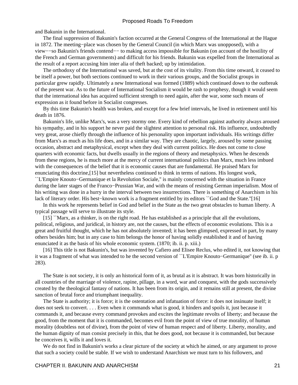and Bakunin in the International.

 The final suppression of Bakunin's faction occurred at the General Congress of the International at the Hague in 1872. The meeting−place was chosen by the General Council (in which Marx was unopposed), with a view−−so Bakunin's friends contend−− to making access impossible for Bakunin (on account of the hostility of the French and German governments) and difficult for his friends. Bakunin was expelled from the International as the result of a report accusing him inter alia of theft backed; up by intimidation.

 The orthodoxy of the International was saved, but at the cost of its vitality. From this time onward, it ceased to be itself a power, but both sections continued to work in their various groups, and the Socialist groups in particular grew rapidly. Ultimately a new International was formed (1889) which continued down to the outbreak of the present war. As to the future of International Socialism it would be rash to prophesy, though it would seem that the international idea has acquired sufficient strength to need again, after the war, some such means of expression as it found before in Socialist congresses.

 By this time Bakunin's health was broken, and except for a few brief intervals, he lived in retirement until his death in 1876.

 Bakunin's life, unlike Marx's, was a very stormy one. Every kind of rebellion against authority always aroused his sympathy, and in his support he never paid the slightest attention to personal risk. His influence, undoubtedly very great, arose chiefly through the influence of his personality upon important individuals. His writings differ from Marx's as much as his life does, and in a similar way. They are chaotic, largely, aroused by some passing occasion, abstract and metaphysical, except when they deal with current politics. He does not come to close quarters with economic facts, but dwells usually in the regions of theory and metaphysics. When he descends from these regions, he is much more at the mercy of current international politics than Marx, much less imbued with the consequences of the belief that it is economic causes that are fundamental. He praised Marx for enunciating this doctrine,[15] but nevertheless continued to think in terms of nations. His longest work, ``L'Empire Knouto−Germanique et la Revolution Sociale,'' is mainly concerned with the situation in France during the later stages of the Franco−Prussian War, and with the means of resisting German imperialism. Most of his writing was done in a hurry in the interval between two insurrections. There is something of Anarchism in his lack of literary order. His best−known work is a fragment entitled by its editors ``God and the State.''[16]

 In this work he represents belief in God and belief in the State as the two great obstacles to human liberty. A typical passage will serve to illustrate its style.

 [15] ``Marx, as a thinker, is on the right road. He has established as a principle that all the evolutions, political, religious, and juridical, in history are, not the causes, but the effects of economic evolutions. This is a great and fruitful thought, which he has not absolutely invented; it has been glimpsed, expressed in part, by many others besides him; but in any case to him belongs the honor of having solidly established it and of having enunciated it as the basis of his whole economic system. (1870; ib. ii. p. xiii.)

 [16] This title is not Bakunin's, but was invented by Cafiero and Elisee Reclus, who edited it, not knowing that it was a fragment of what was intended to he the second version of ``L'Empire Knouto−Germanique'' (see ib. ii. p 283).

 The State is not society, it is only an historical form of it, as brutal as it is abstract. It was born historically in all countries of the marriage of violence, rapine, pillage, in a word, war and conquest, with the gods successively created by the theological fantasy of nations. It has been from its origin, and it remains still at present, the divine sanction of brutal force and triumphant inequality.

 The State is authority; it is force; it is the ostentation and infatuation of force: it does not insinuate itself; it does not seek to convert. . . . Even when it commands what is good, it hinders and spoils it, just because it commands it, and because every command provokes and excites the legitimate revolts of liberty; and because the good, from the moment that it is commanded, becomes evil from the point of view of true morality, of human morality (doubtless not of divine), from the point of view of human respect and of liberty. Liberty, morality, and the human dignity of man consist precisely in this, that he does good, not because it is commanded, but because he conceives it, wills it and loves it.

We do not find in Bakunin's works a clear picture of the society at which he aimed, or any argument to prove that such a society could be stable. If we wish to understand Anarchism we must turn to his followers, and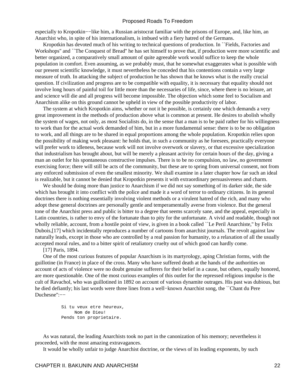especially to Kropotkin−−like him, a Russian aristocrat familiar with the prisons of Europe, and, like him, an Anarchist who, in spite of his internationalism, is imbued with a fiery hatred of the Germans.

 Kropotkin has devoted much of his writing to technical questions of production. In ``Fields, Factories and Workshops'' and ``The Conquest of Bread'' he has set himself to prove that, if production were more scientific and better organized, a comparatively small amount of quite agreeable work would suffice to keep the whole population in comfort. Even assuming, as we probably must, that he somewhat exaggerates what is possible with our present scientific knowledge, it must nevertheless be conceded that his contentions contain a very large measure of truth. In attacking the subject of production he has shown that he knows what is the really crucial question. If civilization and progress are to be compatible with equality, it is necessary that equality should not involve long hours of painful toil for little more than the necessaries of life, since, where there is no leisure, art and science will die and all progress will become impossible. The objection which some feel to Socialism and Anarchism alike on this ground cannot be upheld in view of the possible productivity of labor.

 The system at which Kropotkin aims, whether or not it be possible, is certainly one which demands a very great improvement in the methods of production above what is common at present. He desires to abolish wholly the system of wages, not only, as most Socialists do, in the sense that a man is to be paid rather for his willingness to work than for the actual work demanded of him, but in a more fundamental sense: there is to be no obligation to work, and all things are to be shared in equal proportions among the whole population. Kropotkin relies upon the possibility of making work pleasant: he holds that, in such a community as he foresees, practically everyone will prefer work to idleness, because work will not involve overwork or slavery, or that excessive specialization that industrialism has brought about, but will be merely a pleasant activity for certain hours of the day, giving a man an outlet for his spontaneous constructive impulses. There is to be no compulsion, no law, no government exercising force; there will still be acts of the community, but these are to spring from universal consent, not from any enforced submission of even the smallest minority. We shall examine in a later chapter how far such an ideal is realizable, but it cannot be denied that Kropotkin presents it with extraordinary persuasiveness and charm.

We should be doing more than justice to Anarchism if we did not say something of its darker side, the side which has brought it into conflict with the police and made it a word of terror to ordinary citizens. In its general doctrines there is nothing essentially involving violent methods or a virulent hatred of the rich, and many who adopt these general doctrines are personally gentle and temperamentally averse from violence. But the general tone of the Anarchist press and public is bitter to a degree that seems scarcely sane, and the appeal, especially in Latin countries, is rather to envy of the fortunate than to pity for the unfortunate. A vivid and readable, though not wholly reliable, account, from a hostile point of view, is given in a book called "Le Peril Anarchiste," by Felix Dubois,[17] which incidentally reproduces a number of cartoons from anarchist journals. The revolt against law naturally leads, except in those who are controlled by a real passion for humanity, to a relaxation of all the usually accepted moral rules, and to a bitter spirit of retaliatory cruelty out of which good can hardly come.

[17] Paris, 1894.

 One of the most curious features of popular Anarchism is its martyrology, aping Christian forms, with the guillotine (in France) in place of the cross. Many who have suffered death at the hands of the authorities on account of acts of violence were no doubt genuine sufferers for their belief in a cause, but others, equally honored, are more questionable. One of the most curious examples of this outlet for the repressed religious impulse is the cult of Ravachol, who was guillotined in 1892 on account of various dynamite outrages. His past was dubious, but he died defiantly; his last words were three lines from a well−known Anarchist song, the ``Chant du Pere Duchesne'':−−

> Si tu veux etre heureux, Nom de Dieu! Pends ton proprietaire.

 As was natural, the leading Anarchists took no part in the canonization of his memory; nevertheless it proceeded, with the most amazing extravagances.

It would be wholly unfair to judge Anarchist doctrine, or the views of its leading exponents, by such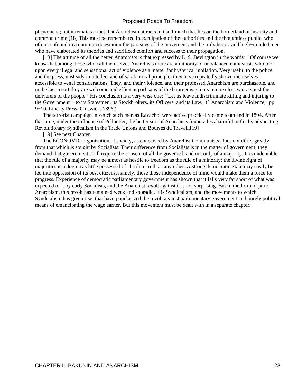phenomena; but it remains a fact that Anarchism attracts to itself much that lies on the borderland of insanity and common crime.[18] This must be remembered in exculpation of the authorities and the thoughtless public, who often confound in a common detestation the parasites of the movement and the truly heroic and high−minded men who have elaborated its theories and sacrificed comfort and success to their propagation.

 [18] The attitude of all the better Anarchists is that expressed by L. S. Bevington in the words: ``Of course we know that among those who call themselves Anarchists there are a minority of unbalanced enthusiasts who look upon every illegal and sensational act of violence as a matter for hysterical jubilation. Very useful to the police and the press, unsteady in intellect and of weak moral principle, they have repeatedly shown themselves accessible to venal considerations. They, and their violence, and their professed Anarchism are purchasable, and in the last resort they are welcome and efficient partisans of the bourgeoisie in its remorseless war against the deliverers of the people.'' His conclusion is a very wise one: ``Let us leave indiscriminate killing and injuring to the Government−−to its Statesmen, its Stockbrokers, its Officers, and its Law.'' (``Anarchism and Violence,'' pp. 9−10. Liberty Press, Chiswick, 1896.)

 The terrorist campaign in which such men as Ravachol were active practically came to an end in 1894. After that time, under the influence of Pelloutier, the better sort of Anarchists found a less harmful outlet by advocating Revolutionary Syndicalism in the Trade Unions and Bourses du Travail.[19]

## [19] See next Chapter.

 The ECONOMIC organization of society, as conceived by Anarchist Communists, does not differ greatly from that which is sought by Socialists. Their difference from Socialists is in the matter of government: they demand that government shall require the consent of all the governed, and not only of a majority. It is undeniable that the rule of a majority may be almost as hostile to freedom as the rule of a minority: the divine right of majorities is a dogma as little possessed of absolute truth as any other. A strong democratic State may easily be led into oppression of its best citizens, namely, those those independence of mind would make them a force for progress. Experience of democratic parliamentary government has shown that it falls very far short of what was expected of it by early Socialists, and the Anarchist revolt against it is not surprising. But in the form of pure Anarchism, this revolt has remained weak and sporadic. It is Syndicalism, and the movements to which Syndicalism has given rise, that have popularized the revolt against parliamentary government and purely political means of emancipating the wage earner. But this movement must be dealt with in a separate chapter.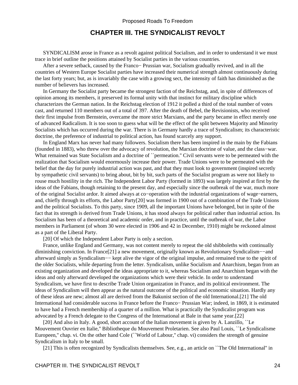## **CHAPTER III. THE SYNDICALIST REVOLT**

<span id="page-26-0"></span> SYNDICALISM arose in France as a revolt against political Socialism, and in order to understand it we must trace in brief outline the positions attained by Socialist parties in the various countries.

 After a severe setback, caused by the Franco− Prussian war, Socialism gradually revived, and in all the countries of Western Europe Socialist parties have increased their numerical strength almost continuously during the last forty years; but, as is invariably the case with a growing sect, the intensity of faith has diminished as the number of believers has increased.

 In Germany the Socialist party became the strongest faction of the Reichstag, and, in spite of differences of opinion among its members, it preserved its formal unity with that instinct for military discipline which characterizes the German nation. In the Reichstag election of 1912 it polled a third of the total number of votes cast, and returned 110 members out of a total of 397. After the death of Bebel, the Revisionists, who received their first impulse from Bernstein, overcame the more strict Marxians, and the party became in effect merely one of advanced Radicalism. It is too soon to guess what will be the effect of the split between Majority and Minority Socialists which has occurred during the war. There is in Germany hardly a trace of Syndicalism; its characteristic doctrine, the preference of industrial to political action, has found scarcely any support.

 In England Marx has never had many followers. Socialism there has been inspired in the main by the Fabians (founded in 1883), who threw over the advocacy of revolution, the Marxian doctrine of value, and the class−war. What remained was State Socialism and a doctrine of "permeation." Civil servants were to be permeated with the realization that Socialism would enormously increase their power. Trade Unions were to be permeated with the belief that the day for purely industrial action was past, and that they must look to government (inspired secretly by sympathetic civil servants) to bring about, bit by bit, such parts of the Socialist program as were not likely to rouse much hostility in the rich. The Independent Labor Party (formed in 1893) was largely inspired at first by the ideas of the Fabians, though retaining to the present day, and especially since the outbreak of the war, much more of the original Socialist ardor. It aimed always at co−operation with the industrial organizations of wage−earners, and, chiefly through its efforts, the Labor Party[20] was formed in 1900 out of a combination of the Trade Unions and the political Socialists. To this party, since 1909, all the important Unions have belonged, but in spite of the fact that its strength is derived from Trade Unions, it has stood always for political rather than industrial action. Its Socialism has been of a theoretical and academic order, and in practice, until the outbreak of war, the Labor members in Parliament (of whom 30 were elected in 1906 and 42 in December, 1910) might be reckoned almost as a part of the Liberal Party.

[20] Of which the Independent Labor Party is only a section.

 France, unlike England and Germany, was not content merely to repeat the old shibboleths with continually diminishing conviction. In France[21] a new movement, originally known as Revolutionary Syndicalism−−and afterward simply as Syndicalism−− kept alive the vigor of the original impulse, and remained true to the spirit of the older Socialists, while departing from the letter. Syndicalism, unlike Socialism and Anarchism, began from an existing organization and developed the ideas appropriate to it, whereas Socialism and Anarchism began with the ideas and only afterward developed the organizations which were their vehicle. In order to understand Syndicalism, we have first to describe Trade Union organization in France, and its political environment. The ideas of Syndicalism will then appear as the natural outcome of the political and economic situation. Hardly any of these ideas are new; almost all are derived from the Bakunist section of the old International.[21] The old International had considerable success in France before the Franco− Prussian War; indeed, in 1869, it is estimated to have had a French membership of a quarter of a million. What is practically the Syndicalist program was advocated by a French delegate to the Congress of the International at Bale in that same year.[22]

[20] And also in Italy. A good, short account of the Italian movement is given by A. Lanzillo, "Le Mouvement Ouvrier en Italie,'' Bibliotheque du Mouvement Proletarien. See also Paul Louis, ``Le Syndicalisme Europeen," chap. vi. On the other hand Cole (``World of Labour," chap. vi) considers the strength of genuine Syndicalism in Italy to be small.

[21] This is often recognized by Syndicalists themselves. See, e.g., an article on ``The Old International'' in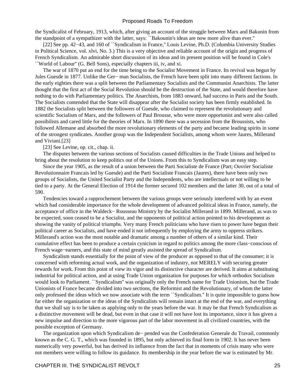the Syndicalist of February, 1913, which, after giving an account of the struggle between Marx and Bakunin from the standpoint of a sympathizer with the latter, says: ``Bakounin's ideas are now more alive than ever.''

[22] See pp. 42–43, and 160 of ``Syndicalism in France," Louis Levine, Ph.D. (Columbia University Studies in Political Science, vol. xlvi, No. 3.) This is a very objective and reliable account of the origin and progress of French Syndicalism. An admirable short discussion of its ideas and its present position will be found in Cole's ``World of Labour'' (G. Bell Sons), especially chapters iii, iv, and xi.

 The war of 1870 put an end for the time being to the Socialist Movement in France. Its revival was begun by Jules Guesde in 1877. Unlike the Ger− man Socialists, the French have been split into many different factions. In the early eighties there was a split between the Parliamentary Socialists and the Communist Anarchists. The latter thought that the first act of the Social Revolution should be the destruction of the State, and would therefore have nothing to do with Parliamentary politics. The Anarchists, from 1883 onward, had success in Paris and the South. The Socialists contended that the State will disappear after the Socialist society has been firmly established. In 1882 the Socialists split between the followers of Guesde, who claimed to represent the revolutionary and scientific Socialism of Marx, and the followers of Paul Brousse, who were more opportunist and were also called possibilists and cared little for the theories of Marx. In 1890 there was a secession from the Broussists, who followed Allemane and absorbed the more revolutionary elements of the party and became leading spirits in some of the strongest syndicates. Another group was the Independent Socialists, among whom were Jaures, Millerand and Viviani.[23]

[23] See Levine, op. cit., chap. ii.

 The disputes between the various sections of Socialists caused difficulties in the Trade Unions and helped to bring about the resolution to keep politics out of the Unions. From this to Syndicalism was an easy step.

 Since the year 1905, as the result of a union between the Parti Socialiste de France (Part; Ouvrier Socialiste Revolutionnaire Francais led by Guesde) and the Parti Socialiste Francais (Jaures), there have been only two groups of Socialists, the United Socialist Party and the Independents, who are intellectuals or not willing to be tied to a party. At the General Election of 1914 the former secured 102 members and the latter 30, out of a total of 590.

 Tendencies toward a rapprochement between the various groups were seriously interfered with by an event which had considerable importance for the whole development of advanced political ideas in France, namely, the acceptance of office in the Waldeck− Rousseau Ministry by the Socialist Millerand in 1899. Millerand, as was to be expected, soon ceased to be a Socialist, and the opponents of political action pointed to his development as showing the vanity of political triumphs. Very many French politicians who have risen to power have begun their political career as Socialists, and have ended it not infrequently by employing the army to oppress strikers. Millerand's action was the most notable and dramatic among a number of others of a similar kind. Their cumulative effect has been to produce a certain cynicism in regard to politics among the more class−conscious of French wage−earners, and this state of mind greatly assisted the spread of Syndicalism.

 Syndicalism stands essentially for the point of view of the producer as opposed to that of the consumer; it is concerned with reforming actual work, and the organization of industry, not MERELY with securing greater rewards for work. From this point of view its vigor and its distinctive character are derived. It aims at substituting industrial for political action, and at using Trade Union organization for purposes for which orthodox Socialism would look to Parliament. ``Syndicalism'' was originally only the French name for Trade Unionism, but the Trade Unionists of France became divided into two sections, the Reformist and the Revolutionary, of whom the latter only professed the ideas which we now associate with the term ``Syndicalism.'' It is quite impossible to guess how far either the organization or the ideas of the Syndicalists will remain intact at the end of the war, and everything that we shall say is to be taken as applying only to the years before the war. It may be that French Syndicalism as a distinctive movement will be dead, but even in that case it will not have lost its importance, since it has given a new impulse and direction to the more vigorous part of the labor movement in all civilized countries, with the possible exception of Germany.

 The organization upon which Syndicalism de− pended was the Confederation Generale du Travail, commonly known as the C. G. T., which was founded in 1895, but only achieved its final form in 1902. It has never been numerically very powerful, but has derived its influence from the fact that in moments of crisis many who were not members were willing to follow its guidance. Its membership in the year before the war is estimated by Mr.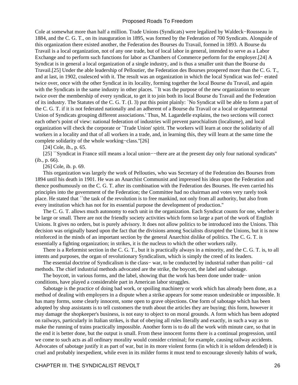Cole at somewhat more than half a million. Trade Unions (Syndicats) were legalized by Waldeck−Rousseau in 1884, and the C. G. T., on its inauguration in 1895, was formed by the Federation of 700 Syndicats. Alongside of this organization there existed another, the Federation des Bourses du Travail, formed in 1893. A Bourse du Travail is a local organization, not of any one trade, but of local labor in general, intended to serve as a Labor Exchange and to perform such functions for labor as Chambers of Commerce perform for the employer.[24] A Syndicat is in general a local organization of a single industry, and is thus a smaller unit than the Bourse du Travail.[25] Under the able leadership of Pelloutier, the Federation des Bourses prospered more than the C. G. T., and at last, in 1902, coalesced with it. The result was an organization in which the local Syndicat was fed− erated twice over, once with the other Syndicat in its locality, forming together the local Bourse du Travail, and again with the Syndicats in the same industry in other places. ``It was the purpose of the new organization to secure twice over the membership of every syndicat, to get it to join both its local Bourse du Travail and the Federation of its industry. The Statutes of the C. G. T. (I. 3) put this point plainly: `No Syndicat will be able to form a part of the C. G. T. if it is not federated nationally and an adherent of a Bourse du Travail or a local or departmental Union of Syndicats grouping different associations.' Thus, M. Lagardelle explains, the two sections will correct each other's point of view: national federation of industries will prevent parochialism (localisme), and local organization will check the corporate or `Trade Union' spirit. The workers will learn at once the solidarity of all workers in a locality and that of all workers in a trade, and, in learning this, they will learn at the same time the complete solidarity of the whole working−class.''[26]

[24] Cole, ib., p. 65.

[25] ``Syndicat in France still means a local union–−there are at the present day only four national syndicats" (ib., p. 66).

[26] Cole, ib. p. 69.

 This organization was largely the work of Pellouties, who was Secretary of the Federation des Bourses from 1894 until his death in 1901. He was an Anarchist Communist and impressed his ideas upon the Federation and thence posthumously on the C. G. T. after its combination with the Federation des Bourses. He even carried his principles into the government of the Federation; the Committee had no chairman and votes very rarely took place. He stated that ``the task of the revolution is to free mankind, not only from all authority, but also from every institution which has not for its essential purpose the development of production.''

 The C. G. T. allows much autonomy to each unit in the organization. Each Syndicat counts for one, whether it be large or small. There are not the friendly society activities which form so large a part of the work of English Unions. It gives no orders, but is purely advisory. It does not allow politics to be introduced into the Unions. This decision was originally based upon the fact that the divisions among Socialists disrupted the Unions, but it is now reinforced in the minds of an important section by the general Anarchist dislike of politics. The C. G. T. is essentially a fighting organization; in strikes, it is the nucleus to which the other workers rally.

 There is a Reformist section in the C. G. T., but it is practically always in a minority, and the C. G. T. is, to all intents and purposes, the organ of revolutionary Syndicalism, which is simply the creed of its leaders.

The essential doctrine of Syndicalism is the class– war, to be conducted by industrial rather than politi– cal methods. The chief industrial methods advocated are the strike, the boycott, the label and sabotage.

 The boycott, in various forms, and the label, showing that the work has been done under trade− union conditions, have played a considerable part in American labor struggles.

 Sabotage is the practice of doing bad work, or spoiling machinery or work which has already been done, as a method of dealing with employers in a dispute when a strike appears for some reason undesirable or impossible. It has many forms, some clearly innocent, some open to grave objections. One form of sabotage which has been adopted by shop assistants is to tell customers the truth about the articles they are buying; this form, however it may damage the shopkeeper's business, is not easy to object to on moral grounds. A form which has been adopted on railways, particularly in Italian strikes, is that of obeying all rules literally and exactly, in such a way as to make the running of trains practically impossible. Another form is to do all the work with minute care, so that in the end it is better done, but the output is small. From these innocent forms there is a continual progression, until we come to such acts as all ordinary morality would consider criminal; for example, causing railway accidents. Advocates of sabotage justify it as part of war, but in its more violent forms (in which it is seldom defended) it is cruel and probably inexpedient, while even in its milder forms it must tend to encourage slovenly habits of work,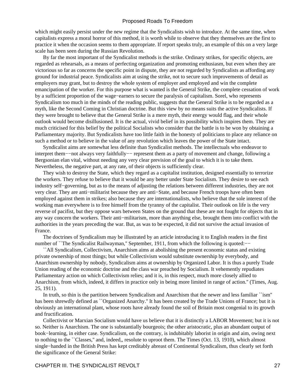which might easily persist under the new regime that the Syndicalists wish to introduce. At the same time, when capitalists express a moral horror of this method, it is worth while to observe that they themselves are the first to practice it when the occasion seems to them appropriate. If report speaks truly, an example of this on a very large scale has been seen during the Russian Revolution.

 By far the most important of the Syndicalist methods is the strike. Ordinary strikes, for specific objects, are regarded as rehearsals, as a means of perfecting organization and promoting enthusiasm, but even when they are victorious so far as concerns the specific point in dispute, they are not regarded by Syndicalists as affording any ground for industrial peace. Syndicalists aim at using the strike, not to secure such improvements of detail as employers may grant, but to destroy the whole system of employer and employed and win the complete emancipation of the worker. For this purpose what is wanted is the General Strike, the complete cessation of work by a sufficient proportion of the wage−earners to secure the paralysis of capitalism. Sorel, who represents Syndicalism too much in the minds of the reading public, suggests that the General Strike is to be regarded as a myth, like the Second Coming in Christian doctrine. But this view by no means suits the active Syndicalists. If they were brought to believe that the General Strike is a mere myth, their energy would flag, and their whole outlook would become disillusioned. It is the actual, vivid belief in its possibility which inspires them. They are much criticised for this belief by the political Socialists who consider that the battle is to be won by obtaining a Parliamentary majority. But Syndicalists have too little faith in the honesty of politicians to place any reliance on such a method or to believe in the value of any revolution which leaves the power of the State intact.

 Syndicalist aims are somewhat less definite than Syndicalist methods. The intellectuals who endeavor to interpret them−−not always very faithfully−− represent them as a party of movement and change, following a Bergsonian elan vital, without needing any very clear prevision of the goal to which it is to take them. Nevertheless, the negative part, at any rate, of their objects is sufficiently clear.

 They wish to destroy the State, which they regard as a capitalist institution, designed essentially to terrorize the workers. They refuse to believe that it would be any better under State Socialism. They desire to see each industry self−governing, but as to the means of adjusting the relations between different industries, they are not very clear. They are anti−militarist because they are anti−State, and because French troops have often been employed against them in strikes; also because they are internationalists, who believe that the sole interest of the working man everywhere is to free himself from the tyranny of the capitalist. Their outlook on life is the very reverse of pacifist, but they oppose wars between States on the ground that these are not fought for objects that in any way concern the workers. Their anti−militarism, more than anything else, brought them into conflict with the authorities in the years preceding the war. But, as was to be expected, it did not survive the actual invasion of France.

 The doctrines of Syndicalism may be illustrated by an article introducing it to English readers in the first number of ``The Syndicalist Railwayman,'' September, 1911, from which the following is quoted:−−

 ``All Syndicalism, Collectivism, Anarchism aims at abolishing the present economic status and existing private ownership of most things; but while Collectivism would substitute ownership by everybody, and Anarchism ownership by nobody, Syndicalism aims at ownership by Organized Labor. It is thus a purely Trade Union reading of the economic doctrine and the class war preached by Socialism. It vehemently repudiates Parliamentary action on which Collectivism relies; and it is, in this respect, much more closely allied to Anarchism, from which, indeed, it differs in practice only in being more limited in range of action.'' (Times, Aug. 25, 1911).

 In truth, so thin is the partition between Syndicalism and Anarchism that the newer and less familiar ``ism'' has been shrewdly defined as ``Organized Anarchy.'' It has been created by the Trade Unions of France; but it is obviously an international plant, whose roots have already found the soil of Britain most congenial to its growth and fructification.

 Collectivist or Marxian Socialism would have us believe that it is distinctly a LABOR Movement; but it is not so. Neither is Anarchism. The one is substantially bourgeois; the other aristocratic, plus an abundant output of book−learning, in either case. Syndicalism, on the contrary, is indubitably laborist in origin and aim, owing next to nothing to the ``Classes,'' and, indeed,, resolute to uproot them. The Times (Oct. 13, 1910), which almost single−handed in the British Press has kept creditably abreast of Continental Syndicalism, thus clearly set forth the significance of the General Strike: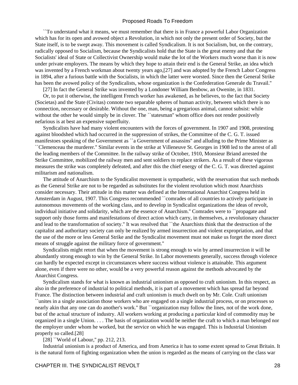``To understand what it means, we must remember that there is in France a powerful Labor Organization which has for its open and avowed object a Revolution, in which not only the present order of Society, but the State itself, is to be swept away. This movement is called Syndicalism. It is not Socialism, but, on the contrary, radically opposed to Socialism, because the Syndicalists hold that the State is the great enemy and that the Socialists' ideal of State or Collectivist Ownership would make the lot of the Workers much worse than it is now under private employers. The means by which they hope to attain their end is the General Strike, an idea which was invented by a French workman about twenty years ago,[27] and was adopted by the French Labor Congress in 1894, after a furious battle with the Socialists, in which the latter were worsted. Since then the General Strike has been the avowed policy of the Syndicalists, whose organization is the Confederation Generale du Travail.''

[27] In fact the General Strike was invented by a Londoner William Benbow, an Owenite, in 1831.

 Or, to put it otherwise, the intelligent French worker has awakened, as he believes, to the fact that Society (Societas) and the State (Civitas) connote two separable spheres of human activity, between which there is no connection, necessary or desirable. Without the one, man, being a gregarious animal, cannot subsist: while without the other he would simply be in clover. The "statesman" whom office does not render positively nefarious is at best an expensive superfluity.

 Syndicalists have had many violent encounters with the forces of government. In 1907 and 1908, protesting against bloodshed which had occurred in the suppression of strikes, the Committee of the C. G. T. issued manifestoes speaking of the Government as ``a Government of assassins'' and alluding to the Prime Minister as ``Clemenceau the murderer.'' Similar events in the strike at Villeneuve St. Georges in 1908 led to the arrest of all the leading members of the Committee. In the railway strike of October, 1910, Monsieur Briand arrested the Strike Committee, mobilized the railway men and sent soldiers to replace strikers. As a result of these vigorous measures the strike was completely defeated, and after this the chief energy of the C. G. T. was directed against militarism and nationalism.

 The attitude of Anarchism to the Syndicalist movement is sympathetic, with the reservation that such methods as the General Strike are not to be regarded as substitutes for the violent revolution which most Anarchists consider necessary. Their attitude in this matter was defined at the International Anarchist Congress held in Amsterdam in August, 1907. This Congress recommended ``comrades of all countries to actively participate in autonomous movements of the working class, and to develop in Syndicalist organizations the ideas of revolt, individual initiative and solidarity, which are the essence of Anarchism.'' Comrades were to ``propagate and support only those forms and manifestations of direct action which carry, in themselves, a revolutionary character and lead to the transformation of society.'' It was resolved that ``the Anarchists think that the destruction of the capitalist and authoritary society can only be realized by armed insurrection and violent expropriation, and that the use of the more or less General Strike and the Syndicalist movement must not make us forget the more direct means of struggle against the military force of government.''

 Syndicalists might retort that when the movement is strong enough to win by armed insurrection it will be abundantly strong enough to win by the General Strike. In Labor movements generally, success through violence can hardly be expected except in circumstances where success without violence is attainable. This argument alone, even if there were no other, would be a very powerful reason against the methods advocated by the Anarchist Congress.

 Syndicalism stands for what is known as industrial unionism as opposed to craft unionism. In this respect, as also in the preference of industrial to political methods, it is part of a movement which has spread far beyond France. The distinction between industrial and craft unionism is much dwelt on by Mr. Cole. Craft unionism ``unites in a single association those workers who are engaged on a single industrial process, or on processes so nearly akin that any one can do another's work.'' But ``organization may follow the lines, not of the work done, but of the actual structure of industry. All workers working at producing a particular kind of commodity may be organized in a single Union. . . . The basis of organization would be neither the craft to which a man belonged nor the employer under whom he worked, but the service on which he was engaged. This is Industrial Unionism properly so called.[28]

[28] "World of Labour," pp. 212, 213.

 Industrial unionism is a product of America, and from America it has to some extent spread to Great Britain. It is the natural form of fighting organization when the union is regarded as the means of carrying on the class war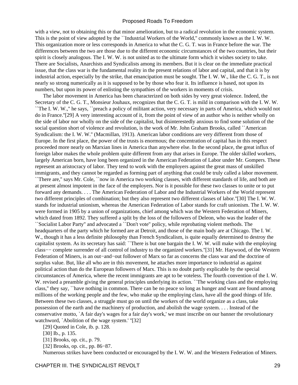with a view, not to obtaining this or that minor amelioration, but to a radical revolution in the economic system. This is the point of view adopted by the ``Industrial Workers of the World,'' commonly known as the I. W. W. This organization more or less corresponds in America to what the C. G. T. was in France before the war. The differences between the two are those due to the different economic circumstances of the two countries, but their spirit is closely analogous. The I. W. W. is not united as to the ultimate form which it wishes society to take. There are Socialists, Anarchists and Syndicalists among its members. But it is clear on the immediate practical issue, that the class war is the fundamental reality in the present relations of labor and capital, and that it is by industrial action, especially by the strike, that emancipation must be sought. The I. W. W., like the C. G. T., is not nearly so strong numerically as it is supposed to be by those who fear it. Its influence is based, not upon its numbers, but upon its power of enlisting the sympathies of the workers in moments of crisis.

 The labor movement in America has been characterized on both sides by very great violence. Indeed, the Secretary of the C. G. T., Monsieur Jouhaux, recognizes that the C. G. T. is mild in comparison with the I. W. W. ``The I. W. W.,'' he says, ``preach a policy of militant action, very necessary in parts of America, which would not do in France.''[29] A very interesting account of it, from the point of view of an author who is neither wholly on the side of labor nor wholly on the side of the capitalist, but disinterestedly anxious to find some solution of the social question short of violence and revolution, is the work of Mr. John Graham Brooks, called ``American Syndicalism: the I. W. W.'' (Macmillan, 1913). American labor conditions are very different from those of Europe. In the first place, the power of the trusts is enormous; the concentration of capital has in this respect proceeded more nearly on Marxian lines in America than anywhere else. In the second place, the great influx of foreign labor makes the whole problem quite different from any that arises in Europe. The older skilled workers, largely American born, have long been organized in the American Federation of Labor under Mr. Gompers. These represent an aristocracy of labor. They tend to work with the employers against the great mass of unskilled immigrants, and they cannot be regarded as forming part of anything that could be truly called a labor movement. ``There are,'' says Mr. Cole, ``now in America two working classes, with different standards of life, and both are at present almost impotent in the face of the employers. Nor is it possible for these two classes to unite or to put forward any demands. . . . The American Federation of Labor and the Industrial Workers of the World represent two different principles of combination; but they also represent two different classes of labor.''[30] The I. W. W. stands for industrial unionism, whereas the American Federation of Labor stands for craft unionism. The I. W. W. were formed in 1905 by a union of organizations, chief among which was the Western Federation of Miners, which dated from 1892. They suffered a split by the loss of the followers of Deleon, who was the leader of the ``Socialist Labor Party'' and advocated a ``Don't vote'' policy, while reprobating violent methods. The headquarters of the party which he formed are at Detroit, and those of the main body are at Chicago. The I. W. W., though it has a less definite philosophy than French Syndicalism, is quite equally determined to destroy the capitalist system. As its secretary has said: ``There is but one bargain the I. W. W. will make with the employing class−− complete surrender of all control of industry to the organized workers.''[31] Mr. Haywood, of the Western Federation of Miners, is an out−and−out follower of Marx so far as concerns the class war and the doctrine of surplus value. But, like all who are in this movement, he attaches more importance to industrial as against political action than do the European followers of Marx. This is no doubt partly explicable by the special circumstances of America, where the recent immigrants are apt to be voteless. The fourth convention of the I. W. W. revised a preamble giving the general principles underlying its action. ``The working class and the employing class,'' they say, ``have nothing in common. There can be no peace so long as hunger and want are found among millions of the working people and the few, who make up the employing class, have all the good things of life. Between these two classes, a struggle must go on until the workers of the world organize as a class, take possession of the earth and the machinery of production, and abolish the wage system. . . . Instead of the conservative motto, `A fair day's wages for a fair day's work,' we must inscribe on our banner the revolutionary watchword, `Abolition of the wage system.' ''[32]

[29] Quoted in Cole, ib. p. 128.

[31] Brooks, op. cit., p. 79.

[32] Brooks, op. cit., pp. 86−87.

Numerous strikes have been conducted or encouraged by the I. W. W. and the Western Federation of Miners.

<sup>[30]</sup> Ib., p. 135.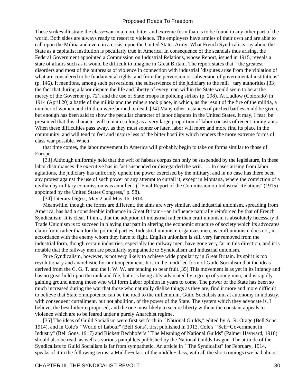These strikes illustrate the class–war in a more bitter and extreme form than is to be found in any other part of the world. Both sides are always ready to resort to violence. The employers have armies of their own and are able to call upon the Militia and even, in a crisis, upon the United States Army. What French Syndicalists say about the State as a capitalist institution is peculiarly true in America. In consequence of the scandals thus arising, the Federal Government appointed a Commission on Industrial Relations, whose Report, issued in 1915, reveals a state of affairs such as it would be difficult to imagine in Great Britain. The report states that ``the greatest disorders and most of the outbreaks of violence in connection with industrial `disputes arise from the violation of what are considered to be fundamental rights, and from the perversion or subversion of governmental institutions" (p. 146). It mentions, among such perversions, the subservience of the judiciary to the mili− tary authorities,[33] the fact that during a labor dispute the life and liberty of every man within the State would seem to be at the mercy of the Governor (p. 72), and the use of State troops in policing strikes (p. 298). At Ludlow (Colorado) in 1914 (April 20) a battle of the militia and the miners took place, in which, as the result of the fire of the militia, a number of women and children were burned to death.[34] Many other instances of pitched battles could be given, but enough has been said to show the peculiar character of labor disputes in the United States. It may, I fear, be presumed that this character will remain so long as a very large proportion of labor consists of recent immigrants. When these difficulties pass away, as they must sooner or later, labor will more and more find its place in the community, and will tend to feel and inspire less of the bitter hostility which renders the more extreme forms of class war possible. When

 that time comes, the labor movement in America will probably begin to take on forms similar to those of Europe.

[33] Although uniformly held that the writ of habeas corpus can only be suspended by the legislature, in these labor disturbances the executive has in fact suspended or disregarded the writ. . . . In cases arising from labor agitations, the judiciary has uniformly upheld the power exercised by the military, and in no case has there been any protest against the use of such power or any attempt to curtail it, except in Montana, where the conviction of a civilian by military commission was annulled'' (``Final Report of the Commission on Industrial Relations'' (1915) appointed by the United States Congress,'' p. 58).

[34] Literary Digest, May 2 and May 16, 1914.

 Meanwhile, though the forms are different, the aims are very similar, and industrial unionism, spreading from America, has had a considerable influence in Great Britain−−an influence naturally reinforced by that of French Syndicalism. It is clear, I think, that the adoption of industrial rather than craft unionism is absolutely necessary if Trade Unionism is to succeed in playing that part in altering the economic structure of society which its advocates claim for it rather than for the political parties. Industrial unionism organizes men, as craft unionism does not, in accordance with the enemy whom they have to fight. English unionism is still very far removed from the industrial form, though certain industries, especially the railway men, have gone very far in this direction, and it is notable that the railway men are peculiarly sympathetic to Syndicalism and industrial unionism.

 Pure Syndicalism, however, is not very likely to achieve wide popularity in Great Britain. Its spirit is too revolutionary and anarchistic for our temperament. It is in the modified form of Guild Socialism that the ideas derived from the C. G. T. and the I. W. W. are tending to bear fruit.[35] This movement is as yet in its infancy and has no great hold upon the rank and file, but it is being ably advocated by a group of young men, and is rapidly gaining ground among those who will form Labor opinion in years to come. The power of the State has been so much increased during the war that those who naturally dislike things as they are, find it more and more difficult to believe that State omnipotence can be the road to the millennium. Guild Socialists aim at autonomy in industry, with consequent curtailment, but not abolition, of the power of the State. The system which they advocate is, I believe, the best hitherto proposed, and the one most likely to secure liberty without the constant appeals to violence which are to be feared under a purely Anarchist regime.

[35] The ideas of Guild Socialism were first set forth in ``National Guilds," edited by A. R. Orage (Bell Sons, 1914), and in Cole's ``World of Labour'' (Bell Sons), first published in 1913. Cole's ``Self−Government in Industry'' (Bell Sons, 1917) and Rickett Bechhofer's ``The Meaning of National Guilds'' (Palmer Hayward, 1918) should also be read, as well as various pamphlets published by the National Guilds League. The attitude of the Syndicalists to Guild Socialism is far from sympathetic. An article in ``The Syndicalist" for February, 1914, speaks of it in the following terms: a Middle−class of the middle−class, with all the shortcomings (we had almost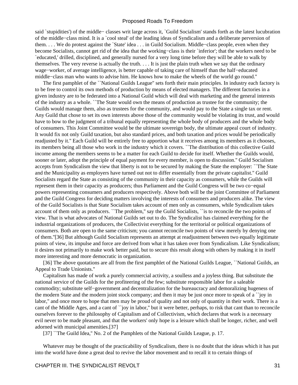said `stupidities') of the middle− classes writ large across it, `Guild Socialism' stands forth as the latest lucubration of the middle−class mind. It is a `cool steal' of the leading ideas of Syndicalism and a deliberate perversion of them. . . . We do protest against the `State' idea . . . in Guild Socialism. Middle−class people, even when they become Socialists, cannot get rid of the idea that the working−class is their `inferior'; that the workers need to be `educated,' drilled, disciplined, and generally nursed for a very long time before they will be able to walk by themselves. The very reverse is actually the truth. . . . It is just the plain truth when we say that the ordinary wage−worker, of average intelligence, is better capable of taking care of himself than the half−educated middle−class man who wants to advise him. He knows how to make the wheels of the world go round.''

 The first pamphlet of the ``National Guilds League'' sets forth their main principles. In industry each factory is to be free to control its own methods of production by means of elected managers. The different factories in a given industry are to be federated into a National Guild which will deal with marketing and the general interests of the industry as a whole. ``The State would own the means of production as trustee for the community; the Guilds would manage them, also as trustees for the community, and would pay to the State a single tax or rent. Any Guild that chose to set its own interests above those of the community would be violating its trust, and would have to bow to the judgment of a tribunal equally representing the whole body of producers and the whole body of consumers. This Joint Committee would be the ultimate sovereign body, the ultimate appeal court of industry. It would fix not only Guild taxation, but also standard prices, and both taxation and prices would be periodically readjusted by it.'' Each Guild will be entirely free to apportion what it receives among its members as it chooses, its members being all those who work in the industry which it covers. ``The distribution of this collective Guild income among the members seems to be a matter for each Guild to decide for itself. Whether the Guilds would, sooner or later, adopt the principle of equal payment for every member, is open to discussion.'' Guild Socialism accepts from Syndicalism the view that liberty is not to be secured by making the State the employer: ``The State and the Municipality as employers have turned out not to differ essentially from the private capitalist.'' Guild Socialists regard the State as consisting of the community in their capacity as consumers, while the Guilds will represent them in their capacity as producers; thus Parliament and the Guild Congress will be two co−equal powers representing consumers and producers respectively. Above both will be the joint Committee of Parliament and the Guild Congress for deciding matters involving the interests of consumers and producers alike. The view of the Guild Socialists is that State Socialism takes account of men only as consumers, while Syndicalism takes account of them only as producers. ``The problem,'' say the Guild Socialists, ``is to reconcile the two points of view. That is what advocates of National Guilds set out to do. The Syndicalist has claimed everything for the industrial organizations of producers, the Collectivist everything for the territorial or political organizations of consumers. Both are open to the same criticism; you cannot reconcile two points of view merely by denying one of them.''[36] But although Guild Socialism represents an attempt at readjustment between two equally legitimate points of view, its impulse and force are derived from what it has taken over from Syndicalism. Like Syndicalism; it desires not primarily to make work better paid, but to secure this result along with others by making it in itself more interesting and more democratic in organization.

[36] The above quotations are all from the first pamphlet of the National Guilds League, ``National Guilds, an Appeal to Trade Unionists.''

 Capitalism has made of work a purely commercial activity, a soulless and a joyless thing. But substitute the national service of the Guilds for the profiteering of the few; substitute responsible labor for a saleable commodity; substitute self−government and decentralization for the bureaucracy and demoralizing hugeness of the modern State and the modern joint stock company; and then it may be just once more to speak of a ``joy in labor," and once more to hope that men may be proud of quality and not only of quantity in their work. There is a cant of the Middle Ages, and a cant of ``joy in labor,'' but it were better, perhaps, to risk that cant than to reconcile ourselves forever to the philosophy of Capitalism and of Collectivism, which declares that work is a necessary evil never to be made pleasant, and that the workers' only hope is a leisure which shall be longer, richer, and well adorned with municipal amenities.[37]

[37] ``The Guild Idea," No. 2 of the Pamphlets of the National Guilds League, p. 17.

 Whatever may be thought of the practicability of Syndicalism, there is no doubt that the ideas which it has put into the world have done a great deal to revive the labor movement and to recall it to certain things of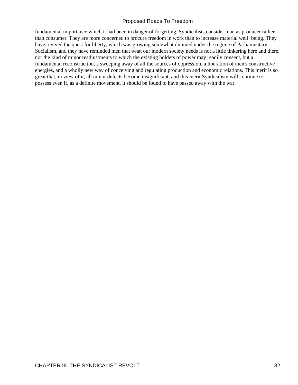fundamental importance which it had been in danger of forgetting. Syndicalists consider man as producer rather than consumer. They are more concerned to procure freedom in work than to increase material well−being. They have revived the quest for liberty, which was growing somewhat dimmed under the regime of Parliamentary Socialism, and they have reminded men that what our modern society needs is not a little tinkering here and there, nor the kind of minor readjustments to which the existing holders of power may readily consent, but a fundamental reconstruction, a sweeping away of all the sources of oppression, a liberation of men's constructive energies, and a wholly new way of conceiving and regulating production and economic relations. This merit is so great that, in view of it, all minor defects become insignificant, and this merit Syndicalism will continue to possess even if, as a definite movement, it should be found to have passed away with the war.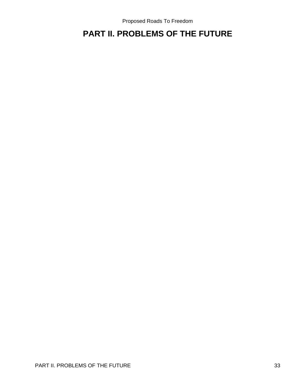## <span id="page-35-0"></span>**PART II. PROBLEMS OF THE FUTURE**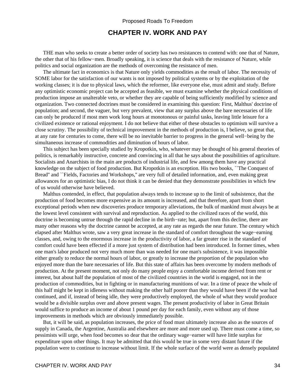# **CHAPTER IV. WORK AND PAY**

 THE man who seeks to create a better order of society has two resistances to contend with: one that of Nature, the other that of his fellow−men. Broadly speaking, it is science that deals with the resistance of Nature, while politics and social organization are the methods of overcoming the resistance of men.

 The ultimate fact in economics is that Nature only yields commodities as the result of labor. The necessity of SOME labor for the satisfaction of our wants is not imposed by political systems or by the exploitation of the working classes; it is due to physical laws, which the reformer, like everyone else, must admit and study. Before any optimistic economic project can be accepted as feasible, we must examine whether the physical conditions of production impose an unalterable veto, or whether they are capable of being sufficiently modified by science and organization. Two connected doctrines must be considered in examining this question: First, Malthus' doctrine of population; and second, the vaguer, but very prevalent, view that any surplus above the bare necessaries of life can only be produced if most men work long hours at monotonous or painful tasks, leaving little leisure for a civilized existence or rational enjoyment. I do not believe that either of these obstacles to optimism will survive a close scrutiny. The possibility of technical improvement in the methods of production is, I believe, so great that, at any rate for centuries to come, there will be no inevitable barrier to progress in the general well−being by the simultaneous increase of commodities and diminution of hours of labor.

 This subject has been specially studied by Kropotkin, who, whatever may be thought of his general theories of politics, is remarkably instructive, concrete and convincing in all that he says about the possibilities of agriculture. Socialists and Anarchists in the main are products of industrial life, and few among them have any practical knowledge on the subject of food production. But Kropotkin is an exception. His two books, ``The Conquest of Bread" and ``Fields, Factories and Workshops," are very full of detailed information, and, even making great allowances for an optimistic bias, I do not think it can be denied that they demonstrate possibilities in which few of us would otherwise have believed.

 Malthus contended, in effect, that population always tends to increase up to the limit of subsistence, that the production of food becomes more expensive as its amount is increased, and that therefore, apart from short exceptional periods when new discoveries produce temporary alleviations, the bulk of mankind must always be at the lowest level consistent with survival and reproduction. As applied to the civilized races of the world, this doctrine is becoming untrue through the rapid decline in the birth−rate; but, apart from this decline, there are many other reasons why the doctrine cannot be accepted, at any rate as regards the near future. The century which elapsed after Malthus wrote, saw a very great increase in the standard of comfort throughout the wage−earning classes, and, owing to the enormous increase in the productivity of labor, a far greater rise in the standard of comfort could have been effected if a more just system of distribution had been introduced. In former times, when one man's labor produced not very much more than was needed for one man's subsistence, it was impossible either greatly to reduce the normal hours of labor, or greatly to increase the proportion of the population who enjoyed more than the bare necessaries of life. But this state of affairs has been overcome by modern methods of production. At the present moment, not only do many people enjoy a comfortable income derived from rent or interest, but about half the population of most of the civilized countries in the world is engaged, not in the production of commodities, but in fighting or in manufacturing munitions of war. In a time of peace the whole of this half might be kept in idleness without making the other half poorer than they would have been if the war had continued, and if, instead of being idle, they were productively employed, the whole of what they would produce would be a divisible surplus over and above present wages. The present productivity of labor in Great Britain would suffice to produce an income of about 1 pound per day for each family, even without any of those improvements in methods which are obviously immediately possible.

 But, it will be said, as population increases, the price of food must ultimately increase also as the sources of supply in Canada, the Argentine, Australia and elsewhere are more and more used up. There must come a time, so pessimists will urge, when food becomes so dear that the ordinary wage−earner will have little surplus for expenditure upon other things. It may be admitted that this would be true in some very distant future if the population were to continue to increase without limit. If the whole surface of the world were as densely populated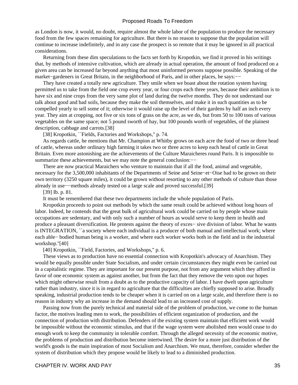as London is now, it would, no doubt, require almost the whole labor of the population to produce the necessary food from the few spaces remaining for agriculture. But there is no reason to suppose that the population will continue to increase indefinitely, and in any case the prospect is so remote that it may be ignored in all practical considerations.

 Returning from these dim speculations to the facts set forth by Kropotkin, we find it proved in his writings that, by methods of intensive cultivation, which are already in actual operation, the amount of food produced on a given area can be increased far beyond anything that most uninformed persons suppose possible. Speaking of the market–gardeners in Great Britain, in the neighborhood of Paris, and in other places, he says:-−

 They have created a totally new agriculture. They smile when we boast about the rotation system having permitted us to take from the field one crop every year, or four crops each three years, because their ambition is to have six and nine crops from the very same plot of land during the twelve months. They do not understand our talk about good and bad soils, because they make the soil themselves, and make it in such quantities as to be compelled yearly to sell some of it; otherwise it would raise up the level of their gardens by half an inch every year. They aim at cropping, not five or six tons of grass on the acre, as we do, but from 50 to 100 tons of various vegetables on the same space; not 5 pound sworth of hay, but 100 pounds worth of vegetables, of the plainest description, cabbage and carrots.[38]

[38] Kropotkin, "Fields, Factories and Workshops," p. 74.

 As regards cattle, he mentions that Mr. Champion at Whitby grows on each acre the food of two or three head of cattle, whereas under ordinary high farming it takes two or three acres to keep each head of cattle in Great Britain. Even more astonishing are the achievements of the Culture Maraicheres round Paris. It is impossible to summarize these achievements, but we may note the general conclusion:−−

 There are now practical Maraichers who venture to maintain that if all the food, animal and vegetable, necessary for the 3,500,000 inhabitants of the Departments of Seine and Seine−et−Oise had to be grown on their own territory (3250 square miles), it could be grown without resorting to any other methods of culture than those already in use−−methods already tested on a large scale and proved successful.[39]

[39] Ib. p. 81.

It must be remembered that these two departments include the whole population of Paris.

 Kropotkin proceeds to point out methods by which the same result could be achieved without long hours of labor. Indeed, he contends that the great bulk of agricultural work could be carried on by people whose main occupations are sedentary, and with only such a number of hours as would serve to keep them in health and produce a pleasant diversification. He protests against the theory of exces− sive division of labor. What he wants is INTEGRATION, ``a society where each individual is a producer of both manual and intellectual work; where each able− bodied human being is a worker, and where each worker works both in the field and in the industrial workshop.''[40]

[40] Kropotkin, "Field, Factories, and Workshops," p. 6.

 These views as to production have no essential connection with Kropotkin's advocacy of Anarchism. They would be equally possible under State Socialism, and under certain circumstances they might even be carried out in a capitalistic regime. They are important for our present purpose, not from any argument which they afford in favor of one economic system as against another, but from the fact that they remove the veto upon our hopes which might otherwise result from a doubt as to the productive capacity of labor. I have dwelt upon agriculture rather than industry, since it is in regard to agriculture that the difficulties are chiefly supposed to arise. Broadly speaking, industrial production tends to be cheaper when it is carried on on a large scale, and therefore there is no reason in industry why an increase in the demand should lead to an increased cost of supply.

 Passing now from the purely technical and material side of the problem of production, we come to the human factor, the motives leading men to work, the possibilities of efficient organization of production, and the connection of production with distribution. Defenders of the existing system maintain that efficient work would be impossible without the economic stimulus, and that if the wage system were abolished men would cease to do enough work to keep the community in tolerable comfort. Through the alleged necessity of the economic motive, the problems of production and distribution become intertwined. The desire for a more just distribution of the world's goods is the main inspiration of most Socialism and Anarchism. We must, therefore, consider whether the system of distribution which they propose would be likely to lead to a diminished production.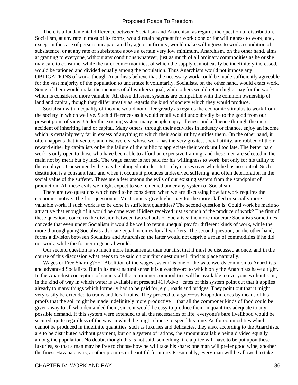There is a fundamental difference between Socialism and Anarchism as regards the question of distribution. Socialism, at any rate in most of its forms, would retain payment for work done or for willingness to work, and, except in the case of persons incapacitated by age or infirmity, would make willingness to work a condition of subsistence, or at any rate of subsistence above a certain very low minimum. Anarchism, on the other hand, aims at granting to everyone, without any conditions whatever, just as much of all ordinary commodities as he or she may care to consume, while the rarer com− modities, of which the supply cannot easily be indefinitely increased, would be rationed and divided equally among the population. Thus Anarchism would not impose any OBLIGATIONS of work, though Anarchists believe that the necessary work could be made sufficiently agreeable for the vast majority of the population to undertake it voluntarily. Socialists, on the other hand, would exact work. Some of them would make the incomes of all workers equal, while others would retain higher pay for the work which is considered more valuable. All these different systems are compatible with the common ownership of land and capital, though they differ greatly as regards the kind of society which they would produce.

 Socialism with inequality of income would not differ greatly as regards the economic stimulus to work from the society in which we live. Such differences as it would entail would undoubtedly be to the good from our present point of view. Under the existing system many people enjoy idleness and affluence through the mere accident of inheriting land or capital. Many others, through their activities in industry or finance, enjoy an income which is certainly very far in excess of anything to which their social utility entitles them. On the other hand, it often happens that inventors and discoverers, whose work has the very greatest social utility, are robbed of their reward either by capitalists or by the failure of the public to appreciate their work until too late. The better paid work is only open to those who have been able to afford an expensive training, and these men are selected in the main not by merit but by luck. The wage earner is not paid for his willingness to work, but only for his utility to the employer. Consequently, he may be plunged into destitution by causes over which he has no control. Such destitution is a constant fear, and when it occurs it produces undeserved suffering, and often deterioration in the social value of the sufferer. These are a few among the evils of our existing system from the standpoint of production. All these evils we might expect to see remedied under any system of Socialism.

 There are two questions which need to be considered when we are discussing how far work requires the economic motive. The first question is: Must society give higher pay for the more skilled or socially more valuable work, if such work is to be done in sufficient quantities? The second question is: Could work be made so attractive that enough of it would be done even if idlers received just as much of the produce of work? The first of these questions concerns the division between two schools of Socialists: the more moderate Socialists sometimes concede that even under Socialism it would be well to retain unequal pay for different kinds of work, while the more thoroughgoing Socialists advocate equal incomes for all workers. The second question, on the other hand, forms a division between Socialists and Anarchists; the latter would not deprive a man of commodities if he did not work, while the former in general would.

 Our second question is so much more fundamental than our first that it must be discussed at once, and in the course of this discussion what needs to be said on our first question will find its place naturally.

 Wages or Free Sharing?−−``Abolition of the wages system'' is one of the watchwords common to Anarchists and advanced Socialists. But in its most natural sense it is a watchword to which only the Anarchists have a right. In the Anarchist conception of society all the commoner commodities will be available to everyone without stint, in the kind of way in which water is available at present.[41] Advo− cates of this system point out that it applies already to many things which formerly had to be paid for, e.g., roads and bridges. They point out that it might very easily be extended to trams and local trains. They proceed to argue−−as Kropotkin does by means of his proofs that the soil might be made indefinitely more productive−−that all the commoner kinds of food could be given away to all who demanded them, since it would be easy to produce them in quantities adequate to any possible demand. If this system were extended to all the necessaries of life, everyone's bare livelihood would be secured, quite regardless of the way in which he might choose to spend his time. As for commodities which cannot be produced in indefinite quantities, such as luxuries and delicacies, they also, according to the Anarchists, are to be distributed without payment, but on a system of rations, the amount available being divided equally among the population. No doubt, though this is not said, something like a price will have to be put upon these luxuries, so that a man may be free to choose how he will take his share: one man will prefer good wine, another the finest Havana cigars, another pictures or beautiful furniture. Presumably, every man will be allowed to take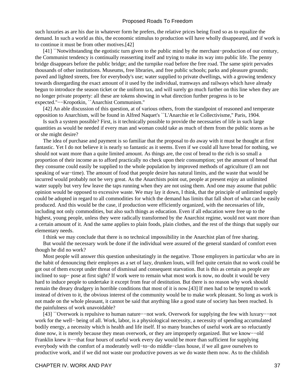such luxuries as are his due in whatever form he prefers, the relative prices being fixed so as to equalize the demand. In such a world as this, the economic stimulus to production will have wholly disappeared, and if work is to continue it must be from other motives.[42]

 [41] ``Notwithstanding the egotistic turn given to the public mind by the merchant−production of our century, the Communist tendency is continually reasserting itself and trying to make its way into public life. The penny bridge disappears before the public bridge; and the turnpike road before the free road. The same spirit pervades thousands of other institutions. Museums, free libraries, and free public schools; parks and pleasure grounds; paved and lighted streets, free for everybody's use; water supplied to private dwellings, with a growing tendency towards disregarding the exact amount of it used by the individual, tramways and railways which have already begun to introduce the season ticket or the uniform tax, and will surely go much further on this line when they are no longer private property: all these are tokens showing in what direction further progress is to be expected.''−−Kropotkin, ``Anarchist Communism.''

 [42] An able discussion of this question, at of various others, from the standpoint of reasoned and temperate opposition to Anarchism, will be found in Alfred Naquet's ``L'Anarchie et le Collectivisme,'' Paris, 1904.

 Is such a system possible? First, is it technically possible to provide the necessaries of life in such large quantities as would be needed if every man and woman could take as much of them from the public stores as he or she might desire?

 The idea of purchase and payment is so familiar that the proposal to do away with it must be thought at first fantastic. Yet I do not believe it is nearly so fantastic as it seems. Even if we could all have bread for nothing, we should not want more than a quite limited amount. As things are, the cost of bread to the rich is so small a proportion of their income as to afford practically no check upon their consumption; yet the amount of bread that they consume could easily be supplied to the whole population by improved methods of agriculture (I am not speaking of war−time). The amount of food that people desire has natural limits, and the waste that would be incurred would probably not be very great. As the Anarchists point out, people at present enjoy an unlimited water supply but very few leave the taps running when they are not using them. And one may assume that public opinion would be opposed to excessive waste. We may lay it down, I think, that the principle of unlimited supply could be adopted in regard to all commodities for which the demand has limits that fall short of what can be easily produced. And this would be the case, if production were efficiently organized, with the necessaries of life, including not only commodities, but also such things as education. Even if all education were free up to the highest, young people, unless they were radically transformed by the Anarchist regime, would not want more than a certain amount of it. And the same applies to plain foods, plain clothes, and the rest of the things that supply our elementary needs.

I think we may conclude that there is no technical impossibility in the Anarchist plan of free sharing.

 But would the necessary work be done if the individual were assured of the general standard of comfort even though he did no work?

 Most people will answer this question unhesitatingly in the negative. Those employers in particular who are in the habit of denouncing their employes as a set of lazy, drunken louts, will feel quite certain that no work could be got out of them except under threat of dismissal and consequent starvation. But is this as certain as people are inclined to sup− pose at first sight? If work were to remain what most work is now, no doubt it would be very hard to induce people to undertake it except from fear of destitution. But there is no reason why work should remain the dreary drudgery in horrible conditions that most of it is now.[43] If men had to be tempted to work instead of driven to it, the obvious interest of the community would be to make work pleasant. So long as work is not made on the whole pleasant, it cannot be said that anything like a good state of society has been reached. Is the painfulness of work unavoidable?

 [43] ``Overwork is repulsive to human nature−−not work. Overwork for supplying the few with luxury−−not work for the well− being of all. Work, labor, is a physiological necessity, a necessity of spending accumulated bodily energy, a necessity which is health and life itself. If so many branches of useful work are so reluctantly done now, it is merely because they mean overwork, or they are improperly organized. But we know−−old Franklin knew it−−that four hours of useful work every day would be more than sufficient for supplying everybody with the comfort of a moderately well−to−do middle−class house, if we all gave ourselves to productive work, and if we did not waste our productive powers as we do waste them now. As to the childish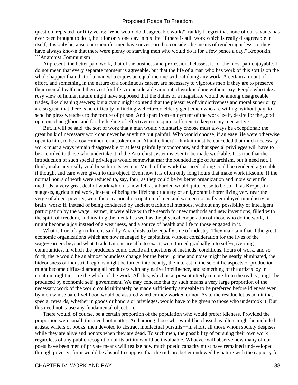question, repeated for fifty years: `Who would do disagreeable work?' frankly I regret that none of our savants has ever been brought to do it, be it for only one day in his life. If there is still work which is really disagreeable in itself, it is only because our scientific men have never cared to consider the means of rendering it less so: they have always known that there were plenty of starving men who would do it for a few pence a day.'' Kropotkin, ```Anarchist Communism.''

 At present, the better paid work, that of the business and professional classes, is for the most part enjoyable. I do not mean that every separate moment is agreeable, but that the life of a man who has work of this sort is on the whole happier than that of a man who enjoys an equal income without doing any work. A certain amount of effort, and something in the nature of a continuous career, are necessary to vigorous men if they are to preserve their mental health and their zest for life. A considerable amount of work is done without pay. People who take a rosy view of human nature might have supposed that the duties of a magistrate would be among disagreeable trades, like cleaning sewers; but a cynic might contend that the pleasures of vindictiveness and moral superiority are so great that there is no difficulty in finding well−to−do elderly gentlemen who are willing, without pay, to send helpless wretches to the torture of prison. And apart from enjoyment of the work itself, desire for the good opinion of neighbors and for the feeling of effectiveness is quite sufficient to keep many men active.

 But, it will be said, the sort of work that a man would voluntarily choose must always be exceptional: the great bulk of necessary work can never be anything but painful. Who would choose, if an easy life were otherwise open to him, to be a coal−miner, or a stoker on an Atlantic liner? I think it must be conceded that much necessary work must always remain disagreeable or at least painfully monotonous, and that special privileges will have to be accorded to those who undertake it, if the Anarchist system is ever to be made workable. It is true that the introduction of such special privileges would somewhat mar the rounded logic of Anarchism, but it need not, I think, make any really vital breach in its system. Much of the work that needs doing could be rendered agreeable, if thought and care were given to this object. Even now it is often only long hours that make work irksome. If the normal hours of work were reduced to, say, four, as they could be by better organization and more scientific methods, a very great deal of work which is now felt as a burden would quite cease to be so. If, as Kropotkin suggests, agricultural work, instead of being the lifelong drudgery of an ignorant laborer living very near the verge of abject poverty, were the occasional occupation of men and women normally employed in industry or brain−work; if, instead of being conducted by ancient traditional methods, without any possibility of intelligent participation by the wage− earner, it were alive with the search for new methods and new inventions, filled with the spirit of freedom, and inviting the mental as well as the physical cooperation of those who do the work, it might become a joy instead of a weariness, and a source of health and life to those engaged in it.

What is true of agriculture is said by Anarchists to be equally true of industry. They maintain that if the great economic organizations which are now managed by capitalists, without consideration for the lives of the wage−earners beyond what Trade Unions are able to exact, were turned gradually into self−governing communities, in which the producers could decide all questions of methods, conditions, hours of work, and so forth, there would be an almost boundless change for the better: grime and noise might be nearly eliminated, the hideousness of industrial regions might be turned into beauty, the interest in the scientific aspects of production might become diffused among all producers with any native intelligence, and something of the artist's joy in creation might inspire the whole of the work. All this, which is at present utterly remote from the reality, might be produced by economic self−government. We may concede that by such means a very large proportion of the necessary work of the world could ultimately be made sufficiently agreeable to be preferred before idleness even by men whose bare livelihood would be assured whether they worked or not. As to the residue let us admit that special rewards, whether in goods or honors or privileges, would have to be given to those who undertook it. But this need not cause any fundamental objection.

 There would, of course, be a certain proportion of the population who would prefer idleness. Provided the proportion were small, this need not matter. And among those who would be classed as idlers might be included artists, writers of books, men devoted to abstract intellectual pursuits−−in short, all those whom society despises while they are alive and honors when they are dead. To such men, the possibility of pursuing their own work regardless of any public recognition of its utility would be invaluable. Whoever will observe how many of our poets have been men of private means will realize how much poetic capacity must have remained undeveloped through poverty; for it would be absurd to suppose that the rich are better endowed by nature with the capacity for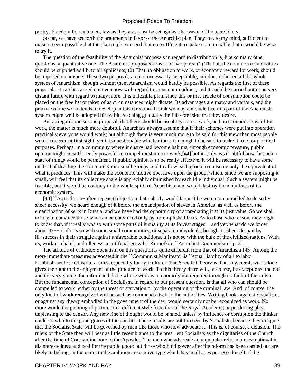poetry. Freedom for such men, few as they are, must be set against the waste of the mere idlers.

 So far, we have set forth the arguments in favor of the Anarchist plan. They are, to my mind, sufficient to make it seem possible that the plan might succeed, but not sufficient to make it so probable that it would be wise to try it.

 The question of the feasibility of the Anarchist proposals in regard to distribution is, like so many other questions, a quantitative one. The Anarchist proposals consist of two parts: (1) That all the common commodities should be supplied ad lib. to all applicants; (2) That no obligation to work, or economic reward for work, should be imposed on anyone. These two proposals are not necessarily inseparable, nor does either entail the whole system of Anarchism, though without them Anarchism would hardly be possible. As regards the first of these proposals, it can be carried out even now with regard to some commodities, and it could be carried out in no very distant future with regard to many more. It is a flexible plan, since this or that article of consumption could be placed on the free list or taken of as circumstances might dictate. Its advantages are many and various, and the practice of the world tends to develop in this direction. I think we may conclude that this part of the Anarchists' system might well be adopted bit by bit, reaching gradually the full extension that they desire.

 But as regards the second proposal, that there should be no obligation to work, and no economic reward for work, the matter is much more doubtful. Anarchists always assume that if their schemes were put into operation practically everyone would work; but although there is very much more to be said for this view than most people would concede at first sight, yet it is questionable whether there is enough to be said to make it true for practical purposes. Perhaps, in a community where industry had become habitual through economic pressure, public opinion might be sufficiently powerful to compel most men to work;[44] but it is always doubtful how far such a state of things would be permanent. If public opinion is to be really effective, it will be necessary to have some method of dividing the community into small groups, and to allow each group to consume only the equivalent of what it produces. This will make the economic motive operative upon the group, which, since we are supposing it small, will feel that its collective share is appreciably diminished by each idle individual. Such a system might be feasible, but it would be contrary to the whole spirit of Anarchism and would destroy the main lines of its economic system.

 [44] ``As to the so−often repeated objection that nobody would labor if he were not compelled to do so by sheer necessity, we heard enough of it before the emancipation of slaves in America, as well as before the emancipation of serfs in Russia; and we have had the opportunity of appreciating it at its just value. So we shall not try to convince those who can be convinced only by accomplished facts. As to those who reason, they ought to know that, if it really was so with some parts of humanity at its lowest stages−−and yet, what do we know about it?−−or if it is so with some small communities, or separate individuals, brought to sheer despair by ill−success in their struggle against unfavorable conditions, it is not so with the bulk of the civilized nations. With us, work is a habit, and idleness an artificial growth.'' Kropotkin, ``Anarchist Communism,'' p. 30.

 The attitude of orthodox Socialism on this question is quite different from that of Anarchism.[45] Among the more immediate measures advocated in the ``Communist Manifesto" is ``equal liability of all to labor. Establishment of industrial armies, especially for agriculture.'' The Socialist theory is that, in general, work alone gives the right to the enjoyment of the produce of work. To this theory there will, of course, be exceptions: the old and the very young, the infirm and those whose work is temporarily not required through no fault of their own. But the fundamental conception of Socialism, in regard to our present question, is that all who can should be compelled to work, either by the threat of starvation or by the operation of the criminal law. And, of course, the only kind of work recognized will be such as commends itself to the authorities. Writing books against Socialism, or against any theory embodied in the government of the day, would certainly not be recognized as work. No more would the painting of pictures in a different style from that of the Royal Academy, or producing plays unpleasing to the censor. Any new line of thought would be banned, unless by influence or corruption the thinker could crawl into the good graces of the pundits. These results are not foreseen by Socialists, because they imagine that the Socialist State will be governed by men like those who now advocate it. This is, of course, a delusion. The rulers of the State then will bear as little resemblance to the pres− ent Socialists as the dignitaries of the Church after the time of Constantine bore to the Apostles. The men who advocate an unpopular reform are exceptional in disinterestedness and zeal for the public good; but those who hold power after the reform has been carried out are likely to belong, in the main, to the ambitious executive type which has in all ages possessed itself of the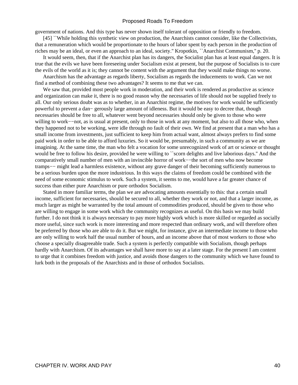government of nations. And this type has never shown itself tolerant of opposition or friendly to freedom.

 [45] ``While holding this synthetic view on production, the Anarchists cannot consider, like the Collectivists, that a remuneration which would be proportionate to the hours of labor spent by each person in the production of riches may be an ideal, or even an approach to an ideal, society.'' Kropotkin, ``Anarchist Communism,'' p. 20.

 It would seem, then, that if the Anarchist plan has its dangers, the Socialist plan has at least equal dangers. It is true that the evils we have been foreseeing under Socialism exist at present, but the purpose of Socialists is to cure the evils of the world as it is; they cannot be content with the argument that they would make things no worse.

 Anarchism has the advantage as regards liberty, Socialism as regards the inducements to work. Can we not find a method of combining these two advantages? It seems to me that we can.

We saw that, provided most people work in moderation, and their work is rendered as productive as science and organization can make it, there is no good reason why the necessaries of life should not be supplied freely to all. Our only serious doubt was as to whether, in an Anarchist regime, the motives for work would be sufficiently powerful to prevent a dan− gerously large amount of idleness. But it would be easy to decree that, though necessaries should be free to all, whatever went beyond necessaries should only be given to those who were willing to work−−not, as is usual at present, only to those in work at any moment, but also to all those who, when they happened not to be working, were idle through no fault of their own. We find at present that a man who has a small income from investments, just sufficient to keep him from actual want, almost always prefers to find some paid work in order to be able to afford luxuries. So it would be, presumably, in such a community as we are imagining. At the same time, the man who felt a vocation for some unrecognized work of art or science or thought would be free to follow his desire, provided he were willing to ``scorn delights and live laborious days." And the comparatively small number of men with an invincible horror of work−−the sort of men who now become tramps−− might lead a harmless existence, without any grave danger of their becoming sufficiently numerous to be a serious burden upon the more industrious. In this ways the claims of freedom could be combined with the need of some economic stimulus to work. Such a system, it seems to me, would have a far greater chance of success than either pure Anarchism or pure orthodox Socialism.

 Stated in more familiar terms, the plan we are advocating amounts essentially to this: that a certain small income, sufficient for necessaries, should be secured to all, whether they work or not, and that a larger income, as much larger as might be warranted by the total amount of commodities produced, should be given to those who are willing to engage in some work which the community recognizes as useful. On this basis we may build further. I do not think it is always necessary to pay more highly work which is more skilled or regarded as socially more useful, since such work is more interesting and more respected than ordinary work, and will therefore often be preferred by those who are able to do it. But we might, for instance, give an intermediate income to those who are only willing to work half the usual number of hours, and an income above that of most workers to those who choose a specially disagreeable trade. Such a system is perfectly compatible with Socialism, though perhaps hardly with Anarchism. Of its advantages we shall have more to say at a later stage. For the present I am content to urge that it combines freedom with justice, and avoids those dangers to the community which we have found to lurk both in the proposals of the Anarchists and in those of orthodox Socialists.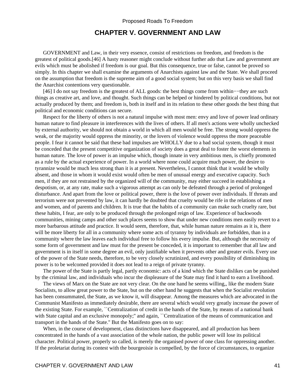# **CHAPTER V. GOVERNMENT AND LAW**

 GOVERNMENT and Law, in their very essence, consist of restrictions on freedom, and freedom is the greatest of political goods.[46] A hasty reasoner might conclude without further ado that Law and government are evils which must be abolished if freedom is our goal. But this consequence, true or false, cannot be proved so simply. In this chapter we shall examine the arguments of Anarchists against law and the State. We shall proceed on the assumption that freedom is the supreme aim of a good social system; but on this very basis we shall find the Anarchist contentions very questionable.

 [46] I do not say freedom is the greatest of ALL goods: the best things come from within−−they are such things as creative art, and love, and thought. Such things can be helped or hindered by political conditions, but not actually produced by them; and freedom is, both in itself and in its relation to these other goods the best thing that political and economic conditions can secure.

 Respect for the liberty of others is not a natural impulse with most men: envy and love of power lead ordinary human nature to find pleasure in interferences with the lives of others. If all men's actions were wholly unchecked by external authority, we should not obtain a world in which all men would be free. The strong would oppress the weak, or the majority would oppress the minority, or the lovers of violence would oppress the more peaceable people. I fear it cannot be said that these bad impulses are WHOLLY due to a bad social system, though it must be conceded that the present competitive organization of society does a great deal to foster the worst elements in human nature. The love of power is an impulse which, though innate in very ambitious men, is chiefly promoted as a rule by the actual experience of power. In a world where none could acquire much power, the desire to tyrannize would be much less strong than it is at present. Nevertheless, I cannot think that it would be wholly absent, and those in whom it would exist would often be men of unusual energy and executive capacity. Such men, if they are not restrained by the organized will of the community, may either succeed in establishing a despotism, or, at any rate, make such a vigorous attempt as can only be defeated through a period of prolonged disturbance. And apart from the love or political power, there is the love of power over individuals. If threats and terrorism were not prevented by law, it can hardly be doubted that cruelty would be rife in the relations of men and women, and of parents and children. It is true that the habits of a community can make such cruelty rare, but these habits, I fear, are only to be produced through the prolonged reign of law. Experience of backwoods communities, mining camps and other such places seems to show that under new conditions men easily revert to a more barbarous attitude and practice. It would seem, therefore, that, while human nature remains as it is, there will be more liberty for all in a community where some acts of tyranny by individuals are forbidden, than in a community where the law leaves each individual free to follow his every impulse. But, although the necessity of some form of government and law must for the present be conceded, it is important to remember that all law and government is in itself in some degree an evil, only justifiable when it prevents other and greater evils. Every use of the power of the State needs, therefore, to be very closely scrutinized, and every possibility of diminishing its power is to be welcomed provided it does not lead to a reign of private tyranny.

 The power of the State is partly legal, partly economic: acts of a kind which the State dislikes can be punished by the criminal law, and individuals who incur the displeasure of the State may find it hard to earn a livelihood.

 The views of Marx on the State are not very clear. On the one hand he seems willing,, like the modern State Socialists, to allow great power to the State, but on the other hand he suggests that when the Socialist revolution has been consummated, the State, as we know it, will disappear. Among the measures which are advocated in the Communist Manifesto as immediately desirable, there are several which would very greatly increase the power of the existing State. For example, ``Centralization of credit in the hands of the State, by means of a national bank with State capital and an exclusive monopoly;" and again, "Centralization of the means of communication and transport in the hands of the State.'' But the Manifesto goes on to say:

 When, in the course of development, class distinctions have disappeared, and all production has been concentrated in the hands of a vast association of the whole nation, the public power will lose its political character. Political power, properly so called, is merely the organised power of one class for oppressing another. If the proletariat during its contest with the bourgeoisie is compelled, by the force of circumstances, to organize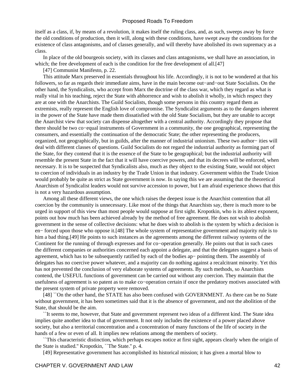itself as a class, if, by means of a revolution, it makes itself the ruling class, and, as such, sweeps away by force the old conditions of production, then it will, along with these conditions, have swept away the conditions for the existence of class antagonisms, and of classes generally, and will thereby have abolished its own supremacy as a class.

 In place of the old bourgeois society, with its classes and class antagonisms, we shall have an association, in which; the free development of each is the condition for the free development of all.[47]

[47] Communist Manifesto, p. 22.

 This attitude Marx preserved in essentials throughout his life. Accordingly, it is not to be wondered at that his followers, so far as regards their immediate aims, have in the main become out−and−out State Socialists. On the other hand, the Syndicalists, who accept from Marx the doctrine of the class war, which they regard as what is really vital in his teaching, reject the State with abhorrence and wish to abolish it wholly, in which respect they are at one with the Anarchists. The Guild Socialists, though some persons in this country regard them as extremists, really represent the English love of compromise. The Syndicalist arguments as to the dangers inherent in the power of the State have made them dissatisfied with the old State Socialism, but they are unable to accept the Anarchist view that society can dispense altogether with a central authority. Accordingly they propose that there should be two co−equal instruments of Government in a community, the one geographical, representing the consumers, and essentially the continuation of the democratic State; the other representing the producers, organized, not geographically, but in guilds, after the manner of industrial unionism. These two author− ities will deal with different classes of questions. Guild Socialists do not regard the industrial authority as forming part of the State, for they contend that it is the essence of the State to be geographical; but the industrial authority will resemble the present State in the fact that it will have coercive powers, and that its decrees will be enforced, when necessary. It is to be suspected that Syndicalists also, much as they object to the existing State, would not object to coercion of individuals in an industry by the Trade Union in that industry. Government within the Trade Union would probably be quite as strict as State government is now. In saying this we are assuming that the theoretical Anarchism of Syndicalist leaders would not survive accession to power, but I am afraid experience shows that this is not a very hazardous assumption.

 Among all these different views, the one which raises the deepest issue is the Anarchist contention that all coercion by the community is unnecessary. Like most of the things that Anarchists say, there is much more to be urged in support of this view than most people would suppose at first sight. Kropotkin, who is its ablest exponent, points out how much has been achieved already by the method of free agreement. He does not wish to abolish government in the sense of collective decisions: what he does wish to abolish is the system by which a decision is en− forced upon those who oppose it.[48] The whole system of representative government and majority rule is to him a bad thing.[49] He points to such instances as the agreements among the different railway systems of the Continent for the running of through expresses and for co−operation generally. He points out that in such cases the different companies or authorities concerned each appoint a delegate, and that the delegates suggest a basis of agreement, which has to be subsequently ratified by each of the bodies ap− pointing them. The assembly of delegates has no coercive power whatever, and a majority can do nothing against a recalcitrant minority. Yet this has not prevented the conclusion of very elaborate systems of agreements. By such methods, so Anarchists contend, the USEFUL functions of government can be carried out without any coercion. They maintain that the usefulness of agreement is so patent as to make co−operation certain if once the predatory motives associated with the present system of private property were removed.

[48] "On the other hand, the STATE has also been confused with GOVERNMENT. As there can be no State without government, it has been sometimes said that it is the absence of government, and not the abolition of the State, that should be the aim.

 ``It seems to me, however, that State and government represent two ideas of a different kind. The State idea implies quite another idea to that of government. It not only includes the existence of a power placed above society, but also a territorial concentration and a concentration of many functions of the life of society in the hands of a few or even of all. It implies new relations among the members of society.

 ``This characteristic distinction, which perhaps escapes notice at first sight, appears clearly when the origin of the State is studied.'' Kropotkin, ``The State.'' p. 4.

[49] Representative government has accomplished its historical mission; it has given a mortal blow to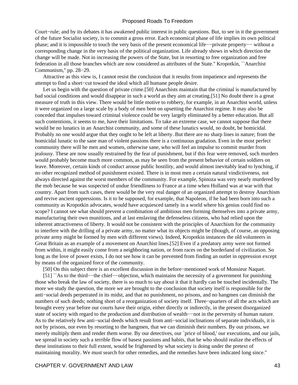Court−rule; and by its debates it has awakened public interest in public questions. But, to see in it the government of the future Socialist society, is to commit a gross error. Each economical phase of life implies its own political phase; and it is impossible to touch the very basis of the present economical life−−private property−− without a corresponding change in the very basis of the political organization. Life already shows in which direction the change will be made. Not in increasing the powers of the State, but in resorting to free organization and free federation in all those branches which are now considered as attributes of the State.'' Kropotkin, ``Anarchist Communism,'' pp. 28−29.

 Attractive as this view is, I cannot resist the conclusion that it results from impatience and represents the attempt to find a short−cut toward the ideal which all humane people desire.

 Let us begin with the question of private crime.[50] Anarchists maintain that the criminal is manufactured by bad social conditions and would disappear in such a world as they aim at creating.[51] No doubt there is a great measure of truth in this view. There would be little motive to robbery, for example, in an Anarchist world, unless it were organized on a large scale by a body of men bent on upsetting the Anarchist regime. It may also be conceded that impulses toward criminal violence could be very largely eliminated by a better education. But all such contentions, it seems to me, have their limitations. To take an extreme case, we cannot suppose that there would be no lunatics in an Anarchist community, and some of these lunatics would, no doubt, be homicidal. Probably no one would argue that they ought to be left at liberty. But there are no sharp lines in nature; from the homicidal lunatic to the sane man of violent passions there is a continuous gradation. Even in the most perfect community there will be men and women, otherwise sane, who will feel an impulse to commit murder from jealousy. These are now usually restrained by the fear of punishment, but if this fear were removed, such murders would probably become much more common, as may be seen from the present behavior of certain soldiers on leave. Moreover, certain kinds of conduct arouse public hostility, and would almost inevitably lead to lynching, if no other recognized method of punishment existed. There is in most men a certain natural vindictiveness, not always directed against the worst members of the community. For example, Spinoza was very nearly murdered by the mob because he was suspected of undue friendliness to France at a time when Holland was at war with that country. Apart from such cases, there would be the very real danger of an organized attempt to destroy Anarchism and revive ancient oppressions. Is it to be supposed, for example, that Napoleon, if he had been born into such a community as Kropotkin advocates, would have acquiesced tamely in a world where his genius could find no scope? I cannot see what should prevent a combination of ambitious men forming themselves into a private army, manufacturing their own munitions, and at last enslaving the defenseless citizens, who had relied upon the inherent attractiveness of liberty. It would not be consistent with the principles of Anarchism for the community to interfere with the drilling of a private army, no matter what its objects might be (though, of course, an opposing private army might be formed by men with different views). Indeed, Kropotkin instances the old volunteers in Great Britain as an example of a movement on Anarchist lines.[52] Even if a predatory army were not formed from within, it might easily come from a neighboring nation, or from races on the borderland of civilization. So long as the love of power exists, I do not see how it can be prevented from finding an outlet in oppression except by means of the organized force of the community.

[50] On this subject there is an excellent discussion in the before−mentioned work of Monsieur Naquet.

 [51] ``As to the third−−the chief−−objection, which maintains the necessity of a government for punishing those who break the law of society, there is so much to say about it that it hardly can be touched incidentally. The more we study the question, the more we are brought to the conclusion that society itself is responsible for the anti−social deeds perpetrated in its midst, and that no punishment, no prisons, and no hangmen can diminish the numbers of such deeds; nothing short of a reorganization of society itself. Three−quarters of all the acts which are brought every year before our courts have their origin, either directly or indirectly, in the present disorganized state of society with regard to the production and distribution of wealth−−not in the perversity of human nature. As to the relatively few anti−social deeds which result from anti−social inclinations of separate individuals, it is not by prisons, nor even by resorting to the hangmen, that we can diminish their numbers. By our prisons, we merely multiply them and render them worse. By our detectives, our `price of blood,' our executions, and our jails, we spread in society such a terrible flow of basest passions and habits, that he who should realize the effects of these institutions to their full extent, would be frightened by what society is doing under the pretext of maintaining morality. We must search for other remedies, and the remedies have been indicated long since.''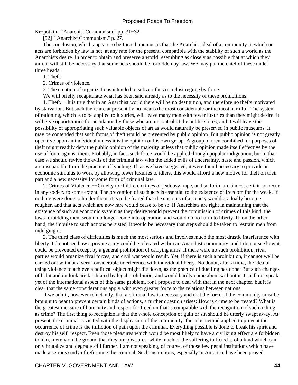Kropotkin, ``Anarchist Communism,'' pp. 31−32.

[52] "Anarchist Communism," p. 27.

 The conclusion, which appears to be forced upon us, is that the Anarchist ideal of a community in which no acts are forbidden by law is not, at any rate for the present, compatible with the stability of such a world as the Anarchists desire. In order to obtain and preserve a world resembling as closely as possible that at which they aim, it will still be necessary that some acts should be forbidden by law. We may put the chief of these under three heads:

1. Theft.

2. Crimes of violence.

3. The creation of organizations intended to subvert the Anarchist regime by force.

We will briefly recapitulate what has been said already as to the necessity of these prohibitions.

 1. Theft.−−It is true that in an Anarchist world there will be no destitution, and therefore no thefts motivated by starvation. But such thefts are at present by no means the most considerable or the most harmful. The system of rationing, which is to be applied to luxuries, will leave many men with fewer luxuries than they might desire. It will give opportunities for peculation by those who are in control of the public stores, and it will leave the possibility of appropriating such valuable objects of art as would naturally be preserved in public museums. It may be contended that such forms of theft would be prevented by public opinion. But public opinion is not greatly operative upon an individual unless it is the opinion of his own group. A group of men combined for purposes of theft might readily defy the public opinion of the majority unless that public opinion made itself effective by the use of force against them. Probably, in fact, such force would be applied through popular indignation, but in that case we should revive the evils of the criminal law with the added evils of uncertainty, haste and passion, which are inseparable from the practice of lynching. If, as we have suggested, it were found necessary to provide an economic stimulus to work by allowing fewer luxuries to idlers, this would afford a new motive for theft on their part and a new necessity for some form of criminal law.

 2. Crimes of Violence.−−Cruelty to children, crimes of jealousy, rape, and so forth, are almost certain to occur in any society to some extent. The prevention of such acts is essential to the existence of freedom for the weak. If nothing were done to hinder them, it is to be feared that the customs of a society would gradually become rougher, and that acts which are now rare would cease to be so. If Anarchists are right in maintaining that the existence of such an economic system as they desire would prevent the commission of crimes of this kind, the laws forbidding them would no longer come into operation, and would do no harm to liberty. If, on the other hand, the impulse to such actions persisted, it would be necessary that steps should be taken to restrain men from indulging it.

 3. The third class of difficulties is much the most serious and involves much the most drastic interference with liberty. I do not see how a private army could be tolerated within an Anarchist community, and I do not see how it could be prevented except by a general prohibition of carrying arms. If there were no such prohibition, rival parties would organize rival forces, and civil war would result. Yet, if there is such a prohibition, it cannot well be carried out without a very considerable interference with individual liberty. No doubt, after a time, the idea of using violence to achieve a political object might die down, as the practice of duelling has done. But such changes of habit and outlook are facilitated by legal prohibition, and would hardly come about without it. I shall not speak yet of the international aspect of this same problem, for I propose to deal with that in the next chapter, but it is clear that the same considerations apply with even greater force to the relations between nations.

 If we admit, however reluctantly, that a criminal law is necessary and that the force of the community must be brought to bear to prevent certain kinds of actions, a further question arises: How is crime to be treated? What is the greatest measure of humanity and respect for freedom that is compatible with the recognition of such a thing as crime? The first thing to recognize is that the whole conception of guilt or sin should be utterly swept away. At present, the criminal is visited with the displeasure of the community: the sole method applied to prevent the occurrence of crime is the infliction of pain upon the criminal. Everything possible is done to break his spirit and destroy his self−respect. Even those pleasures which would be most likely to have a civilizing effect are forbidden to him, merely on the ground that they are pleasures, while much of the suffering inflicted is of a kind which can only brutalize and degrade still further. I am not speaking, of course, of those few penal institutions which have made a serious study of reforming the criminal. Such institutions, especially in America, have been proved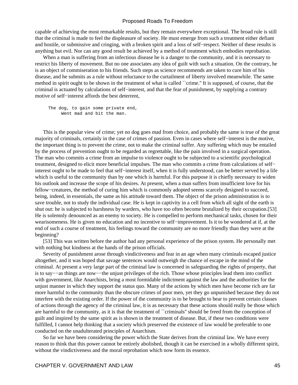capable of achieving the most remarkable results, but they remain everywhere exceptional. The broad rule is still that the criminal is made to feel the displeasure of society. He must emerge from such a treatment either defiant and hostile, or submissive and cringing, with a broken spirit and a loss of self−respect. Neither of these results is anything but evil. Nor can any good result be achieved by a method of treatment which embodies reprobation.

 When a man is suffering from an infectious disease he is a danger to the community, and it is necessary to restrict his liberty of movement. But no one associates any idea of guilt with such a situation. On the contrary, he is an object of commiseration to his friends. Such steps as science recommends are taken to cure him of his disease, and he submits as a rule without reluctance to the curtailment of liberty involved meanwhile. The same method in spirit ought to be shown in the treatment of what is called ``crime.'' It is supposed, of course, that the criminal is actuated by calculations of self−interest, and that the fear of punishment, by supplying a contrary motive of self−interest affords the best deterrent,

 The dog, to gain some private end, Went mad and bit the man.

 This is the popular view of crime; yet no dog goes mad from choice, and probably the same is true of the great majority of criminals, certainly in the case of crimes of passion. Even in cases where self−interest is the motive, the important thing is to prevent the crime, not to make the criminal suffer. Any suffering which may be entailed by the process of prevention ought to be regarded as regrettable, like the pain involved in a surgical operation. The man who commits a crime from an impulse to violence ought to be subjected to a scientific psychological treatment, designed to elicit more beneficial impulses. The man who commits a crime from calculations of self− interest ought to be made to feel that self−interest itself, when it is fully understood, can be better served by a life which is useful to the community than by one which is harmful. For this purpose it is chiefly necessary to widen his outlook and increase the scope of his desires. At present, when a man suffers from insufficient love for his fellow−creatures, the method of curing him which is commonly adopted seems scarcely designed to succeed, being, indeed, in essentials, the same as his attitude toward them. The object of the prison administration is to save trouble, not to study the individual case. He is kept in captivity in a cell from which all sight of the earth is shut out: he is subjected to harshness by warders, who have too often become brutalized by their occupation.[53] He is solemnly denounced as an enemy to society. He is compelled to perform mechanical tasks, chosen for their wearisomeness. He is given no education and no incentive to self−improvement. Is it to be wondered at if, at the end of such a course of treatment, his feelings toward the community are no more friendly than they were at the beginning?

 [53] This was written before the author had any personal experience of the prison system. He personally met with nothing but kindness at the hands of the prison officials.

 Severity of punishment arose through vindictiveness and fear in an age when many criminals escaped justice altogether, and it was hoped that savage sentences would outweigh the chance of escape in the mind of the criminal. At present a very large part of the criminal law is concerned in safeguarding the rights of property, that is to say−−as things are now−−the unjust privileges of the rich. Those whose principles lead them into conflict with government, like Anarchists, bring a most formidable indictment against the law and the authorities for the unjust manner in which they support the status quo. Many of the actions by which men have become rich are far more harmful to the community than the obscure crimes of poor men, yet they go unpunished because they do not interfere with the existing order. If the power of the community is to be brought to bear to prevent certain classes of actions through the agency of the criminal law, it is as necessary that these actions should really be those which are harmful to the community, as it is that the treatment of ``criminals'' should be freed from the conception of guilt and inspired by the same spirit as is shown in the treatment of disease. But, if these two conditions were fulfilled, I cannot help thinking that a society which preserved the existence of law would be preferable to one conducted on the unadulterated principles of Anarchism.

 So far we have been considering the power which the State derives from the criminal law. We have every reason to think that this power cannot be entirely abolished, though it can be exercised in a wholly different spirit, without the vindictiveness and the moral reprobation which now form its essence.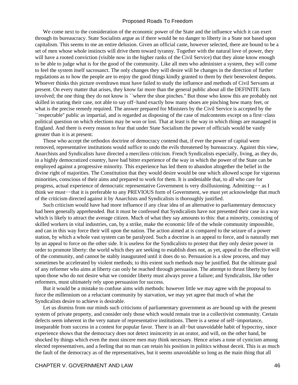We come next to the consideration of the economic power of the State and the influence which it can exert through its bureaucracy. State Socialists argue as if there would be no danger to liberty in a State not based upon capitalism. This seems to me an entire delusion. Given an official caste, however selected, there are bound to be a set of men whose whole instincts will drive them toward tyranny. Together with the natural love of power, they will have a rooted conviction (visible now in the higher ranks of the Civil Service) that they alone know enough to be able to judge what is for the good of the community. Like all men who administer a system, they will come to feel the system itself sacrosanct. The only changes they will desire will be changes in the direction of further regulations as to how the people are to enjoy the good things kindly granted to them by their benevolent despots. Whoever thinks this picture overdrawn must have failed to study the influence and methods of Civil Servants at present. On every matter that arises, they know far more than the general public about all the DEFINITE facts involved; the one thing they do not know is ``where the shoe pinches.'' But those who know this are probably not skilled in stating their case, not able to say off−hand exactly how many shoes are pinching how many feet, or what is the precise remedy required. The answer prepared for Ministers by the Civil Service is accepted by the ``respectable'' public as impartial, and is regarded as disposing of the case of malcontents except on a first−class political question on which elections may be won or lost. That at least is the way in which things are managed in England. And there is every reason to fear that under State Socialism the power of officials would be vastly greater than it is at present.

 Those who accept the orthodox doctrine of democracy contend that, if ever the power of capital were removed, representative institutions would suffice to undo the evils threatened by bureaucracy. Against this view, Anarchists and Syndicalists have directed a merciless criticism. French Syndicalists especially, living, as they do, in a highly democratized country, have had bitter experience of the way in which the power of the State can be employed against a progressive minority. This experience has led them to abandon altogether the belief in the divine right of majorities. The Constitution that they would desire would be one which allowed scope for vigorous minorities, conscious of their aims and prepared to work for them. It is undeniable that, to all who care for progress, actual experience of democratic representative Government is very disillusioning. Admitting−− as I think we must−−that it is preferable to any PREVIOUS form of Government, we must yet acknowledge that much of the criticism directed against it by Anarchists and Syndicalists is thoroughly justified.

 Such criticism would have had more influence if any clear idea of an alternative to parliamentary democracy had been generally apprehended. But it must be confessed that Syndicalists have not presented their case in a way which is likely to attract the average citizen. Much of what they say amounts to this: that a minority, consisting of skilled workers in vital industries, can, by a strike, make the economic life of the whole community impossible, and can in this way force their will upon the nation. The action aimed at is compared to the seizure of a power station, by which a whole vast system can be paralyzed. Such a doctrine is an appeal to force, and is naturally met by an appeal to force on the other side. It is useless for the Syndicalists to protest that they only desire power in order to promote liberty: the world which they are seeking to establish does not, as yet, appeal to the effective will of the community, and cannot be stably inaugurated until it does do so. Persuasion is a slow process, and may sometimes be accelerated by violent methods; to this extent such methods may be justified. But the ultimate goal of any reformer who aims at liberty can only be reached through persuasion. The attempt to thrust liberty by force upon those who do not desire what we consider liberty must always prove a failure; and Syndicalists, like other reformers, must ultimately rely upon persuasion for success.

 But it would be a mistake to confuse aims with methods: however little we may agree with the proposal to force the millennium on a reluctant community by starvation, we may yet agree that much of what the Syndicalists desire to achieve is desirable.

 Let us dismiss from our minds such criticisms of parliamentary government as are bound up with the present system of private property, and consider only those which would remain true in a collectivist community. Certain defects seem inherent in the very nature of representative institutions. There is a sense of self−importance, inseparable from success in a contest for popular favor. There is an all−but unavoidable habit of hypocrisy, since experience shows that the democracy does not detect insincerity in an orator, and will, on the other hand, be shocked by things which even the most sincere men may think necessary. Hence arises a tone of cynicism among elected representatives, and a feeling that no man can retain his position in politics without deceit. This is as much the fault of the democracy as of the representatives, but it seems unavoidable so long as the main thing that all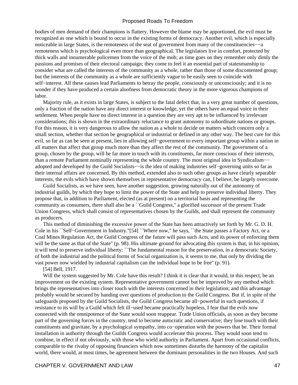bodies of men demand of their champions is flattery. However the blame may be apportioned, the evil must be recognized as one which is bound to occur in the existing forms of democracy. Another evil, which is especially noticeable in large States, is the remoteness of the seat of government from many of the constituencies−−a remoteness which is psychological even more than geographical. The legislators live in comfort, protected by thick walls and innumerable policemen from the voice of the mob; as time goes on they remember only dimly the passions and promises of their electoral campaign; they come to feel it an essential part of statesmanship to consider what are called the interests of the community as a whole, rather than those of some discontented group; but the interests of the community as a whole are sufficiently vague to be easily seen to coincide with self–interest. All these causes lead Parliaments to betray the people, consciously or unconsciously; and it is no wonder if they have produced a certain aloofness from democratic theory in the more vigorous champions of labor.

 Majority rule, as it exists in large States, is subject to the fatal defect that, in a very great number of questions, only a fraction of the nation have any direct interest or knowledge, yet the others have an equal voice in their settlement. When people have no direct interest in a question they are very apt to be influenced by irrelevant considerations; this is shown in the extraordinary reluctance to grant autonomy to subordinate nations or groups. For this reason, it is very dangerous to allow the nation as a whole to decide on matters which concern only a small section, whether that section be geographical or industrial or defined in any other way. The best cure for this evil, so far as can be seen at present, lies in allowing self−government to every important group within a nation in all matters that affect that group much more than they affect the rest of the community. The government of a group, chosen by the group, will be far more in touch with its constituents, far more conscious of their interests, than a remote Parliament nominally representing the whole country. The most original idea in Syndicalism−− adopted and developed by the Guild Socialists−−is the idea of making industries self−governing units so far as their internal affairs are concerned. By this method, extended also to such other groups as have clearly separable interests, the evils which have shown themselves in representative democracy can, I believe, be largely overcome.

 Guild Socialists, as we have seen, have another suggestion, growing naturally out of the autonomy of industrial guilds, by which they hope to limit the power of the State and help to preserve individual liberty. They propose that, in addition to Parliament, elected (as at present) on a territorial basis and representing the community as consumers, there shall also be a ``Guild Congress,'' a glorified successor of the present Trade Union Congress, which shall consist of representatives chosen by the Guilds, and shall represent the community as producers.

 This method of diminishing the excessive power of the State has been attractively set forth by Mr. G. D. H. Cole in his ``Self−Government in Industry.''[54] ``Where now,'' he says, ``the State passes a Factory Act, or a Coal Mines Regulation Act, the Guild Congress of the future will pass such Acts, and its power of enforcing them will be the same as that of the State" (p. 98). His ultimate ground for advocating this system is that, in his opinion, it will tend to preserve individual liberty: ``The fundamental reason for the preservation, in a democratic Society, of both the industrial and the political forms of Social organization is, it seems to me, that only by dividing the vast power now wielded by industrial capitalism can the individual hope to be free'' (p. 91).

[54] Bell, 1917.

Will the system suggested by Mr. Cole have this result? I think it is clear that it would, in this respect, be an improvement on the existing system. Representative government cannot but be improved by any method which brings the representatives into closer touch with the interests concerned in their legislation; and this advantage probably would be secured by handing over questions of production to the Guild Congress. But if, in spite of the safeguards proposed by the Guild Socialists, the Guild Congress became all−powerful in such questions, if resistance to its will by a Guild which felt ill−used became practically hopeless, I fear that the evils now connected with the omnipotence of the State would soon reappear. Trade Union officials, as soon as they become part of the governing forces in the country, tend to become autocratic and conservative; they lose touch with their constituents and gravitate, by a psychological sympathy, into co−operation with the powers that be. Their formal installation in authority through the Guilds Congress would accelerate this process. They would soon tend to combine, in effect if not obviously, with those who wield authority in Parliament. Apart from occasional conflicts, comparable to the rivalry of opposing financiers which now sometimes disturbs the harmony of the capitalist world, there would, at most times, be agreement between the dominant personalities in the two Houses. And such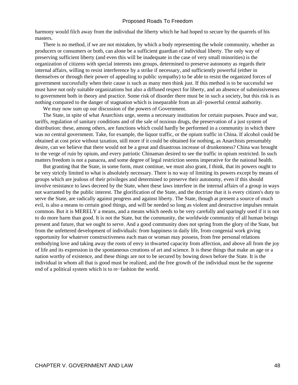harmony would filch away from the individual the liberty which he had hoped to secure by the quarrels of his masters.

 There is no method, if we are not mistaken, by which a body representing the whole community, whether as producers or consumers or both, can alone be a sufficient guardian of individual liberty. The only way of preserving sufficient liberty (and even this will be inadequate in the case of very small minorities) is the organization of citizens with special interests into groups, determined to preserve autonomy as regards their internal affairs, willing to resist interference by a strike if necessary, and sufficiently powerful (either in themselves or through their power of appealing to public sympathy) to be able to resist the organized forces of government successfully when their cause is such as many men think just. If this method is to be successful we must have not only suitable organizations but also a diffused respect for liberty, and an absence of submissiveness to government both in theory and practice. Some risk of disorder there must be in such a society, but this risk is as nothing compared to the danger of stagnation which is inseparable from an all−powerful central authority.

We may now sum up our discussion of the powers of Government.

 The State, in spite of what Anarchists urge, seems a necessary institution for certain purposes. Peace and war, tariffs, regulation of sanitary conditions and of the sale of noxious drugs, the preservation of a just system of distribution: these, among others, are functions which could hardly be performed in a community in which there was no central government. Take, for example, the liquor traffic, or the opium traffic in China. If alcohol could be obtained at cost price without taxation, still more if it could be obtained for nothing, as Anarchists presumably desire, can we believe that there would not be a great and disastrous increase of drunkenness? China was brought to the verge of ruin by opium, and every patriotic Chinaman desired to see the traffic in opium restricted. In such matters freedom is not a panacea, and some degree of legal restriction seems imperative for the national health.

 But granting that the State, in some form, must continue, we must also grant, I think, that its powers ought to be very strictly limited to what is absolutely necessary. There is no way of limiting its powers except by means of groups which are jealous of their privileges and determined to preserve their autonomy, even if this should involve resistance to laws decreed by the State, when these laws interfere in the internal affairs of a group in ways not warranted by the public interest. The glorification of the State, and the doctrine that it is every citizen's duty to serve the State, are radically against progress and against liberty. The State, though at present a source of much evil, is also a means to certain good things, and will be needed so long as violent and destructive impulses remain common. But it is MERELY a means, and a means which needs to be very carefully and sparingly used if it is not to do more harm than good. It is not the State, but the community, the worldwide community of all human beings present and future, that we ought to serve. And a good community does not spring from the glory of the State, but from the unfettered development of individuals: from happiness in daily life, from congenial work giving opportunity for whatever constructiveness each man or woman may possess, from free personal relations embodying love and taking away the roots of envy in thwarted capacity from affection, and above all from the joy of life and its expression in the spontaneous creations of art and science. It is these things that make an age or a nation worthy of existence, and these things are not to be secured by bowing down before the State. It is the individual in whom all that is good must be realized, and the free growth of the individual must be the supreme end of a political system which is to re−fashion the world.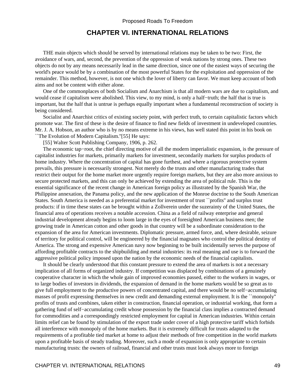## **CHAPTER VI. INTERNATIONAL RELATIONS**

 THE main objects which should be served by international relations may be taken to be two: First, the avoidance of wars, and, second, the prevention of the oppression of weak nations by strong ones. These two objects do not by any means necessarily lead in the same direction, since one of the easiest ways of securing the world's peace would be by a combination of the most powerful States for the exploitation and oppression of the remainder. This method, however, is not one which the lover of liberty can favor. We must keep account of both aims and not be content with either alone.

 One of the commonplaces of both Socialism and Anarchism is that all modern wars are due to capitalism, and would cease if capitalism were abolished. This view, to my mind, is only a half−truth; the half that is true is important, but the half that is untrue is perhaps equally important when a fundamental reconstruction of society is being considered.

 Socialist and Anarchist critics of existing society point, with perfect truth, to certain capitalistic factors which promote war. The first of these is the desire of finance to find new fields of investment in undeveloped countries. Mr. J. A. Hobson, an author who is by no means extreme in his views, has well stated this point in his book on ``The Evolution of Modern Capitalism.''[55] He says:

[55] Walter Scott Publishing Company, 1906, p. 262.

 The economic tap−root, the chief directing motive of all the modern imperialistic expansion, is the pressure of capitalist industries for markets, primarily markets for investment, secondarily markets for surplus products of home industry. Where the concentration of capital has gone furthest, and where a rigorous protective system prevails, this pressure is necessarily strongest. Not merely do the trusts and other manufacturing trades that restrict their output for the home market more urgently require foreign markets, but they are also more anxious to secure protected markets, and this can only be achieved by extending the area of political rule. This is the essential significance of the recent change in American foreign policy as illustrated by the Spanish War, the Philippine annexation, the Panama policy, and the new application of the Monroe doctrine to the South American States. South America is needed as a preferential market for investment of trust ``profits'' and surplus trust products: if in time these states can be brought within a Zollverein under the suzerainty of the United States, the financial area of operations receives a notable accession. China as a field of railway enterprise and general industrial development already begins to loom large in the eyes of foresighted American business men; the growing trade in American cotton and other goods in that country will be a subordinate consideration to the expansion of the area for American investments. Diplomatic pressure, armed force, and, where desirable, seizure of territory for political control, will be engineered by the financial magnates who control the political destiny of America. The strong and expensive American navy now beginning to be built incidentally serves the purpose of affording profitable contracts to the shipbuilding and metal industries: its real meaning and use is to forward the aggressive political policy imposed upon the nation by the economic needs of the financial capitalists.

 It should be clearly understood that this constant pressure to extend the area of markets is not a necessary implication of all forms of organized industry. If competition was displaced by combinations of a genuinely cooperative character in which the whole gain of improved economies passed, either to the workers in wages, or to large bodies of investors in dividends, the expansion of demand in the home markets would be so great as to give full employment to the productive powers of concentrated capital, and there would be no self−accumulating masses of profit expressing themselves in new credit and demanding external employment. It is the ``monopoly'' profits of trusts and combines, taken either in construction, financial operation, or industrial working, that form a gathering fund of self−accumulating credit whose possession by the financial class implies a contracted demand for commodities and a correspondingly restricted employment for capital in American industries. Within certain limits relief can be found by stimulation of the export trade under cover of a high protective tariff which forbids all interference with monopoly of the home markets. But it is extremely difficult for trusts adapted to the requirements of a profitable tied market at home to adjust their methods of free competition in the world markets upon a profitable basis of steady trading. Moreover, such a mode of expansion is only appropriate to certain manufacturing trusts: the owners of railroad, financial and other trusts must look always more to foreign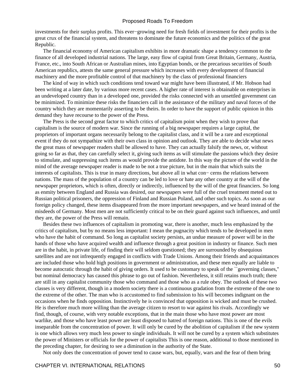investments for their surplus profits. This ever−growing need for fresh fields of investment for their profits is the great crux of the financial system, and threatens to dominate the future economics and the politics of the great Republic.

 The financial economy of American capitalism exhibits in more dramatic shape a tendency common to the finance of all developed industrial nations. The large, easy flow of capital from Great Britain, Germany, Austria, France, etc., into South African or Australian mines, into Egyptian bonds, or the precarious securities of South American republics, attests the same general pressure which increases with every development of financial machinery and the more profitable control of that machinery by the class of professional financiers

 The kind of way in which such conditions tend toward war might have been illustrated, if Mr. Hobson had been writing at a later date, by various more recent cases. A higher rate of interest is obtainable on enterprises in an undeveloped country than in a developed one, provided the risks connected with an unsettled government can be minimized. To minimize these risks the financiers call in the assistance of the military and naval forces of the country which they are momentarily asserting to be theirs. In order to have the support of public opinion in this demand they have recourse to the power of the Press.

 The Press is the second great factor to which critics of capitalism point when they wish to prove that capitalism is the source of modern war. Since the running of a big newspaper requires a large capital, the proprietors of important organs necessarily belong to the capitalist class, and it will be a rare and exceptional event if they do not sympathize with their own class in opinion and outlook. They are able to decide what news the great mass of newspaper readers shall be allowed to have. They can actually falsify the news, or, without going so far as that, they can carefully select it, giving such items as will stimulate the passions which they desire to stimulate, and suppressing such items as would provide the antidote. In this way the picture of the world in the mind of the average newspaper reader is made to be not a true picture, but in the main that which suits the interests of capitalists. This is true in many directions, but above all in what con− cerns the relations between nations. The mass of the population of a country can be led to love or hate any other country at the will of the newspaper proprietors, which is often, directly or indirectly, influenced by the will of the great financiers. So long as enmity between England and Russia was desired, our newspapers were full of the cruel treatment meted out to Russian political prisoners, the oppression of Finland and Russian Poland, and other such topics. As soon as our foreign policy changed, these items disappeared from the more important newspapers, and we heard instead of the misdeeds of Germany. Most men are not sufficiently critical to be on their guard against such influences, and until they are, the power of the Press will remain.

 Besides these two influences of capitalism in promoting war, there is another, much less emphasized by the critics of capitalism, but by no means less important: I mean the pugnacity which tends to be developed in men who have the habit of command. So long as capitalist society persists, an undue measure of power will be in the hands of those who have acquired wealth and influence through a great position in industry or finance. Such men are in the habit, in private life, of finding their will seldom questioned; they are surrounded by obsequious satellites and are not infrequently engaged in conflicts with Trade Unions. Among their friends and acquaintances are included those who hold high positions in government or administration, and these men equally are liable to become autocratic through the habit of giving orders. It used to be customary to speak of the ``governing classes,'' but nominal democracy has caused this phrase to go out of fashion. Nevertheless, it still retains much truth; there are still in any capitalist community those who command and those who as a rule obey. The outlook of these two classes is very different, though in a modern society there is a continuous gradation from the extreme of the one to the extreme of the other. The man who is accustomed to find submission to his will becomes indignant on the occasions when he finds opposition. Instinctively he is convinced that opposition is wicked and must be crushed. He is therefore much more willing than the average citizen to resort to war against his rivals. Accordingly we find, though, of course, with very notable exceptions, that in the main those who have most power are most warlike, and those who have least power are least disposed to hatred of foreign nations. This is one of the evils inseparable from the concentration of power. It will only be cured by the abolition of capitalism if the new system is one which allows very much less power to single individuals. It will not be cured by a system which substitutes the power of Ministers or officials for the power of capitalists This is one reason, additional to those mentioned in the preceding chapter, for desiring to see a diminution in the authority of the State.

Not only does the concentration of power tend to cause wars, but, equally, wars and the fear of them bring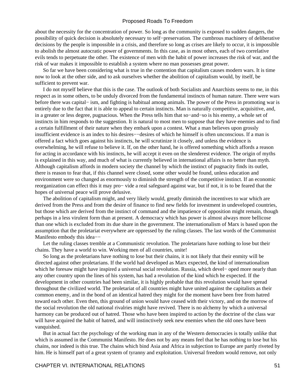about the necessity for the concentration of power. So long as the community is exposed to sudden dangers, the possibility of quick decision is absolutely necessary to self−preservation. The cumbrous machinery of deliberative decisions by the people is impossible in a crisis, and therefore so long as crises are likely to occur, it is impossible to abolish the almost autocratic power of governments. In this case, as in most others, each of two correlative evils tends to perpetuate the other. The existence of men with the habit of power increases the risk of war, and the risk of war makes it impossible to establish a system where no man possesses great power.

 So far we have been considering what is true in the contention that capitalism causes modern wars. It is time now to look at the other side, and to ask ourselves whether the abolition of capitalism would, by itself, be sufficient to prevent war.

 I do not myself believe that this is the case. The outlook of both Socialists and Anarchists seems to me, in this respect as in some others, to be unduly divorced from the fundamental instincts of human nature. There were wars before there was capital− ism, and fighting is habitual among animals. The power of the Press in promoting war is entirely due to the fact that it is able to appeal to certain instincts. Man is naturally competitive, acquisitive, and, in a greater or less degree, pugnacious. When the Press tells him that so−and−so is his enemy, a whole set of instincts in him responds to the suggestion. It is natural to most men to suppose that they have enemies and to find a certain fulfillment of their nature when they embark upon a contest. What a man believes upon grossly insufficient evidence is an index to his desires−−desires of which he himself is often unconscious. If a man is offered a fact which goes against his instincts, he will scrutinize it closely, and unless the evidence is overwhelming, he will refuse to believe it. If, on the other hand, he is offered something which affords a reason for acting in accordance with his instincts, he will accept it even on the slenderest evidence. The origin of myths is explained in this way, and much of what is currently believed in international affairs is no better than myth. Although capitalism affords in modern society the channel by which the instinct of pugnacity finds its outlet, there is reason to fear that, if this channel were closed, some other would be found, unless education and environment were so changed as enormously to diminish the strength of the competitive instinct. If an economic reorganization can effect this it may pro− vide a real safeguard against war, but if not, it is to be feared that the hopes of universal peace will prove delusive.

 The abolition of capitalism might, and very likely would, greatly diminish the incentives to war which are derived from the Press and from the desire of finance to find new fields for investment in undeveloped countries, but those which are derived from the instinct of command and the impatience of opposition might remain, though perhaps in a less virulent form than at present. A democracy which has power is almost always more bellicose than one which is excluded from its due share in the government. The internationalism of Marx is based upon the assumption that the proletariat everywhere are oppressed by the ruling classes. The last words of the Communist Manifesto embody this idea−−

 Let the ruling classes tremble at a Communistic revolution. The proletarians have nothing to lose but their chains. They have a world to win. Working men of all countries, unite!

 So long as the proletarians have nothing to lose but their chains, it is not likely that their enmity will be directed against other proletarians. If the world had developed as Marx expected, the kind of internationalism which he foresaw might have inspired a universal social revolution. Russia, which devel− oped more nearly than any other country upon the lines of his system, has had a revolution of the kind which he expected. If the development in other countries had been similar, it is highly probable that this revolution would have spread throughout the civilized world. The proletariat of all countries might have united against the capitalists as their common enemy, and in the bond of an identical hatred they might for the moment have been free from hatred toward each other. Even then, this ground of union would have ceased with their victory, and on the morrow of the social revolution the old national rivalries might have revived. There is no alchemy by which a universal harmony can be produced out of hatred. Those who have been inspired to action by the doctrine of the class war will have acquired the habit of hatred, and will instinctively seek new enemies when the old ones have been vanquished.

 But in actual fact the psychology of the working man in any of the Western democracies is totally unlike that which is assumed in the Communist Manifesto. He does not by any means feel that he has nothing to lose but his chains, nor indeed is this true. The chains which bind Asia and Africa in subjection to Europe are partly riveted by him. He is himself part of a great system of tyranny and exploitation. Universal freedom would remove, not only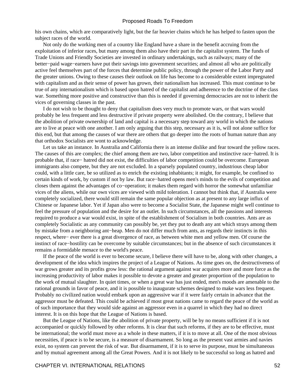his own chains, which are comparatively light, but the far heavier chains which he has helped to fasten upon the subject races of the world.

 Not only do the working men of a country like England have a share in the benefit accruing from the exploitation of inferior races, but many among them also have their part in the capitalist system. The funds of Trade Unions and Friendly Societies are invested in ordinary undertakings, such as railways; many of the better−paid wage−earners have put their savings into government securities; and almost all who are politically active feel themselves part of the forces that determine public policy, through the power of the Labor Party and the greater unions. Owing to these causes their outlook on life has become to a considerable extent impregnated with capitalism and as their sense of power has grown, their nationalism has increased. This must continue to be true of any internationalism which is based upon hatred of the capitalist and adherence to the doctrine of the class war. Something more positive and constructive than this is needed if governing democracies are not to inherit the vices of governing classes in the past.

 I do not wish to be thought to deny that capitalism does very much to promote wars, or that wars would probably be less frequent and less destructive if private property were abolished. On the contrary, I believe that the abolition of private ownership of land and capital is a necessary step toward any world in which the nations are to live at peace with one another. I am only arguing that this step, necessary as it is, will not alone suffice for this end, but that among the causes of war there are others that go deeper into the roots of human nature than any that orthodox Socialists are wont to acknowledge.

 Let us take an instance. In Australia and California there is an intense dislike and fear toward the yellow races. The causes of this are complex; the chief among them are two, labor competition and instinctive race−hatred. It is probable that, if race− hatred did not exist, the difficulties of labor competition could be overcome. European immigrants also compete, but they are not excluded. In a sparsely populated country, industrious cheap labor could, with a little care, be so utilized as to enrich the existing inhabitants; it might, for example, be confined to certain kinds of work, by custom if not by law. But race−hatred opens men's minds to the evils of competition and closes them against the advantages of co−operation; it makes them regard with horror the somewhat unfamiliar vices of the aliens, while our own vices are viewed with mild toleration. I cannot but think that, if Australia were completely socialized, there would still remain the same popular objection as at present to any large influx of Chinese or Japanese labor. Yet if Japan also were to become a Socialist State, the Japanese might well continue to feel the pressure of population and the desire for an outlet. In such circumstances, all the passions and interests required to produce a war would exist, in spite of the establishment of Socialism in both countries. Ants are as completely Socialistic as any community can possibly be, yet they put to death any ant which strays among them by mistake from a neighboring ant−heap. Men do not differ much from ants, as regards their instincts in this respect, where− ever there is a great divergence of race, as between white men and yellow men. Of course the instinct of race−hostility can be overcome by suitable circumstances; but in the absence of such circumstances it remains a formidable menace to the world's peace.

 If the peace of the world is ever to become secure, I believe there will have to be, along with other changes, a development of the idea which inspires the project of a League of Nations. As time goes on, the destructiveness of war grows greater and its profits grow less: the rational argument against war acquires more and more force as the increasing productivity of labor makes it possible to devote a greater and greater proportion of the population to the work of mutual slaughter. In quiet times, or when a great war has just ended, men's moods are amenable to the rational grounds in favor of peace, and it is possible to inaugurate schemes designed to make wars less frequent. Probably no civilized nation would embark upon an aggressive war if it were fairly certain in advance that the aggressor must be defeated. This could be achieved if most great nations came to regard the peace of the world as of such importance that they would side against an aggressor even in a quarrel in which they had no direct interest. It is on this hope that the League of Nations is based.

 But the League of Nations, like the abolition of private property, will be by no means sufficient if it is not accompanied or quickly followed by other reforms. It is clear that such reforms, if they are to be effective, must be international; the world must move as a whole in these matters, if it is to move at all. One of the most obvious necessities, if peace is to be secure, is a measure of disarmament. So long as the present vast armies and navies exist, no system can prevent the risk of war. But disarmament, if it is to serve its purpose, must be simultaneous and by mutual agreement among all the Great Powers. And it is not likely to be successful so long as hatred and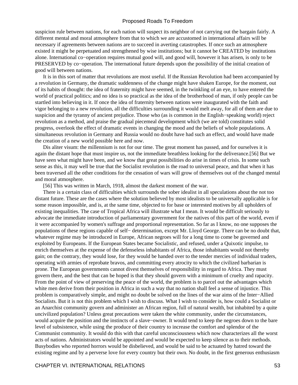suspicion rule between nations, for each nation will suspect its neighbor of not carrying out the bargain fairly. A different mental and moral atmosphere from that to which we are accustomed in international affairs will be necessary if agreements between nations are to succeed in averting catastrophes. If once such an atmosphere existed it might be perpetuated and strengthened by wise institutions; but it cannot be CREATED by institutions alone. International co−operation requires mutual good will, and good will, however it has arisen, is only to be PRESERVED by co−operation. The international future depends upon the possibility of the initial creation of good will between nations.

 It is in this sort of matter that revolutions are most useful. If the Russian Revolution had been accompanied by a revolution in Germany, the dramatic suddenness of the change might have shaken Europe, for the moment, out of its habits of thought: the idea of fraternity might have seemed, in the twinkling of an eye, to have entered the world of practical politics; and no idea is so practical as the idea of the brotherhood of man, if only people can be startled into believing in it. If once the idea of fraternity between nations were inaugurated with the faith and vigor belonging to a new revolution, all the difficulties surrounding it would melt away, for all of them are due to suspicion and the tyranny of ancient prejudice. Those who (as is common in the English−speaking world) reject revolution as a method, and praise the gradual piecemeal development which (we are told) constitutes solid progress, overlook the effect of dramatic events in changing the mood and the beliefs of whole populations. A simultaneous revolution in Germany and Russia would no doubt have had such an effect, and would have made the creation of a new world possible here and now.

 Dis aliter visum: the millennium is not for our time. The great moment has passed, and for ourselves it is again the distant hope that must inspire us, not the immediate breathless looking for the deliverance.[56] But we have seen what might have been, and we know that great possibilities do arise in times of crisis. In some such sense as this, it may well be true that the Socialist revolution is the road to universal peace, and that when it has been traversed all the other conditions for the cessation of wars will grow of themselves out of the changed mental and moral atmosphere.

[56] This was written in March, 1918, almost the darkest moment of the war.

 There is a certain class of difficulties which surrounds the sober idealist in all speculations about the not too distant future. These are the cases where the solution believed by most idealists to be universally applicable is for some reason impossible, and is, at the same time, objected to for base or interested motives by all upholders of existing inequalities. The case of Tropical Africa will illustrate what I mean. It would be difficult seriously to advocate the immediate introduction of parliamentary government for the natives of this part of the world, even if it were accompanied by women's suffrage and proportional representation. So far as I know, no one supposes the populations of these regions capable of self− determination, except Mr. Lloyd George. There can be no doubt that, whatever regime may be introduced in Europe, African negroes will for a long time to come be governed and exploited by Europeans. If the European States became Socialistic, and refused, under a Quixotic impulse, to enrich themselves at the expense of the defenseless inhabitants of Africa, those inhabitants would not thereby gain; on the contrary, they would lose, for they would be handed over to the tender mercies of individual traders, operating with armies of reprobate bravos, and committing every atrocity to which the civilized barbarian is prone. The European governments cannot divest themselves of responsibility in regard to Africa. They must govern there, and the best that can be hoped is that they should govern with a minimum of cruelty and rapacity. From the point of view of preserving the peace of the world, the problem is to parcel out the advantages which white men derive from their position in Africa in such a way that no nation shall feel a sense of injustice. This problem is comparatively simple, and might no doubt be solved on the lines of the war aims of the Inter−Allied Socialists. But it is not this problem which I wish to discuss. What I wish to consider is, how could a Socialist or an Anarchist community govern and administer an African region, full of natural wealth, but inhabited by a quite uncivilized population? Unless great precautions were taken the white community, under the circumstances, would acquire the position and the instincts of a slave−owner. It would tend to keep the negroes down to the bare level of subsistence, while using the produce of their country to increase the comfort and splendor of the Communist community. It would do this with that careful unconsciousness which now characterizes all the worst acts of nations. Administrators would be appointed and would be expected to keep silence as to their methods. Busybodies who reported horrors would be disbelieved, and would be said to be actuated by hatred toward the existing regime and by a perverse love for every country but their own. No doubt, in the first generous enthusiasm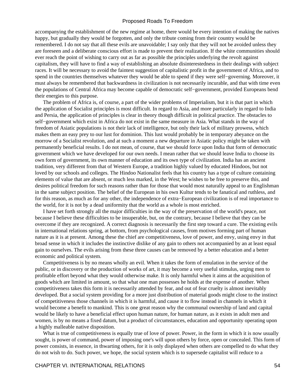accompanying the establishment of the new regime at home, there would be every intention of making the natives happy, but gradually they would be forgotten, and only the tribute coming from their country would be remembered. I do not say that all these evils are unavoidable; I say only that they will not be avoided unless they are foreseen and a deliberate conscious effort is made to prevent their realization. If the white communities should ever reach the point of wishing to carry out as far as possible the principles underlying the revolt against capitalism, they will have to find a way of establishing an absolute disinterestedness in their dealings with subject races. It will be necessary to avoid the faintest suggestion of capitalistic profit in the government of Africa, and to spend in the countries themselves whatever they would be able to spend if they were self−governing. Moreover, it must always be remembered that backwardness in civilization is not necessarily incurable, and that with time even the populations of Central Africa may become capable of democratic self−government, provided Europeans bend their energies to this purpose.

 The problem of Africa is, of course, a part of the wider problems of Imperialism, but it is that part in which the application of Socialist principles is most difficult. In regard to Asia, and more particularly in regard to India and Persia, the application of principles is clear in theory though difficult in political practice. The obstacles to self−government which exist in Africa do not exist in the same measure in Asia. What stands in the way of freedom of Asiatic populations is not their lack of intelligence, but only their lack of military prowess, which makes them an easy prey to our lust for dominion. This lust would probably be in temporary abeyance on the morrow of a Socialist revolution, and at such a moment a new departure in Asiatic policy might be taken with permanently beneficial results. I do not mean, of course, that we should force upon India that form of democratic government which we have developed for our own needs. I mean rather that we should leave India to choose its own form of government, its own manner of education and its own type of civilization. India has an ancient tradition, very different from that of Western Europe, a tradition highly valued by educated Hindoos, but not loved by our schools and colleges. The Hindoo Nationalist feels that his country has a type of culture containing elements of value that are absent, or much less marked, in the West; he wishes to be free to preserve this, and desires political freedom for such reasons rather than for those that would most naturally appeal to an Englishman in the same subject position. The belief of the European in his own Kultur tends to be fanatical and ruthless, and for this reason, as much as for any other, the independence of extra−European civilization is of real importance to the world, for it is not by a dead uniformity that the world as a whole is most enriched.

 I have set forth strongly all the major difficulties in the way of the preservation of the world's peace, not because I believe these difficulties to be insuperable, but, on the contrary, because I believe that they can be overcome if they are recognized. A correct diagnosis is necessarily the first step toward a cure. The existing evils in international relations spring, at bottom, from psychological causes, from motives forming part of human nature as it is at present. Among these the chief are competitiveness, love of power, and envy, using envy in that broad sense in which it includes the instinctive dislike of any gain to others not accompanied by an at least equal gain to ourselves. The evils arising from these three causes can be removed by a better education and a better economic and political system.

 Competitiveness is by no means wholly an evil. When it takes the form of emulation in the service of the public, or in discovery or the production of works of art, it may become a very useful stimulus, urging men to profitable effort beyond what they would otherwise make. It is only harmful when it aims at the acquisition of goods which are limited in amount, so that what one man possesses he holds at the expense of another. When competitiveness takes this form it is necessarily attended by fear, and out of fear cruelty is almost inevitably developed. But a social system providing for a more just distribution of material goods might close to the instinct of competitiveness those channels in which it is harmful, and cause it to flow instead in channels in which it would become a benefit to mankind. This is one great reason why the communal ownership of land and capital would be likely to have a beneficial effect upon human nature, for human nature, as it exists in adult men and women, is by no means a fixed datum, but a product of circumstances, education and opportunity operating upon a highly malleable native disposition.

What is true of competitiveness is equally true of love of power. Power, in the form in which it is now usually sought, is power of command, power of imposing one's will upon others by force, open or concealed. This form of power consists, in essence, in thwarting others, for it is only displayed when others are compelled to do what they do not wish to do. Such power, we hope, the social system which is to supersede capitalist will reduce to a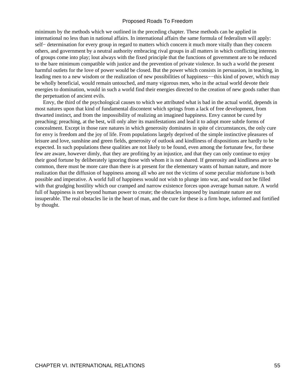minimum by the methods which we outlined in the preceding chapter. These methods can be applied in international no less than in national affairs. In international affairs the same formula of federalism will apply: self− determination for every group in regard to matters which concern it much more vitally than they concern others, and government by a neutral authority embracing rival groups in all matters in which conflicting interests of groups come into play; lout always with the fixed principle that the functions of government are to be reduced to the bare minimum compatible with justice and the prevention of private violence. In such a world the present harmful outlets for the love of power would be closed. But the power which consists in persuasion, in teaching, in leading men to a new wisdom or the realization of new possibilities of happiness−−this kind of power, which may be wholly beneficial, would remain untouched, and many vigorous men, who in the actual world devote their energies to domination, would in such a world find their energies directed to the creation of new goods rather than the perpetuation of ancient evils.

 Envy, the third of the psychological causes to which we attributed what is bad in the actual world, depends in most natures upon that kind of fundamental discontent which springs from a lack of free development, from thwarted instinct, and from the impossibility of realizing an imagined happiness. Envy cannot be cured by preaching; preaching, at the best, will only alter its manifestations and lead it to adopt more subtle forms of concealment. Except in those rare natures in which generosity dominates in spite of circumstances, the only cure for envy is freedom and the joy of life. From populations largely deprived of the simple instinctive pleasures of leisure and love, sunshine and green fields, generosity of outlook and kindliness of dispositions are hardly to be expected. In such populations these qualities are not likely to be found, even among the fortunate few, for these few are aware, however dimly, that they are profiting by an injustice, and that they can only continue to enjoy their good fortune by deliberately ignoring those with whom it is not shared. If generosity and kindliness are to be common, there must be more care than there is at present for the elementary wants of human nature, and more realization that the diffusion of happiness among all who are not the victims of some peculiar misfortune is both possible and imperative. A world full of happiness would not wish to plunge into war, and would not be filled with that grudging hostility which our cramped and narrow existence forces upon average human nature. A world full of happiness is not beyond human power to create; the obstacles imposed by inanimate nature are not insuperable. The real obstacles lie in the heart of man, and the cure for these is a firm hope, informed and fortified by thought.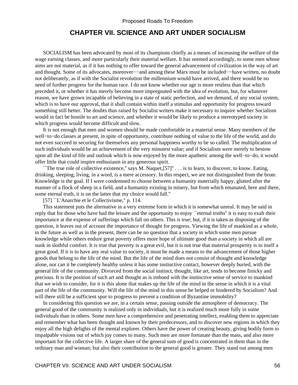# **CHAPTER VII. SCIENCE AND ART UNDER SOCIALISM**

 SOCIALISM has been advocated by most of its champions chiefly as a means of increasing the welfare of the wage earning classes, and more particularly their material welfare. It has seemed accordingly, to some men whose aims are not material, as if it has nothing to offer toward the general advancement of civilization in the way of art and thought. Some of its advocates, moreover−−and among these Marx must be included−−have written, no doubt not deliberately, as if with the Socialist revolution the millennium would have arrived, and there would be no need of further progress for the human race. I do not know whether our age is more restless than that which preceded it, or whether it has merely become more impregnated with the idea of evolution, but, for whatever reason, we have grown incapable of believing in a state of static perfection, and we demand, of any social system, which is to have our approval, that it shall contain within itself a stimulus and opportunity for progress toward something still better. The doubts thus raised by Socialist writers make it necessary to inquire whether Socialism would in fact be hostile to art and science, and whether it would be likely to produce a stereotyped society in which progress would become difficult and slow.

 It is not enough that men and women should be made comfortable in a material sense. Many members of the well−to−do classes at present, in spite of opportunity, contribute nothing of value to the life of the world, and do not even succeed in securing for themselves any personal happiness worthy to be so called. The multiplication of such individuals would be an achievement of the very minutest value; and if Socialism were merely to bestow upon all the kind of life and outlook which is now enjoyed by the more apathetic among the well−to−do, it would offer little that could inspire enthusiasm in any generous spirit.

 ``The true role of collective existence,'' says M. Naquet,[57]'' . . . is to learn, to discover, to know. Eating, drinking, sleeping, living, in a word, is a mere accessory. In this respect, we are not distinguished from the brute. Knowledge is the goal. If I were condemned to choose between a humanity materially happy, glutted after the manner of a flock of sheep in a field, and a humanity existing in misery, but from which emanated, here and there, some eternal truth, it is on the latter that my choice would fall.''

[57] ``L'Anarchie et le Collectivisme," p. 114.

 This statement puts the alternative in a very extreme form in which it is somewhat unreal. It may be said in reply that for those who have had the leisure and the opportunity to enjoy ``eternal truths'' it is easy to exalt their importance at the expense of sufferings which fall on others. This is true; but, if it is taken as disposing of the question, it leaves out of account the importance of thought for progress. Viewing the life of mankind as a whole, in the future as well as in the present, there can be no question that a society in which some men pursue knowledge while others endure great poverty offers more hope of ultimate good than a society in which all are sunk in slothful comfort. It is true that poverty is a great evil, but it is not true that material prosperity is in itself a great good. If it is to have any real value to society, it must be made a means to the advancement of those higher goods that belong to the life of the mind. But the life of the mind does not consist of thought and knowledge alone, nor can it be completely healthy unless it has some instinctive contact, however deeply buried, with the general life of the community. Divorced from the social instinct, thought, like art, tends to become finicky and precious. It is the position of such art and thought as is imbued with the instinctive sense of service to mankind that we wish to consider, for it is this alone that makes up the life of the mind in the sense in which it is a vital part of the life of the community. Will the life of the mind in this sense be helped or hindered by Socialism? And will there still be a sufficient spur to progress to prevent a condition of Byzantine immobility?

 In considering this question we are, in a certain sense, passing outside the atmosphere of democracy. The general good of the community is realized only in individuals, but it is realized much more fully in some individuals than in others. Some men have a comprehensive and penetrating intellect, enabling them to appreciate and remember what has been thought and known by their predecessors, and to discover new regions in which they enjoy all the high delights of the mental explorer. Others have the power of creating beauty, giving bodily form to impalpable visions out of which joy comes to many. Such men are more fortunate than the mass, and also more important for the collective life. A larger share of the general sum of good is concentrated in them than in the ordinary man and woman; but also their contribution to the general good is greater. They stand out among men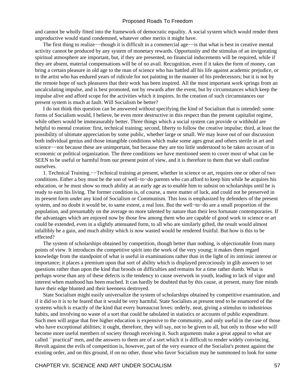and cannot be wholly fitted into the framework of democratic equality. A social system which would render them unproductive would stand condemned, whatever other merits it might have.

The first thing to realize––though it is difficult in a commercial age—–is that what is best in creative mental activity cannot be produced by any system of monetary rewards. Opportunity and the stimulus of an invigorating spiritual atmosphere are important, but, if they are presented, no financial inducements will be required, while if they are absent, material compensations will be of no avail. Recognition, even if it takes the form of money, can bring a certain pleasure in old age to the man of science who has battled all his life against academic prejudice, or to the artist who has endured years of ridicule for not painting in the manner of his predecessors; but it is not by the remote hope of such pleasures that their work has been inspired. All the most important work springs from an uncalculating impulse, and is best promoted, not by rewards after the event, but by circumstances which keep the impulse alive and afford scope for the activities which it inspires. In the creation of such circumstances our present system is much at fault. Will Socialism be better?

 I do not think this question can be answered without specifying the kind of Socialism that is intended: some forms of Socialism would, I believe, be even more destructive in this respect than the present capitalist regime, while others would be immeasurably better. Three things which a social system can provide or withhold are helpful to mental creation: first, technical training; second, liberty to follow the creative impulse; third, at least the possibility of ultimate appreciation by some public, whether large or small. We may leave out of our discussion both individual genius and those intangible conditions which make some ages great and others sterile in art and science––not because these are unimportant, but because they are too little understood to be taken account of in economic or political organization. The three conditions we have mentioned seem to cover most of what can be SEEN to be useful or harmful from our present point of view, and it is therefore to them that we shall confine ourselves.

 1. Technical Training.−−Technical training at present, whether in science or art, requires one or other of two conditions. Either a boy must be the son of well−to−do parents who can afford to keep him while he acquires his education, or he must show so much ability at an early age as to enable him to subsist on scholarships until he is ready to earn his living. The former condition is, of course, a mere matter of luck, and could not be preserved in its present form under any kind of Socialism or Communism. This loss is emphasized by defenders of the present system, and no doubt it would be, to same extent, a real loss. But the well−to−do are a small proportion of the population, and presumably on the average no more talented by nature than their less fortunate contemporaries. If the advantages which are enjoyed now by those few among them who are capable of good work in science or art could be extended, even in a slightly attenuated form, to all who are similarly gifted, the result would almost infallibly be a gain, and much ability which is now wasted would be rendered fruitful. But how is this to be effected?

 The system of scholarships obtained by competition, though better than nothing, is objectionable from many points of view. It introduces the competitive spirit into the work of the very young; it makes them regard knowledge from the standpoint of what is useful in examinations rather than in the light of its intrinsic interest or importance; it places a premium upon that sort of ability which is displayed precociously in glib answers to set questions rather than upon the kind that broods on difficulties and remains for a time rather dumb. What is perhaps worse than any of these defects is the tendency to cause overwork in youth, leading to lack of vigor and interest when manhood has been reached. It can hardly be doubted that by this cause, at present, many fine minds have their edge blunted and their keenness destroyed.

 State Socialism might easily universalize the system of scholarships obtained by competitive examination, and if it did so it is to he feared that it would be very harmful. State Socialists at present tend to be enamored of the systems which is exactly of the kind that every bureaucrat loves: orderly, neat, giving a stimulus to industrious habits, and involving no waste of a sort that could be tabulated in statistics or accounts of public expenditure. Such men will argue that free higher education is expensive to the community, and only useful in the case of those who have exceptional abilities; it ought, therefore, they will say, not to be given to all, but only to those who will become more useful members of society through receiving it. Such arguments make a great appeal to what are called ``practical'' men, and the answers to them are of a sort which it is difficult to render widely convincing. Revolt against the evils of competition is, however, part of the very essence of the Socialist's protest against the existing order, and on this ground, if on no other, those who favor Socialism may be summoned to look for some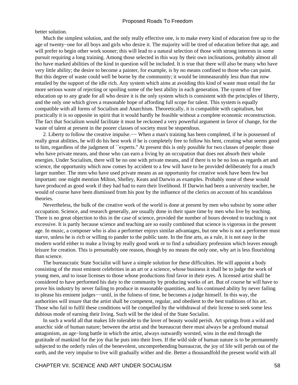better solution.

 Much the simplest solution, and the only really effective one, is to make every kind of education free up to the age of twenty−one for all boys and girls who desire it. The majority will be tired of education before that age, and will prefer to begin other work sooner; this will lead to a natural selection of those with strong interests in some pursuit requiring a long training. Among those selected in this way by their own inclinations, probably almost all tho have marked abilities of the kind in question will be included. It is true that there will also be many who have very little ability; the desire to become a painter, for example, is by no means confined to those who can paint. But this degree of waste could well be borne by the community; it would be immeasurably less than that now entailed by the support of the idle rich. Any system which aims at avoiding this kind of waste must entail the far more serious waste of rejecting or spoiling some of the best ability in each generation. The system of free education up to any grade for all who desire it is the only system which is consistent with the principles of liberty, and the only one which gives a reasonable hope of affording full scope for talent. This system is equally compatible with all forms of Socialism and Anarchism. Theoretically, it is compatible with capitalism, but practically it is so opposite in spirit that it would hardly be feasible without a complete economic reconstruction. The fact that Socialism would facilitate it must be reckoned a very powerful argument in favor of change, for the waste of talent at present in the poorer classes of society must be stupendous.

2. Liberty to follow the creative impulse.— When a man's training has been completed, if he is possessed of really great abilities, he will do his best work if he is completely free to follow his bent, creating what seems good to him, regardless of the judgment of ``experts.'' At present this is only possible for two classes of people: those who have private means, and those who can earn a living by an occupation that does not absorb their whole energies. Under Socialism, there will be no one with private means, and if there is to be no loss as regards art and science, the opportunity which now comes by accident to a few will have to be provided deliberately for a much larger number. The men who have used private means as an opportunity for creative work have been few but important: one might mention Milton, Shelley, Keats and Darwin as examples. Probably none of these would have produced as good work if they had had to earn their livelihood. If Darwin had been a university teacher, he would of course have been dismissed from his post by the influence of the clerics on account of his scandalous theories.

 Nevertheless, the bulk of the creative work of the world is done at present by men who subsist by some other occupation. Science, and research generally, are usually done in their spare time by men who live by teaching. There is no great objection to this in the case of science, provided the number of hours devoted to teaching is not excessive. It is partly because science and teaching are so easily combined that science is vigorous in the present age. In music, a composer who is also a performer enjoys similar advantages, but one who is not a performer must starve, unless he is rich or willing to pander to the public taste. In the fine arts, as a rule, it is not easy in the modern world either to make a living by really good work or to find a subsidiary profession which leaves enough leisure for creation. This is presumably one reason, though by no means the only one, why art is less flourishing than science.

 The bureaucratic State Socialist will have a simple solution for these difficulties. He will appoint a body consisting of the most eminent celebrities in an art or a science, whose business it shall be to judge the work of young men, and to issue licenses to those whose productions find favor in their eyes. A licensed artist shall be considered to have performed his duty to the community by producing works of art. But of course he will have to prove his industry by never failing to produce in reasonable quantities, and his continued ability by never failing to please his eminent judges−−until, in the fulness of time, he becomes a judge himself. In this way, the authorities will insure that the artist shall be competent, regular, and obedient to the best traditions of his art. Those who fail to fulfil these conditions will be compelled by the withdrawal of their license to seek some less dubious mode of earning their living. Such will be the ideal of the State Socialist.

 In such a world all that makes life tolerable to the lover of beauty would perish. Art springs from a wild and anarchic side of human nature; between the artist and the bureaucrat there must always be a profound mutual antagonism, an age−long battle in which the artist, always outwardly worsted, wins in the end through the gratitude of mankind for the joy that he puts into their lives. If the wild side of human nature is to be permanently subjected to the orderly rules of the benevolent, uncomprehending bureaucrat, the joy of life will perish out of the earth, and the very impulse to live will gradually wither and die. Better a thousandfold the present world with all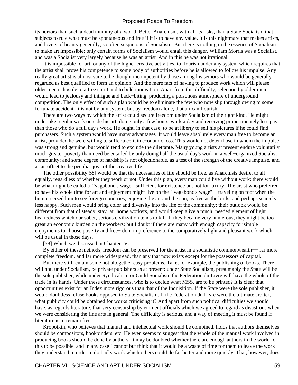its horrors than such a dead mummy of a world. Better Anarchism, with all its risks, than a State Socialism that subjects to rule what must be spontaneous and free if it is to have any value. It is this nightmare that makes artists, and lovers of beauty generally, so often suspicious of Socialism. But there is nothing in the essence of Socialism to make art impossible: only certain forms of Socialism would entail this danger. William Morris was a Socialist, and was a Socialist very largely because he was an artist. And in this he was not irrational.

 It is impossible for art, or any of the higher creative activities, to flourish under any system which requires that the artist shall prove his competence to some body of authorities before he is allowed to follow his impulse. Any really great artist is almost sure to be thought incompetent by those among his seniors who would be generally regarded as best qualified to form an opinion. And the mere fact of having to produce work which will please older men is hostile to a free spirit and to bold innovation. Apart from this difficulty, selection by older men would lead to jealousy and intrigue and back−biting, producing a poisonous atmosphere of underground competition. The only effect of such a plan would be to eliminate the few who now slip through owing to some fortunate accident. It is not by any system, but by freedom alone, that art can flourish.

 There are two ways by which the artist could secure freedom under Socialism of the right kind. He might undertake regular work outside his art, doing only a few hours' work a day and receiving proportionately less pay than those who do a full day's work. He ought, in that case, to be at liberty to sell his pictures if he could find purchasers. Such a system would have many advantages. It would leave absolutely every man free to become an artist, provided he were willing to suffer a certain economic loss. This would not deter those in whom the impulse was strong and genuine, but would tend to exclude the dilettante. Many young artists at present endure voluntarily much greater poverty than need be entailed by only doing half the usual day's work in a well−organized Socialist community; and some degree of hardship is not objectionable, as a test of the strength of the creative impulse, and as an offset to the peculiar joys of the creative life.

 The other possibility[58] would be that the necessaries of life should be free, as Anarchists desire, to all equally, regardless of whether they work or not. Under this plan, every man could live without work: there would be what might be called a ``vagabond's wage,'' sufficient for existence but not for luxury. The artist who preferred to have his whole time for art and enjoyment might live on the ``vagabond's wage''−−traveling on foot when the humor seized him to see foreign countries, enjoying the air and the sun, as free as the birds, and perhaps scarcely less happy. Such men would bring color and diversity into the life of the community; their outlook would be different from that of steady, stay−at−home workers, and would keep alive a much−needed element of light− heartedness which our sober, serious civilization tends to kill. If they became very numerous, they might be too great an economic burden on the workers; but I doubt if there are many with enough capacity for simple enjoyments to choose poverty and free− dom in preference to the comparatively light and pleasant work which will be usual in those days.

[58] Which we discussed in Chapter IV.

 By either of these methods, freedom can be preserved for the artist in a socialistic commonwealth−− far more complete freedom, and far more widespread, than any that now exists except for the possessors of capital.

 But there still remain some not altogether easy problems. Take, for example, the publishing of books. There will not, under Socialism, be private publishers as at present: under State Socialism, presumably the State will be the sole publisher, while under Syndicalism or Guild Socialism the Federation du Livre will have the whole of the trade in its hands. Under these circumstances, who is to decide what MSS. are to be printed? It is clear that opportunities exist for an Index more rigorous than that of the Inquisition. If the State were the sole publisher, it would doubtless refuse books opposed to State Socialism. If the Federation du Livre were the ultimate arbiter, what publicity could be obtained for works criticising it? And apart from such political difficulties we should have, as regards literature, that very censorship by eminent officials which we agreed to regard as disastrous when we were considering the fine arts in general. The difficulty is serious, and a way of meeting it must be found if literature is to remain free.

 Kropotkin, who believes that manual and intellectual work should be combined, holds that authors themselves should be compositors, bookbinders, etc. He even seems to suggest that the whole of the manual work involved in producing books should be done by authors. It may be doubted whether there are enough authors in the world for this to be possible, and in any case I cannot but think that it would be a waste of time for them to leave the work they understand in order to do badly work which others could do far better and more quickly. That, however, does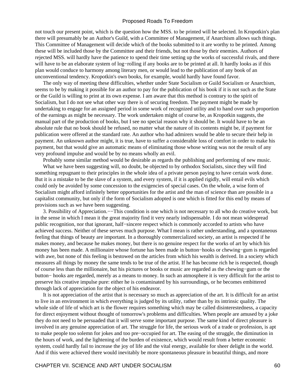not touch our present point, which is the question how the MSS. to be printed will be selected. In Kropotkin's plan there will presumably be an Author's Guild, with a Committee of Management, if Anarchism allows such things. This Committee of Management will decide which of the books submitted to it are worthy to be printed. Among these will be included those by the Committee and their friends, but not those by their enemies. Authors of rejected MSS. will hardly have the patience to spend their time setting up the works of successful rivals, and there will have to be an elaborate system of log−rolling if any books are to be printed at all. It hardly looks as if this plan would conduce to harmony among literary men, or would lead to the publication of any book of an unconventional tendency. Kropotkin's own books, for example, would hardly have found favor.

 The only way of meeting these difficulties, whether under State Socialism or Guild Socialism or Anarchism, seems to be by making it possible for an author to pay for the publication of his book if it is not such as the State or the Guild is willing to print at its own expense. I am aware that this method is contrary to the spirit of Socialism, but I do not see what other way there is of securing freedom. The payment might be made by undertaking to engage for an assigned period in some work of recognized utility and to hand over such proportion of the earnings as might be necessary. The work undertaken might of course be, as Kropotkin suggests, the manual part of the production of books, but I see no special reason why it should be. It would have to be an absolute rule that no book should be refused, no matter what the nature of its contents might be, if payment for publication were offered at the standard rate. An author who had admirers would be able to secure their help in payment. An unknown author might, it is true, have to suffer a considerable loss of comfort in order to make his payment, but that would give an automatic means of eliminating those whose writing was not the result of any very profound impulse and would be by no means wholly an evil.

Probably some similar method would be desirable as regards the publishing and performing of new music.

 What we have been suggesting will, no doubt, be objected to by orthodox Socialists, since they will find something repugnant to their principles in the whole idea of a private person paying to have certain work done. But it is a mistake to be the slave of a system, and every system, if it is applied rigidly, will entail evils which could only be avoided by some concession to the exigencies of special cases. On the whole, a wise form of Socialism might afford infinitely better opportunities for the artist and the man of science than are possible in a capitalist community, but only if the form of Socialism adopted is one which is fitted for this end by means of provisions such as we have been suggesting.

 3. Possibility of Appreciation.−−This condition is one which is not necessary to all who do creative work, but in the sense in which I mean it the great majority find it very nearly indispensable. I do not mean widespread public recognition, nor that ignorant, half−sincere respect which is commonly accorded to artists who have achieved success. Neither of these serves much purpose. What I mean is rather understanding, and a spontaneous feeling that things of beauty are important. In a thoroughly commercialized society, an artist is respected if he makes money, and because he makes money, but there is no genuine respect for the works of art by which his money has been made. A millionaire whose fortune has been made in button−hooks or chewing−gum is regarded with awe, but none of this feeling is bestowed on the articles from which his wealth is derived. In a society which measures all things by money the same tends to be true of the artist. If he has become rich he is respected, though of course less than the millionaire, but his pictures or books or music are regarded as the chewing−gum or the button− hooks are regarded, merely as a means to money. In such an atmosphere it is very difficult for the artist to preserve his creative impulse pure: either he is contaminated by his surroundings, or he becomes embittered through lack of appreciation for the object of his endeavor.

 It is not appreciation of the artist that is necessary so much as appreciation of the art. It is difficult for an artist to live in an environment in which everything is judged by its utility, rather than by its intrinsic quality. The whole side of life of which art is the flower requires something which may be called disinterestedness, a capacity for direct enjoyment without thought of tomorrow's problems and difficulties. When people are amused by a joke they do not need to be persuaded that it will serve some important purpose. The same kind of direct pleasure is involved in any genuine appreciation of art. The struggle for life, the serious work of a trade or profession, is apt to make people too solemn for jokes and too pre−occupied for art. The easing of the struggle, the diminution in the hours of work, and the lightening of the burden of existence, which would result from a better economic system, could hardly fail to increase the joy of life and the vital energy, available for sheer delight in the world. And if this were achieved there would inevitably be more spontaneous pleasure in beautiful things, and more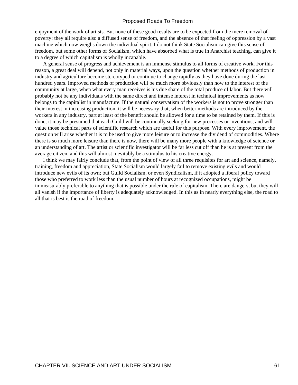enjoyment of the work of artists. But none of these good results are to be expected from the mere removal of poverty: they all require also a diffused sense of freedom, and the absence of that feeling of oppression by a vast machine which now weighs down the individual spirit. I do not think State Socialism can give this sense of freedom, but some other forms of Socialism, which have absorbed what is true in Anarchist teaching, can give it to a degree of which capitalism is wholly incapable.

 A general sense of progress and achievement is an immense stimulus to all forms of creative work. For this reason, a great deal will depend, not only in material ways, upon the question whether methods of production in industry and agriculture become stereotyped or continue to change rapidly as they have done during the last hundred years. Improved methods of production will be much more obviously than now to the interest of the community at large, when what every man receives is his due share of the total produce of labor. But there will probably not be any individuals with the same direct and intense interest in technical improvements as now belongs to the capitalist in manufacture. If the natural conservatism of the workers is not to prove stronger than their interest in increasing production, it will be necessary that, when better methods are introduced by the workers in any industry, part at least of the benefit should be allowed for a time to be retained by them. If this is done, it may be presumed that each Guild will be continually seeking for new processes or inventions, and will value those technical parts of scientific research which are useful for this purpose. With every improvement, the question will arise whether it is to be used to give more leisure or to increase the dividend of commodities. Where there is so much more leisure than there is now, there will be many more people with a knowledge of science or an understanding of art. The artist or scientific investigator will be far less cut off than he is at present from the average citizen, and this will almost inevitably be a stimulus to his creative energy.

 I think we may fairly conclude that, from the point of view of all three requisites for art and science, namely, training, freedom and appreciation, State Socialism would largely fail to remove existing evils and would introduce new evils of its own; but Guild Socialism, or even Syndicalism, if it adopted a liberal policy toward those who preferred to work less than the usual number of hours at recognized occupations, might be immeasurably preferable to anything that is possible under the rule of capitalism. There are dangers, but they will all vanish if the importance of liberty is adequately acknowledged. In this as in nearly everything else, the road to all that is best is the road of freedom.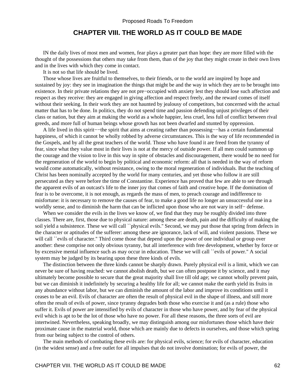## **CHAPTER VIII. THE WORLD AS IT COULD BE MADE**

 IN the daily lives of most men and women, fear plays a greater part than hope: they are more filled with the thought of the possessions that others may take from them, than of the joy that they might create in their own lives and in the lives with which they come in contact.

It is not so that life should be lived.

 Those whose lives are fruitful to themselves, to their friends, or to the world are inspired by hope and sustained by joy: they see in imagination the things that might be and the way in which they are to be brought into existence. In their private relations they are not pre−occupied with anxiety lest they should lose such affection and respect as they receive: they are engaged in giving affection and respect freely, and the reward comes of itself without their seeking. In their work they are not haunted by jealousy of competitors, but concerned with the actual matter that has to be done. In politics, they do not spend time and passion defending unjust privileges of their class or nation, but they aim at making the world as a whole happier, less cruel, less full of conflict between rival greeds, and more full of human beings whose growth has not been dwarfed and stunted by oppression.

 A life lived in this spirit−−the spirit that aims at creating rather than possessing−−has a certain fundamental happiness, of which it cannot be wholly robbed by adverse circumstances. This is the way of life recommended in the Gospels, and by all the great teachers of the world. Those who have found it are freed from the tyranny of fear, since what they value most in their lives is not at the mercy of outside power. If all men could summon up the courage and the vision to live in this way in spite of obstacles and discouragement, there would be no need for the regeneration of the world to begin by political and economic reform: all that is needed in the way of reform would come automatically, without resistance, owing to the moral regeneration of individuals. But the teaching of Christ has been nominally accepted by the world for many centuries, and yet those who follow it are still persecuted as they were before the time of Constantine. Experience has proved that few are able to see through the apparent evils of an outcast's life to the inner joy that comes of faith and creative hope. If the domination of fear is to be overcome, it is not enough, as regards the mass of men, to preach courage and indifference to misfortune: it is necessary to remove the causes of fear, to make a good life no longer an unsuccessful one in a worldly sense, and to diminish the harm that can be inflicted upon those who are not wary in self− defense.

When we consider the evils in the lives we know of, we find that they may be roughly divided into three classes. There are, first, those due to physical nature: among these are death, pain and the difficulty of making the soil yield a subsistence. These we will call ``physical evils." Second, we may put those that spring from defects in the character or aptitudes of the sufferer: among these are ignorance, lack of will, and violent passions. These we will call ``evils of character." Third come those that depend upon the power of one individual or group over another: these comprise not only obvious tyranny, but all interference with free development, whether by force or by excessive mental influence such as may occur in education. These we will call ``evils of power.'' A social system may be judged by its bearing upon these three kinds of evils.

 The distinction between the three kinds cannot be sharply drawn. Purely physical evil is a limit, which we can never be sure of having reached: we cannot abolish death, but we can often postpone it by science, and it may ultimately become possible to secure that the great majority shall live till old age; we cannot wholly prevent pain, but we can diminish it indefinitely by securing a healthy life for all; we cannot make the earth yield its fruits in any abundance without labor, but we can diminish the amount of the labor and improve its conditions until it ceases to be an evil. Evils of character are often the result of physical evil in the shape of illness, and still more often the result of evils of power, since tyranny degrades both those who exercise it and (as a rule) those who suffer it. Evils of power are intensified by evils of character in those who have power, and by fear of the physical evil which is apt to be the lot of those who have no power. For all these reasons, the three sorts of evil are intertwined. Nevertheless, speaking broadly, we may distinguish among our misfortunes those which have their proximate cause in the material world, those which are mainly due to defects in ourselves, and those which spring from our being subject to the control of others.

 The main methods of combating these evils are: for physical evils, science; for evils of character, education (in the widest sense) and a free outlet for all impulses that do not involve domination; for evils of power, the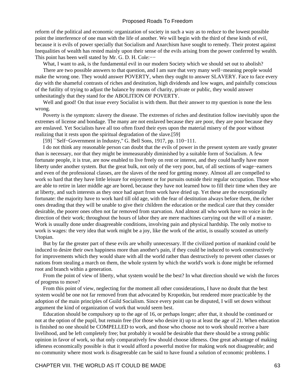reform of the political and economic organization of society in such a way as to reduce to the lowest possible point the interference of one man with the life of another. We will begin with the third of these kinds of evil, because it is evils of power specially that Socialism and Anarchism have sought to remedy. Their protest against Inequalities of wealth has rested mainly upon their sense of the evils arising from the power conferred by wealth. This point has been well stated by Mr. G. D. H. Cole:−−

What, I want to ask, is the fundamental evil in our modern Society which we should set out to abolish?

 There are two possible answers to that question, and I am sure that very many well−meaning people would make the wrong one. They would answer POVERTY, when they ought to answer SLAVERY. Face to face every day with the shameful contrasts of riches and destitution, high dividends and low wages, and painfully conscious of the futility of trying to adjust the balance by means of charity, private or public, they would answer unhesitatingly that they stand for the ABOLITION OF POVERTY.

Well and good! On that issue every Socialist is with them. But their answer to my question is none the less wrong.

 Poverty is the symptom: slavery the disease. The extremes of riches and destitution follow inevitably upon the extremes of license and bondage. The many are not enslaved because they are poor, they are poor because they are enslaved. Yet Socialists have all too often fixed their eyes upon the material misery of the poor without realizing that it rests upon the spiritual degradation of the slave.[59]

[59] ``Self−Government in Industry,'' G. Bell Sons, 1917, pp. 110−111.

 I do not think any reasonable person can doubt that the evils of power in the present system are vastly greater than is necessary, nor that they might be immeasurably diminished by a suitable form of Socialism. A few fortunate people, it is true, are now enabled to live freely on rent or interest, and they could hardly have more liberty under another system. But the great bulk, not only of the very poor, but, of all sections of wage−earners and even of the professional classes, are the slaves of the need for getting money. Almost all are compelled to work so hard that they have little leisure for enjoyment or for pursuits outside their regular occupation. Those who are able to retire in later middle age are bored, because they have not learned how to fill their time when they are at liberty, and such interests as they once had apart from work have dried up. Yet these are the exceptionally fortunate: the majority have to work hard till old age, with the fear of destitution always before them, the richer ones dreading that they will be unable to give their children the education or the medical care that they consider desirable, the poorer ones often not far removed from starvation. And almost all who work have no voice in the direction of their work; throughout the hours of labor they are mere machines carrying out the will of a master. Work is usually done under disagreeable conditions, involving pain and physical hardship. The only motive to work is wages: the very idea that work might be a joy, like the work of the artist, is usually scouted as utterly Utopian.

 But by far the greater part of these evils are wholly unnecessary. If the civilized portion of mankind could be induced to desire their own happiness more than another's pain, if they could be induced to work constructively for improvements which they would share with all the world rather than destructively to prevent other classes or nations from stealing a march on them, the whole system by which the world's work is done might be reformed root and branch within a generation.

 From the point of view of liberty, what system would be the best? In what direction should we wish the forces of progress to move?

 From this point of view, neglecting for the moment all other considerations, I have no doubt that the best system would be one not far removed from that advocated by Kropotkin, but rendered more practicable by the adoption of the main principles of Guild Socialism. Since every point can be disputed, I will set down without argument the kind of organization of work that would seem best.

 Education should be compulsory up to the age of 16, or perhaps longer; after that, it should be continued or not at the option of the pupil, but remain free (for those who desire it) up to at least the age of 21. When education is finished no one should be COMPELLED to work, and those who choose not to work should receive a bare livelihood, and be left completely free; but probably it would be desirable that there should be a strong public opinion in favor of work, so that only comparatively few should choose idleness. One great advantage of making idleness economically possible is that it would afford a powerful motive for making work not disagreeable; and no community where most work is disagreeable can be said to have found a solution of economic problems. I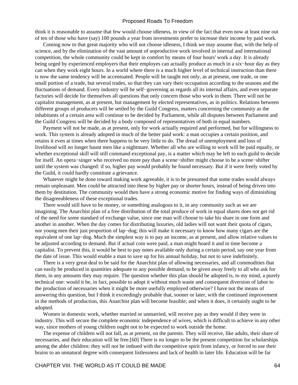think it is reasonable to assume that few would choose idleness, in view of the fact that even now at least nine out of ten of those who have (say) 100 pounds a year from investments prefer to increase their income by paid work.

 Coming now to that great majority who will not choose idleness, I think we may assume that, with the help of science, and by the elimination of the vast amount of unproductive work involved in internal and international competition, the whole community could be kept in comfort by means of four hours' work a day. It is already being urged by experienced employers that their employes can actually produce as much in a six−hour day as they can when they work eight hours. In a world where there is a much higher level of technical instruction than there is now the same tendency will be accentuated. People will be taught not only, as at present, one trade, or one small portion of a trade, but several trades, so that they can vary their occupation according to the seasons and the fluctuations of demand. Every industry will be self−governing as regards all its internal affairs, and even separate factories will decide for themselves all questions that only concern those who work in them. There will not be capitalist management, as at present, but management by elected representatives, as in politics. Relations between different groups of producers will be settled by the Guild Congress, matters concerning the community as the inhabitants of a certain area will continue to be decided by Parliament, while all disputes between Parliament and the Guild Congress will be decided by a body composed of representatives of both in equal numbers.

 Payment will not be made, as at present, only for work actually required and performed, but for willingness to work. This system is already adopted in much of the better paid work: a man occupies a certain position, and retains it even at times when there happens to be very little to do. The dread of unemployment and loss of livelihood will no longer haunt men like a nightmare. Whether all who are willing to work will be paid equally, or whether exceptional skill will still command exceptional pay, is a matter which may be left to each guild to decide for itself. An opera−singer who received no more pay than a scene−shifter might choose to be a scene−shifter until the system was changed: if so, higher pay would probably be found necessary. But if it were freely voted by the Guild, it could hardly constitute a grievance.

 Whatever might be done toward making work agreeable, it is to be presumed that some trades would always remain unpleasant. Men could be attracted into these by higher pay or shorter hours, instead of being driven into them by destitution. The community would then have a strong economic motive for finding ways of diminishing the disagreeableness of these exceptional trades.

 There would still have to be money, or something analogous to it, in any community such as we are imagining. The Anarchist plan of a free distribution of the total produce of work in equal shares does not get rid of the need for some standard of exchange value, since one man will choose to take his share in one form and another in another. When the day comes for distributing luxuries, old ladies will not want their quota of cigars, nor young men their just proportion of lap−dog; this will make it necessary to know how many cigars are the equivalent of one lap−dog. Much the simplest way is to pay an income, as at present, and allow relative values to be adjusted according to demand. But if actual coin were paid, a man might hoard it and in time become a capitalist. To prevent this, it would be best to pay notes available only during a certain period, say one year from the date of issue. This would enable a man to save up for his annual holiday, but not to save indefinitely.

 There is a very great deal to be said for the Anarchist plan of allowing necessaries, and all commodities that can easily be produced in quantities adequate to any possible demand, to be given away freely to all who ask for them, in any amounts they may require. The question whether this plan should be adopted is, to my mind, a purely technical one: would it be, in fact, possible to adopt it without much waste and consequent diversion of labor to the production of necessaries when it might be more usefully employed otherwise? I have not the means of answering this question, but I think it exceedingly probable that, sooner or later, with the continued improvement in the methods of production, this Anarchist plan will become feasible; and when it does, it certainly ought to be adopted.

 Women in domestic work, whether married or unmarried, will receive pay as they would if they were in industry. This will secure the complete economic independence of wives, which is difficult to achieve in any other way, since mothers of young children ought not to be expected to work outside the home.

 The expense of children will not fall, as at present, on the parents. They will receive, like adults, their share of necessaries, and their education will be free.[60] There is no longer to be the present competition for scholarships among the abler children: they will not be imbued with the competitive spirit from infancy, or forced to use their brains to an unnatural degree with consequent listlessness and lack of health in later life. Education will be far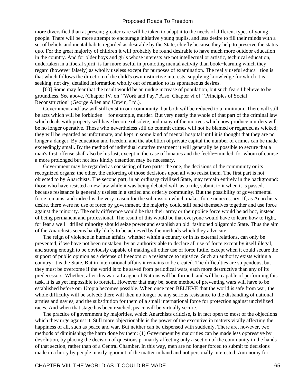more diversified than at present; greater care will be taken to adapt it to the needs of different types of young people. There will be more attempt to encourage initiative young pupils, and less desire to fill their minds with a set of beliefs and mental habits regarded as desirable by the State, chiefly because they help to preserve the status quo. For the great majority of children it will probably be found desirable to have much more outdoor education in the country. And for older boys and girls whose interests are not intellectual or artistic, technical education, undertaken in a liberal spirit, is far more useful in promoting mental activity than book−learning which they regard (however falsely) as wholly useless except for purposes of examination. The really useful educa− tion is that which follows the direction of the child's own instinctive interests, supplying knowledge for which it is seeking, not dry, detailed information wholly out of relation to its spontaneous desires.

 [60] Some may fear that the result would be an undue increase of population, but such fears I believe to be groundless. See above, (Chapter IV, on ``Work and Pay.'' Also, Chapter vi of ``Principles of Social Reconstruction'' (George Allen and Unwin, Ltd.).

 Government and law will still exist in our community, but both will be reduced to a minimum. There will still be acts which will be forbidden−−for example, murder. But very nearly the whole of that part of the criminal law which deals with property will have become obsolete, and many of the motives which now produce murders will be no longer operative. Those who nevertheless still do commit crimes will not be blamed or regarded as wicked; they will be regarded as unfortunate, and kept in some kind of mental hospital until it is thought that they are no longer a danger. By education and freedom and the abolition of private capital the number of crimes can be made exceedingly small. By the method of individual curative treatment it will generally be possible to secure that a man's first offense shall also be his last, except in the case of lunatics and the feeble−minded, for whom of course a more prolonged but not less kindly detention may be necessary.

 Government may be regarded as consisting of two parts: the one, the decisions of the community or its recognized organs; the other, the enforcing of those decisions upon all who resist them. The first part is not objected to by Anarchists. The second part, in an ordinary civilized State, may remain entirely in the background: those who have resisted a new law while it was being debated will, as a rule, submit to it when it is passed, because resistance is generally useless in a settled and orderly community. But the possibility of governmental force remains, and indeed is the very reason for the submission which makes force unnecessary. If, as Anarchists desire, there were no use of force by government, the majority could still band themselves together and use force against the minority. The only difference would be that their army or their police force would be ad hoc, instead of being permanent and professional. The result of this would be that everyone would have to learn how to fight, for fear a well− drilled minority should seize power and establish an old−fashioned oligarchic State. Thus the aim of the Anarchists seems hardly likely to be achieved by the methods which they advocate.

 The reign of violence in human affairs, whether within a country or in its external relations, can only be prevented, if we have not been mistaken, by an authority able to declare all use of force except by itself illegal, and strong enough to be obviously capable of making all other use of force futile, except when it could secure the support of public opinion as a defense of freedom or a resistance to injustice. Such an authority exists within a country: it is the State. But in international affairs it remains to be created. The difficulties are stupendous, but they must be overcome if the world is to be saved from periodical wars, each more destructive than any of its predecessors. Whether, after this war, a League of Nations will be formed, and will be capable of performing this task, it is as yet impossible to foretell. However that may be, some method of preventing wars will have to be established before our Utopia becomes possible. When once men BELIEVE that the world is safe from war, the whole difficulty will be solved: there will then no longer be any serious resistance to the disbanding of national armies and navies, and the substitution for them of a small international force for protection against uncivilized races. And when that stage has been reached, peace will be virtually secure.

 The practice of government by majorities, which Anarchists criticise, is in fact open to most of the objections which they urge against it. Still more objectionable is the power of the executive in matters vitally affecting the happiness of all, such as peace and war. But neither can be dispensed with suddenly. There are, however, two methods of diminishing the harm done by them: (1) Government by majorities can be made less oppressive by devolution, by placing the decision of questions primarily affecting only a section of the community in the hands of that section, rather than of a Central Chamber. In this way, men are no longer forced to submit to decisions made in a hurry by people mostly ignorant of the matter in hand and not personally interested. Autonomy for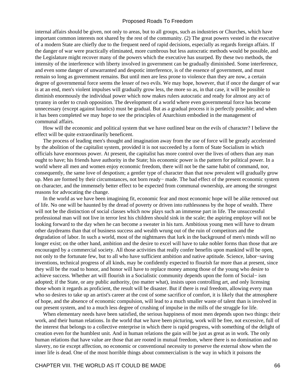internal affairs should be given, not only to areas, but to all groups, such as industries or Churches, which have important common interests not shared by the rest of the community. (2) The great powers vested in the executive of a modern State are chiefly due to the frequent need of rapid decisions, especially as regards foreign affairs. If the danger of war were practically eliminated, more cumbrous but less autocratic methods would be possible, and the Legislature might recover many of the powers which the executive has usurped. By these two methods, the intensity of the interference with liberty involved in government can be gradually diminished. Some interference, and even some danger of unwarranted and despotic interference, is of the essence of government, and must remain so long as government remains. But until men are less prone to violence than they are now, a certain degree of governmental force seems the lesser of two evils. We may hope, however, that if once the danger of war is at an end, men's violent impulses will gradually grow less, the more so as, in that case, it will be possible to diminish enormously the individual power which now makes rulers autocratic and ready for almost any act of tyranny in order to crush opposition. The development of a world where even governmental force has become unnecessary (except against lunatics) must be gradual. But as a gradual process it is perfectly possible; and when it has been completed we may hope to see the principles of Anarchism embodied in the management of communal affairs.

 How will the economic and political system that we have outlined bear on the evils of character? I believe the effect will be quite extraordinarily beneficent.

 The process of leading men's thought and imagination away from the use of force will be greatly accelerated by the abolition of the capitalist system, provided it is not succeeded by a form of State Socialism in which officials have enormous power. At present, the capitalist has more control over the lives of others than any man ought to have; his friends have authority in the State; his economic power is the pattern for political power. In a world where all men and women enjoy economic freedom, there will not be the same habit of command, nor, consequently, the same love of despotism; a gentler type of character than that now prevalent will gradually grow up. Men are formed by their circumstances, not born ready− made. The bad effect of the present economic system on character, and the immensely better effect to be expected from communal ownership, are among the strongest reasons for advocating the change.

 In the world as we have been imagining fit, economic fear and most economic hope will be alike removed out of life. No one will be haunted by the dread of poverty or driven into ruthlessness by the hope of wealth. There will not be the distinction of social classes which now plays such an immense part in life. The unsuccessful professional man will not live in terror lest his children should sink in the scale; the aspiring employe will not be looking forward to the day when he can become a sweater in his turn. Ambitious young men will have to dream other daydreams than that of business success and wealth wrung out of the ruin of competitors and the degradation of labor. In such a world, most of the nightmares that lurk in the background of men's minds will no longer exist; on the other hand, ambition and the desire to excel will have to take nobler forms than those that are encouraged by a commercial society. All those activities that really confer benefits upon mankind will be open, not only to the fortunate few, but to all who have sufficient ambition and native aptitude. Science, labor−saving inventions, technical progress of all kinds, may be confidently expected to flourish far more than at present, since they will be the road to honor, and honor will have to replace money among those of the young who desire to achieve success. Whether art will flourish in a Socialistic community depends upon the form of Social− ism adopted; if the State, or any public authority, (no matter what), insists upon controlling art, and only licensing those whom it regards as proficient, the result will be disaster. But if there is real freedom, allowing every man who so desires to take up an artist's career at the cost of some sacrifice of comfort, it is likely that the atmosphere of hope, and the absence of economic compulsion, will lead to a much smaller waste of talent than is involved in our present system, and to a much less degree of crushing of impulse in the mills of the struggle for life.

When elementary needs have been satisfied, the serious happiness of most men depends upon two things: their work, and their human relations. In the world that we have been picturing, work will be free, not excessive, full of the interest that belongs to a collective enterprise in which there is rapid progress, with something of the delight of creation even for the humblest unit. And in human relations the gain will be just as great as in work. The only human relations that have value are those that are rooted in mutual freedom, where there is no domination and no slavery, no tie except affection, no economic or conventional necessity to preserve the external show when the inner life is dead. One of the most horrible things about commercialism is the way in which it poisons the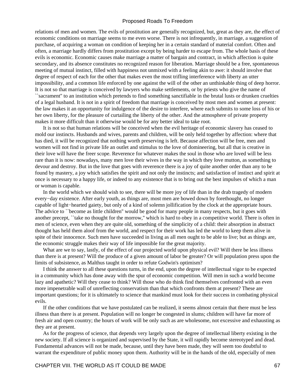relations of men and women. The evils of prostitution are generally recognized, but, great as they are, the effect of economic conditions on marriage seems to me even worse. There is not infrequently, in marriage, a suggestion of purchase, of acquiring a woman on condition of keeping her in a certain standard of material comfort. Often and often, a marriage hardly differs from prostitution except by being harder to escape from. The whole basis of these evils is economic. Economic causes make marriage a matter of bargain and contract, in which affection is quite secondary, and its absence constitutes no recognized reason for liberation. Marriage should be a free, spontaneous meeting of mutual instinct, filled with happiness not unmixed with a feeling akin to awe: it should involve that degree of respect of each for the other that makes even the most trifling interference with liberty an utter impossibility, and a common life enforced by one against the will of the other an unthinkable thing of deep horror. It is not so that marriage is conceived by lawyers who make settlements, or by priests who give the name of ``sacrament'' to an institution which pretends to find something sanctifiable in the brutal lusts or drunken cruelties of a legal husband. It is not in a spirit of freedom that marriage is conceived by most men and women at present: the law makes it an opportunity for indulgence of the desire to interfere, where each submits to some loss of his or her own liberty, for the pleasure of curtailing the liberty of the other. And the atmosphere of private property makes it more difficult than it otherwise would be for any better ideal to take root.

 It is not so that human relations will be conceived when the evil heritage of economic slavery has ceased to mold our instincts. Husbands and wives, parents and children, will be only held together by affection: where that has died, it will be recognized that nothing worth preserving is left. Because affection will be free, men and women will not find in private life an outlet and stimulus to the love of domineering, but all that is creative in their love will have the freer scope. Reverence for whatever makes the soul in those who are loved will be less rare than it is now: nowadays, many men love their wives in the way in which they love mutton, as something to devour and destroy. But in the love that goes with reverence there is a joy of quite another order than any to be found by mastery, a joy which satisfies the spirit and not only the instincts; and satisfaction of instinct and spirit at once is necessary to a happy life, or indeed to any existence that is to bring out the best impulses of which a man or woman is capable.

 In the world which we should wish to see, there will be more joy of life than in the drab tragedy of modern every−day existence. After early youth, as things are, most men are bowed down by forethought, no longer capable of light−hearted gaiety, but only of a kind of solemn jollification by the clock at the appropriate hours. The advice to "become as little children" would be good for many people in many respects, but it goes with another precept, ``take no thought for the morrow,'' which is hard to obey in a competitive world. There is often in men of science, even when they are quite old, something of the simplicity of a child: their absorption in abstract thought has held them aloof from the world, and respect for their work has led the world to keep them alive in spite of their innocence. Such men have succeeded in living as all men ought to be able to live; but as things are, the economic struggle makes their way of life impossible for the great majority.

What are we to say, lastly, of the effect of our projected world upon physical evil? Will there be less illness than there is at present? Will the produce of a given amount of labor be greater? Or will population press upon the limits of subsistence, as Malthus taught in order to refute Godwin's optimism?

 I think the answer to all these questions turns, in the end, upon the degree of intellectual vigor to be expected in a community which has done away with the spur of economic competition. Will men in such a world become lazy and apathetic? Will they cease to think? Will those who do think find themselves confronted with an even more impenetrable wall of unreflecting conservatism than that which confronts them at present? These are important questions; for it is ultimately to science that mankind must look for their success in combating physical evils.

 If the other conditions that we have postulated can be realized, it seems almost certain that there must be less illness than there is at present. Population will no longer be congested in slums; children will have far more of fresh air and open country; the hours of work will be only such as are wholesome, not excessive and exhausting as they are at present.

 As for the progress of science, that depends very largely upon the degree of intellectual liberty existing in the new society. If all science is organized and supervised by the State, it will rapidly become stereotyped and dead. Fundamental advances will not be made, because, until they have been made, they will seem too doubtful to warrant the expenditure of public money upon them. Authority will be in the hands of the old, especially of men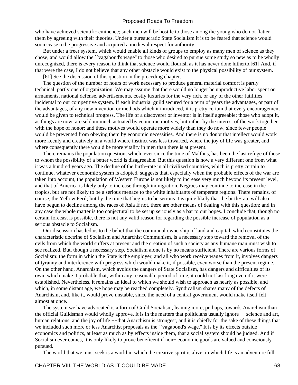who have achieved scientific eminence; such men will be hostile to those among the young who do not flatter them by agreeing with their theories. Under a bureaucratic State Socialism it is to be feared that science would soon cease to be progressive and acquired a medieval respect for authority.

 But under a freer system, which would enable all kinds of groups to employ as many men of science as they chose, and would allow the ``vagabond's wage'' to those who desired to pursue some study so new as to be wholly unrecognized, there is every reason to think that science would flourish as it has never done hitherto.[61] And, if that were the case, I do not believe that any other obstacle would exist to the physical possibility of our system.

[61] See the discussion of this question in the preceding chapter.

 The question of the number of hours of work necessary to produce general material comfort is partly technical, partly one of organization. We may assume that there would no longer be unproductive labor spent on armaments, national defense, advertisements, costly luxuries for the very rich, or any of the other futilities incidental to our competitive system. If each industrial guild secured for a term of years the advantages, or part of the advantages, of any new invention or methods which it introduced, it is pretty certain that every encouragement would be given to technical progress. The life of a discoverer or inventor is in itself agreeable: those who adopt it, as things are now, are seldom much actuated by economic motives, but rather by the interest of the work together with the hope of honor; and these motives would operate more widely than they do now, since fewer people would be prevented from obeying them by economic necessities. And there is no doubt that intellect would work more keenly and creatively in a world where instinct was less thwarted, where the joy of life was greater, and where consequently there would be more vitality in men than there is at present.

 There remains the population question, which, ever since the time of Malthus, has been the last refuge of those to whom the possibility of a better world is disagreeable. But this question is now a very different one from what it was a hundred years ago. The decline of the birth−rate in all civilized countries, which is pretty certain to continue, whatever economic system is adopted, suggests that, especially when the probable effects of the war are taken into account, the population of Western Europe is not likely to increase very much beyond its present level, and that of America is likely only to increase through immigration. Negroes may continue to increase in the tropics, but are not likely to be a serious menace to the white inhabitants of temperate regions. There remains, of course, the Yellow Peril; but by the time that begins to be serious it is quite likely that the birth−rate will also have begun to decline among the races of Asia If not, there are other means of dealing with this question; and in any case the whole matter is too conjectural to be set up seriously as a bar to our hopes. I conclude that, though no certain forecast is possible, there is not any valid reason for regarding the possible increase of population as a serious obstacle to Socialism.

 Our discussion has led us to the belief that the communal ownership of land and capital, which constitutes the characteristic doctrine of Socialism and Anarchist Communism, is a necessary step toward the removal of the evils from which the world suffers at present and the creation of such a society as any humane man must wish to see realized. But, though a necessary step, Socialism alone is by no means sufficient. There are various forms of Socialism: the form in which the State is the employer, and all who work receive wages from it, involves dangers of tyranny and interference with progress which would make it, if possible, even worse than the present regime. On the other hand, Anarchism, which avoids the dangers of State Socialism, has dangers and difficulties of its own, which make it probable that, within any reasonable period of time, it could not last long even if it were established. Nevertheless, it remains an ideal to which we should wish to approach as nearly as possible, and which, in some distant age, we hope may be reached completely. Syndicalism shares many of the defects of Anarchism, and, like it, would prove unstable, since the need of a central government would make itself felt almost at once.

 The system we have advocated is a form of Guild Socialism, leaning more, perhaps, towards Anarchism than the official Guildsman would wholly approve. It is in the matters that politicians usually ignore−− science and art, human relations, and the joy of life –−that Anarchism is strongest, and it is chiefly for the sake of these things that we included such more or less Anarchist proposals as the ``vagabond's wage." It is by its effects outside economics and politics, at least as much as by effects inside them, that a social system should be judged. And if Socialism ever comes, it is only likely to prove beneficent if non− economic goods are valued and consciously pursued.

The world that we must seek is a world in which the creative spirit is alive, in which life is an adventure full